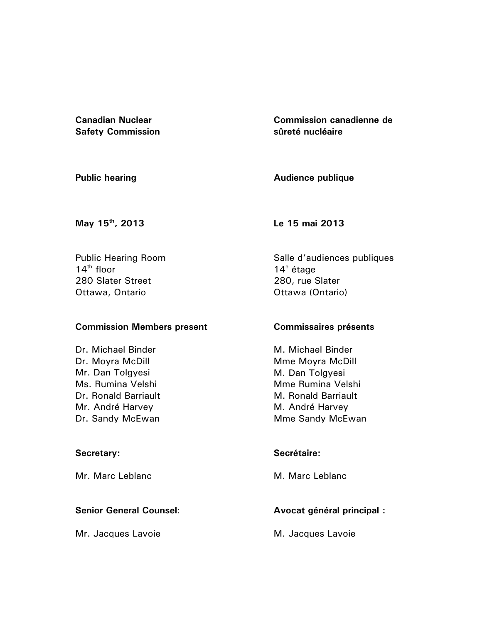**Canadian Nuclear Safety Commission**  **Commission canadienne de sûreté nucléaire** 

**Public hearing** 

**Audience publique** 

**May 15th, 2013** 

Public Hearing Room  $14<sup>th</sup>$  floor 280 Slater Street Ottawa, Ontario

# **Commission Members present**

Dr. Michael Binder Dr. Moyra McDill Mr. Dan Tolgyesi Ms. Rumina Velshi Dr. Ronald Barriault Mr. André Harvey Dr. Sandy McEwan

## **Secretary:**

Mr. Marc Leblanc

# **Senior General Counsel**:

Mr. Jacques Lavoie

**Le 15 mai 2013** 

Salle d'audiences publiques 14<sup>e</sup> étage 280, rue Slater Ottawa (Ontario)

## **Commissaires présents**

M. Michael Binder Mme Moyra McDill M. Dan Tolgyesi Mme Rumina Velshi M. Ronald Barriault M. André Harvey Mme Sandy McEwan

# **Secrétaire:**

M. Marc Leblanc

# **Avocat général principal :**

M. Jacques Lavoie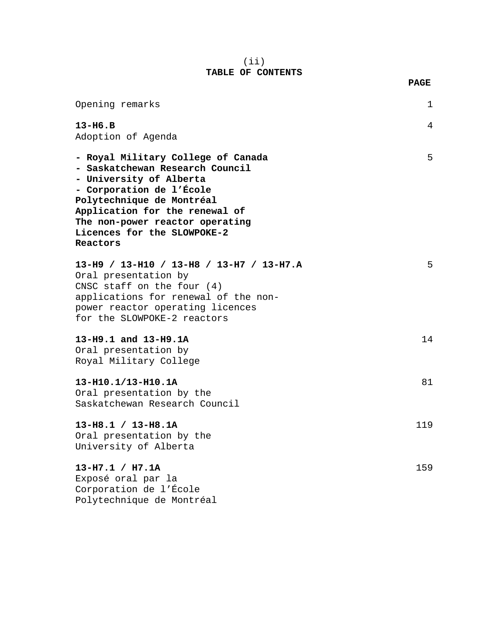## (ii) **TABLE OF CONTENTS**

**PAGE** 

| Opening remarks                                                                                                                                                                                                                                                           | $\mathbf{1}$ |
|---------------------------------------------------------------------------------------------------------------------------------------------------------------------------------------------------------------------------------------------------------------------------|--------------|
| $13-H6.B$<br>Adoption of Agenda                                                                                                                                                                                                                                           | 4            |
| - Royal Military College of Canada<br>- Saskatchewan Research Council<br>- University of Alberta<br>- Corporation de l'École<br>Polytechnique de Montréal<br>Application for the renewal of<br>The non-power reactor operating<br>Licences for the SLOWPOKE-2<br>Reactors | 5            |
| 13-H9 / 13-H10 / 13-H8 / 13-H7 / 13-H7.A<br>Oral presentation by<br>CNSC staff on the four $(4)$<br>applications for renewal of the non-<br>power reactor operating licences<br>for the SLOWPOKE-2 reactors                                                               | 5            |
| 13-H9.1 and 13-H9.1A<br>Oral presentation by<br>Royal Military College                                                                                                                                                                                                    | 14           |
| 13-H10.1/13-H10.1A<br>Oral presentation by the<br>Saskatchewan Research Council                                                                                                                                                                                           | 81           |
| $13-H8.1 / 13-H8.1A$<br>Oral presentation by the<br>University of Alberta                                                                                                                                                                                                 | 119          |
| $13-H7.1 / H7.1A$<br>Exposé oral par la<br>Corporation de l'École<br>Polytechnique de Montréal                                                                                                                                                                            | 159          |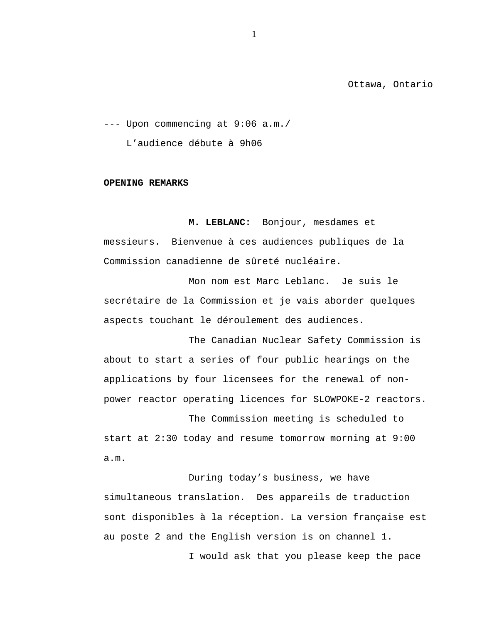Ottawa, Ontario

--- Upon commencing at 9:06 a.m./ L'audience débute à 9h06

#### **OPENING REMARKS**

**M. LEBLANC:** Bonjour, mesdames et messieurs. Bienvenue à ces audiences publiques de la Commission canadienne de sûreté nucléaire.

Mon nom est Marc Leblanc. Je suis le secrétaire de la Commission et je vais aborder quelques aspects touchant le déroulement des audiences.

The Canadian Nuclear Safety Commission is about to start a series of four public hearings on the applications by four licensees for the renewal of nonpower reactor operating licences for SLOWPOKE-2 reactors.

The Commission meeting is scheduled to start at 2:30 today and resume tomorrow morning at 9:00 a.m.

During today's business, we have simultaneous translation. Des appareils de traduction sont disponibles à la réception. La version française est au poste 2 and the English version is on channel 1. I would ask that you please keep the pace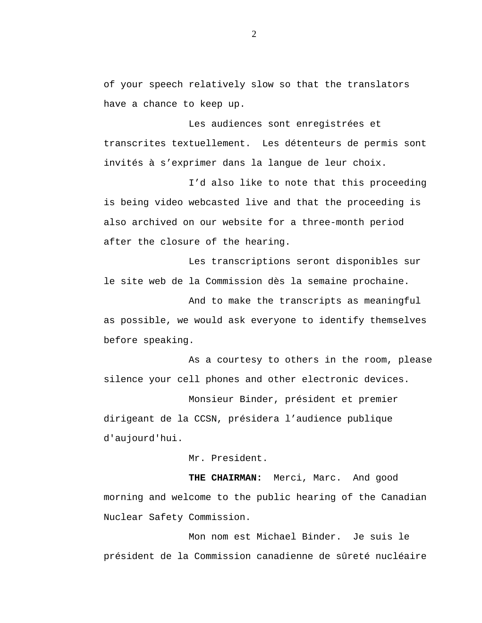of your speech relatively slow so that the translators have a chance to keep up.

Les audiences sont enregistrées et transcrites textuellement. Les détenteurs de permis sont invités à s'exprimer dans la langue de leur choix.

I'd also like to note that this proceeding is being video webcasted live and that the proceeding is also archived on our website for a three-month period after the closure of the hearing.

Les transcriptions seront disponibles sur le site web de la Commission dès la semaine prochaine.

And to make the transcripts as meaningful as possible, we would ask everyone to identify themselves before speaking.

As a courtesy to others in the room, please silence your cell phones and other electronic devices.

Monsieur Binder, président et premier dirigeant de la CCSN, présidera l'audience publique d'aujourd'hui.

Mr. President.

**THE CHAIRMAN:** Merci, Marc. And good morning and welcome to the public hearing of the Canadian Nuclear Safety Commission.

Mon nom est Michael Binder. Je suis le président de la Commission canadienne de sûreté nucléaire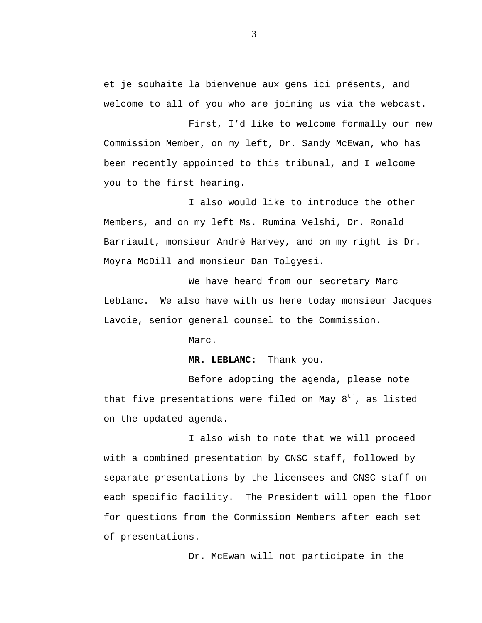et je souhaite la bienvenue aux gens ici présents, and welcome to all of you who are joining us via the webcast.

First, I'd like to welcome formally our new Commission Member, on my left, Dr. Sandy McEwan, who has been recently appointed to this tribunal, and I welcome you to the first hearing.

I also would like to introduce the other Members, and on my left Ms. Rumina Velshi, Dr. Ronald Barriault, monsieur André Harvey, and on my right is Dr. Moyra McDill and monsieur Dan Tolgyesi.

We have heard from our secretary Marc Leblanc. We also have with us here today monsieur Jacques Lavoie, senior general counsel to the Commission.

Marc.

**MR. LEBLANC:** Thank you.

Before adopting the agenda, please note that five presentations were filed on May  $8<sup>th</sup>$ , as listed on the updated agenda.

I also wish to note that we will proceed with a combined presentation by CNSC staff, followed by separate presentations by the licensees and CNSC staff on each specific facility. The President will open the floor for questions from the Commission Members after each set of presentations.

Dr. McEwan will not participate in the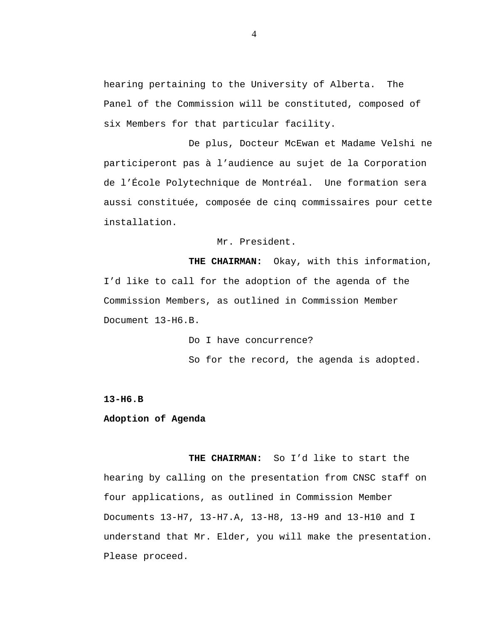hearing pertaining to the University of Alberta. The Panel of the Commission will be constituted, composed of six Members for that particular facility.

De plus, Docteur McEwan et Madame Velshi ne participeront pas à l'audience au sujet de la Corporation de l'École Polytechnique de Montréal. Une formation sera aussi constituée, composée de cinq commissaires pour cette installation.

Mr. President.

**THE CHAIRMAN:** Okay, with this information, I'd like to call for the adoption of the agenda of the Commission Members, as outlined in Commission Member Document 13-H6.B.

> Do I have concurrence? So for the record, the agenda is adopted.

**13-H6.B** 

### **Adoption of Agenda**

**THE CHAIRMAN:** So I'd like to start the hearing by calling on the presentation from CNSC staff on four applications, as outlined in Commission Member Documents 13-H7, 13-H7.A, 13-H8, 13-H9 and 13-H10 and I understand that Mr. Elder, you will make the presentation. Please proceed.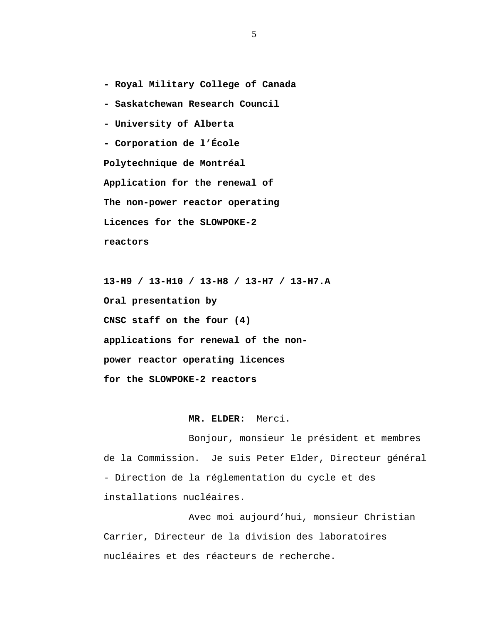**- Royal Military College of Canada** 

- **Saskatchewan Research Council**
- **University of Alberta**

**- Corporation de l'École** 

**Polytechnique de Montréal Application for the renewal of The non-power reactor operating Licences for the SLOWPOKE-2 reactors** 

 **13-H9 / 13-H10 / 13-H8 / 13-H7 / 13-H7.A Oral presentation by CNSC staff on the four (4) applications for renewal of the nonpower reactor operating licences for the SLOWPOKE-2 reactors** 

#### **MR. ELDER:** Merci.

Bonjour, monsieur le président et membres de la Commission. Je suis Peter Elder, Directeur général - Direction de la réglementation du cycle et des installations nucléaires.

Avec moi aujourd'hui, monsieur Christian Carrier, Directeur de la division des laboratoires nucléaires et des réacteurs de recherche.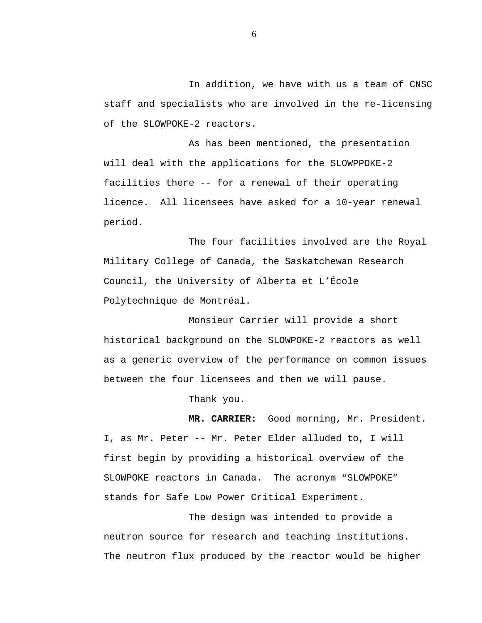In addition, we have with us a team of CNSC staff and specialists who are involved in the re-licensing of the SLOWPOKE-2 reactors.

As has been mentioned, the presentation will deal with the applications for the SLOWPPOKE-2 facilities there -- for a renewal of their operating licence. All licensees have asked for a 10-year renewal period.

The four facilities involved are the Royal Military College of Canada, the Saskatchewan Research Council, the University of Alberta et L'École Polytechnique de Montréal.

Monsieur Carrier will provide a short historical background on the SLOWPOKE-2 reactors as well as a generic overview of the performance on common issues between the four licensees and then we will pause.

Thank you.

**MR. CARRIER:** Good morning, Mr. President. I, as Mr. Peter -- Mr. Peter Elder alluded to, I will first begin by providing a historical overview of the SLOWPOKE reactors in Canada. The acronym "SLOWPOKE" stands for Safe Low Power Critical Experiment.

The design was intended to provide a neutron source for research and teaching institutions. The neutron flux produced by the reactor would be higher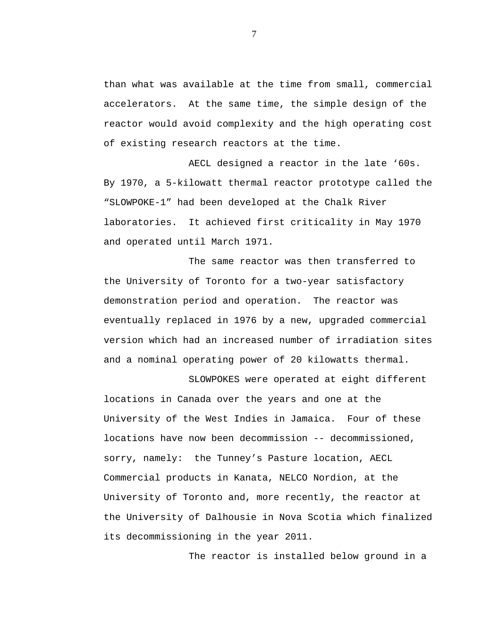than what was available at the time from small, commercial accelerators. At the same time, the simple design of the reactor would avoid complexity and the high operating cost of existing research reactors at the time.

AECL designed a reactor in the late '60s. By 1970, a 5-kilowatt thermal reactor prototype called the "SLOWPOKE-1" had been developed at the Chalk River laboratories. It achieved first criticality in May 1970 and operated until March 1971.

The same reactor was then transferred to the University of Toronto for a two-year satisfactory demonstration period and operation. The reactor was eventually replaced in 1976 by a new, upgraded commercial version which had an increased number of irradiation sites and a nominal operating power of 20 kilowatts thermal.

SLOWPOKES were operated at eight different locations in Canada over the years and one at the University of the West Indies in Jamaica. Four of these locations have now been decommission -- decommissioned, sorry, namely: the Tunney's Pasture location, AECL Commercial products in Kanata, NELCO Nordion, at the University of Toronto and, more recently, the reactor at the University of Dalhousie in Nova Scotia which finalized its decommissioning in the year 2011.

The reactor is installed below ground in a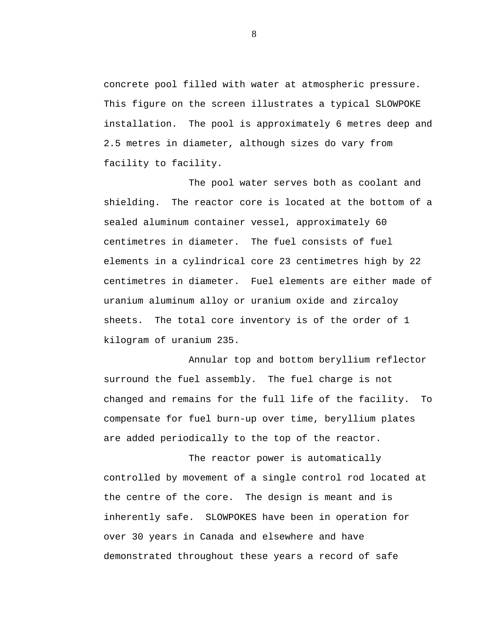concrete pool filled with water at atmospheric pressure. This figure on the screen illustrates a typical SLOWPOKE installation. The pool is approximately 6 metres deep and 2.5 metres in diameter, although sizes do vary from facility to facility.

The pool water serves both as coolant and shielding. The reactor core is located at the bottom of a sealed aluminum container vessel, approximately 60 centimetres in diameter. The fuel consists of fuel elements in a cylindrical core 23 centimetres high by 22 centimetres in diameter. Fuel elements are either made of uranium aluminum alloy or uranium oxide and zircaloy sheets. The total core inventory is of the order of 1 kilogram of uranium 235.

Annular top and bottom beryllium reflector surround the fuel assembly. The fuel charge is not changed and remains for the full life of the facility. To compensate for fuel burn-up over time, beryllium plates are added periodically to the top of the reactor.

The reactor power is automatically controlled by movement of a single control rod located at the centre of the core. The design is meant and is inherently safe. SLOWPOKES have been in operation for over 30 years in Canada and elsewhere and have demonstrated throughout these years a record of safe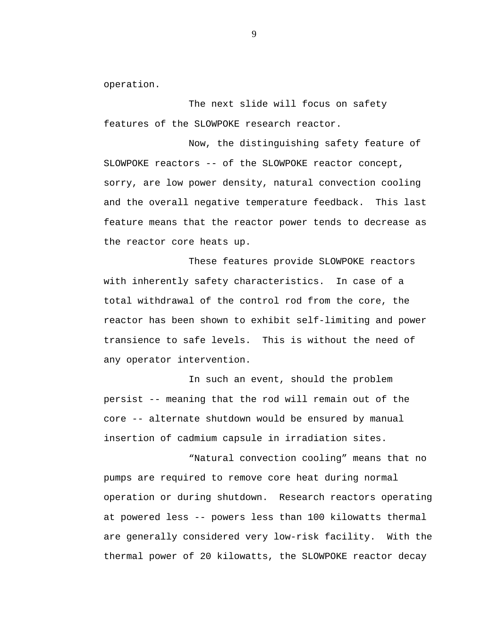operation.

The next slide will focus on safety features of the SLOWPOKE research reactor.

Now, the distinguishing safety feature of SLOWPOKE reactors -- of the SLOWPOKE reactor concept, sorry, are low power density, natural convection cooling and the overall negative temperature feedback. This last feature means that the reactor power tends to decrease as the reactor core heats up.

These features provide SLOWPOKE reactors with inherently safety characteristics. In case of a total withdrawal of the control rod from the core, the reactor has been shown to exhibit self-limiting and power transience to safe levels. This is without the need of any operator intervention.

In such an event, should the problem persist -- meaning that the rod will remain out of the core -- alternate shutdown would be ensured by manual insertion of cadmium capsule in irradiation sites.

"Natural convection cooling" means that no pumps are required to remove core heat during normal operation or during shutdown. Research reactors operating at powered less -- powers less than 100 kilowatts thermal are generally considered very low-risk facility. With the thermal power of 20 kilowatts, the SLOWPOKE reactor decay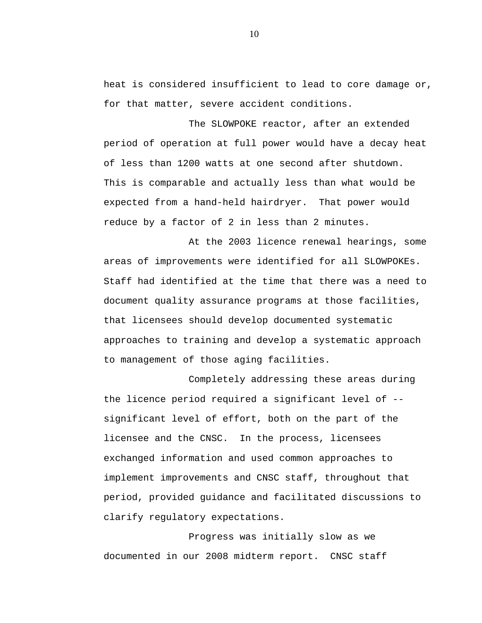heat is considered insufficient to lead to core damage or, for that matter, severe accident conditions.

The SLOWPOKE reactor, after an extended period of operation at full power would have a decay heat of less than 1200 watts at one second after shutdown. This is comparable and actually less than what would be expected from a hand-held hairdryer. That power would reduce by a factor of 2 in less than 2 minutes.

At the 2003 licence renewal hearings, some areas of improvements were identified for all SLOWPOKEs. Staff had identified at the time that there was a need to document quality assurance programs at those facilities, that licensees should develop documented systematic approaches to training and develop a systematic approach to management of those aging facilities.

Completely addressing these areas during the licence period required a significant level of - significant level of effort, both on the part of the licensee and the CNSC. In the process, licensees exchanged information and used common approaches to implement improvements and CNSC staff, throughout that period, provided guidance and facilitated discussions to clarify regulatory expectations.

Progress was initially slow as we documented in our 2008 midterm report. CNSC staff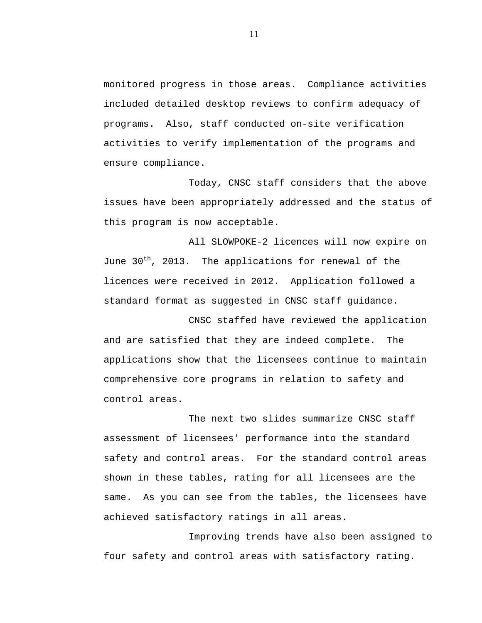monitored progress in those areas. Compliance activities included detailed desktop reviews to confirm adequacy of programs. Also, staff conducted on-site verification activities to verify implementation of the programs and ensure compliance.

Today, CNSC staff considers that the above issues have been appropriately addressed and the status of this program is now acceptable.

All SLOWPOKE-2 licences will now expire on June 30<sup>th</sup>, 2013. The applications for renewal of the licences were received in 2012. Application followed a standard format as suggested in CNSC staff guidance.

CNSC staffed have reviewed the application and are satisfied that they are indeed complete. The applications show that the licensees continue to maintain comprehensive core programs in relation to safety and control areas.

The next two slides summarize CNSC staff assessment of licensees' performance into the standard safety and control areas. For the standard control areas shown in these tables, rating for all licensees are the same. As you can see from the tables, the licensees have achieved satisfactory ratings in all areas.

Improving trends have also been assigned to four safety and control areas with satisfactory rating.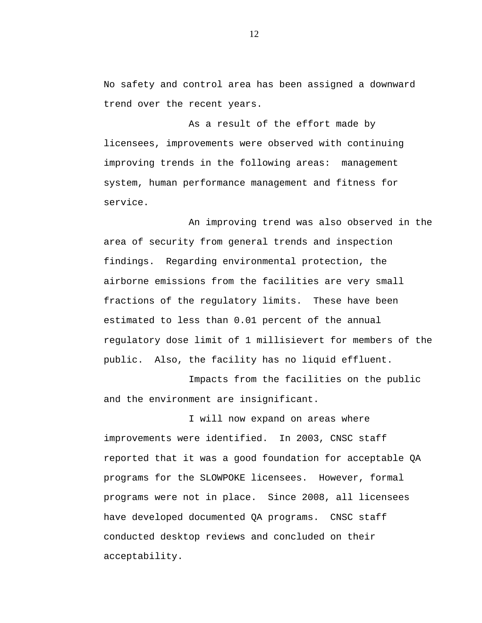No safety and control area has been assigned a downward trend over the recent years.

As a result of the effort made by licensees, improvements were observed with continuing improving trends in the following areas: management system, human performance management and fitness for service.

An improving trend was also observed in the area of security from general trends and inspection findings. Regarding environmental protection, the airborne emissions from the facilities are very small fractions of the regulatory limits. These have been estimated to less than 0.01 percent of the annual regulatory dose limit of 1 millisievert for members of the public. Also, the facility has no liquid effluent.

Impacts from the facilities on the public and the environment are insignificant.

I will now expand on areas where improvements were identified. In 2003, CNSC staff reported that it was a good foundation for acceptable QA programs for the SLOWPOKE licensees. However, formal programs were not in place. Since 2008, all licensees have developed documented QA programs. CNSC staff conducted desktop reviews and concluded on their acceptability.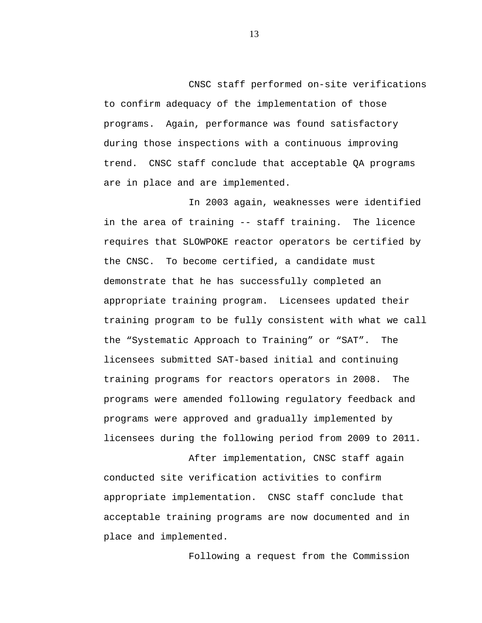CNSC staff performed on-site verifications to confirm adequacy of the implementation of those programs. Again, performance was found satisfactory during those inspections with a continuous improving trend. CNSC staff conclude that acceptable QA programs are in place and are implemented.

In 2003 again, weaknesses were identified in the area of training -- staff training. The licence requires that SLOWPOKE reactor operators be certified by the CNSC. To become certified, a candidate must demonstrate that he has successfully completed an appropriate training program. Licensees updated their training program to be fully consistent with what we call the "Systematic Approach to Training" or "SAT". The licensees submitted SAT-based initial and continuing training programs for reactors operators in 2008. The programs were amended following regulatory feedback and programs were approved and gradually implemented by licensees during the following period from 2009 to 2011.

After implementation, CNSC staff again conducted site verification activities to confirm appropriate implementation. CNSC staff conclude that acceptable training programs are now documented and in place and implemented.

Following a request from the Commission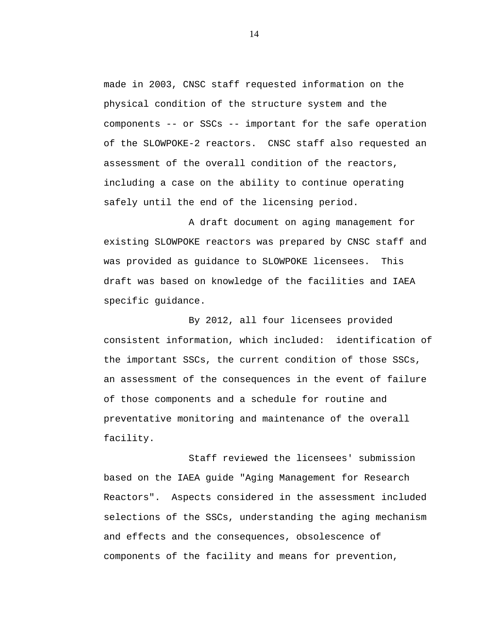made in 2003, CNSC staff requested information on the physical condition of the structure system and the components -- or SSCs -- important for the safe operation of the SLOWPOKE-2 reactors. CNSC staff also requested an assessment of the overall condition of the reactors, including a case on the ability to continue operating safely until the end of the licensing period.

A draft document on aging management for existing SLOWPOKE reactors was prepared by CNSC staff and was provided as guidance to SLOWPOKE licensees. This draft was based on knowledge of the facilities and IAEA specific guidance.

By 2012, all four licensees provided consistent information, which included: identification of the important SSCs, the current condition of those SSCs, an assessment of the consequences in the event of failure of those components and a schedule for routine and preventative monitoring and maintenance of the overall facility.

Staff reviewed the licensees' submission based on the IAEA guide "Aging Management for Research Reactors". Aspects considered in the assessment included selections of the SSCs, understanding the aging mechanism and effects and the consequences, obsolescence of components of the facility and means for prevention,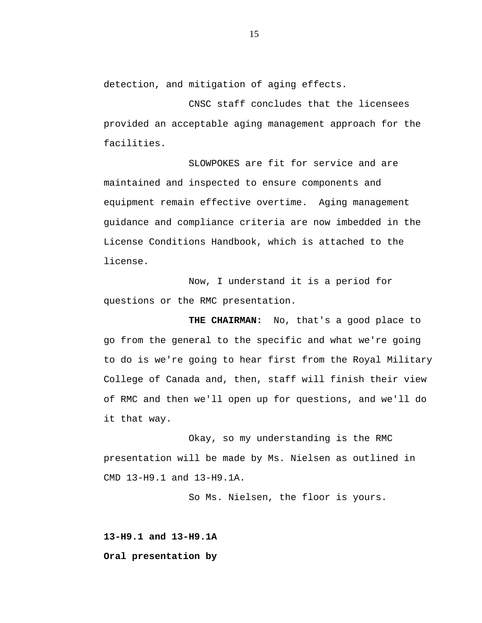detection, and mitigation of aging effects.

CNSC staff concludes that the licensees provided an acceptable aging management approach for the facilities.

SLOWPOKES are fit for service and are maintained and inspected to ensure components and equipment remain effective overtime. Aging management guidance and compliance criteria are now imbedded in the License Conditions Handbook, which is attached to the license.

Now, I understand it is a period for questions or the RMC presentation.

**THE CHAIRMAN:** No, that's a good place to go from the general to the specific and what we're going to do is we're going to hear first from the Royal Military College of Canada and, then, staff will finish their view of RMC and then we'll open up for questions, and we'll do it that way.

Okay, so my understanding is the RMC presentation will be made by Ms. Nielsen as outlined in CMD 13-H9.1 and 13-H9.1A.

So Ms. Nielsen, the floor is yours.

**13-H9.1 and 13-H9.1A Oral presentation by**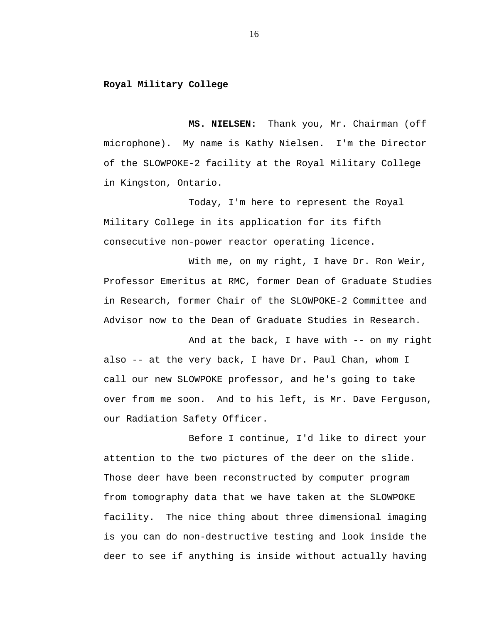### **Royal Military College**

**MS. NIELSEN:** Thank you, Mr. Chairman (off microphone). My name is Kathy Nielsen. I'm the Director of the SLOWPOKE-2 facility at the Royal Military College in Kingston, Ontario.

Today, I'm here to represent the Royal Military College in its application for its fifth consecutive non-power reactor operating licence.

With me, on my right, I have Dr. Ron Weir, Professor Emeritus at RMC, former Dean of Graduate Studies in Research, former Chair of the SLOWPOKE-2 Committee and Advisor now to the Dean of Graduate Studies in Research.

And at the back, I have with -- on my right also -- at the very back, I have Dr. Paul Chan, whom I call our new SLOWPOKE professor, and he's going to take over from me soon. And to his left, is Mr. Dave Ferguson, our Radiation Safety Officer.

Before I continue, I'd like to direct your attention to the two pictures of the deer on the slide. Those deer have been reconstructed by computer program from tomography data that we have taken at the SLOWPOKE facility. The nice thing about three dimensional imaging is you can do non-destructive testing and look inside the deer to see if anything is inside without actually having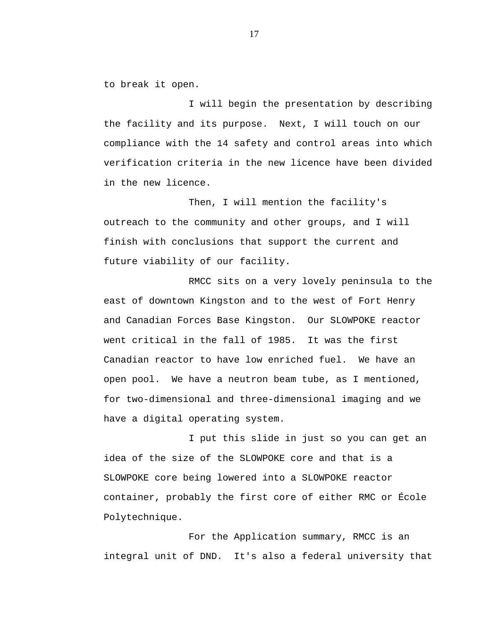to break it open.

I will begin the presentation by describing the facility and its purpose. Next, I will touch on our compliance with the 14 safety and control areas into which verification criteria in the new licence have been divided in the new licence.

Then, I will mention the facility's outreach to the community and other groups, and I will finish with conclusions that support the current and future viability of our facility.

RMCC sits on a very lovely peninsula to the east of downtown Kingston and to the west of Fort Henry and Canadian Forces Base Kingston. Our SLOWPOKE reactor went critical in the fall of 1985. It was the first Canadian reactor to have low enriched fuel. We have an open pool. We have a neutron beam tube, as I mentioned, for two-dimensional and three-dimensional imaging and we have a digital operating system.

I put this slide in just so you can get an idea of the size of the SLOWPOKE core and that is a SLOWPOKE core being lowered into a SLOWPOKE reactor container, probably the first core of either RMC or École Polytechnique.

For the Application summary, RMCC is an integral unit of DND. It's also a federal university that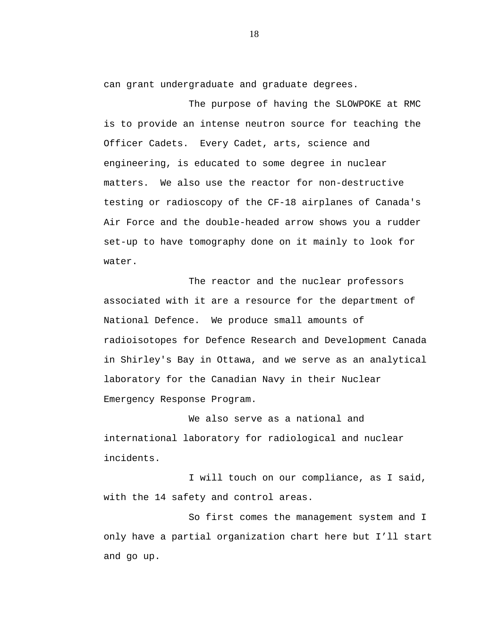can grant undergraduate and graduate degrees.

The purpose of having the SLOWPOKE at RMC is to provide an intense neutron source for teaching the Officer Cadets. Every Cadet, arts, science and engineering, is educated to some degree in nuclear matters. We also use the reactor for non-destructive testing or radioscopy of the CF-18 airplanes of Canada's Air Force and the double-headed arrow shows you a rudder set-up to have tomography done on it mainly to look for water.

The reactor and the nuclear professors associated with it are a resource for the department of National Defence. We produce small amounts of radioisotopes for Defence Research and Development Canada in Shirley's Bay in Ottawa, and we serve as an analytical laboratory for the Canadian Navy in their Nuclear Emergency Response Program.

We also serve as a national and international laboratory for radiological and nuclear incidents.

I will touch on our compliance, as I said, with the 14 safety and control areas.

So first comes the management system and I only have a partial organization chart here but I'll start and go up.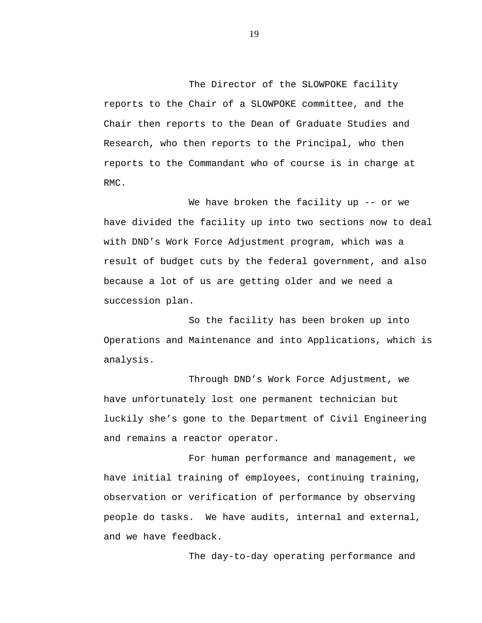The Director of the SLOWPOKE facility reports to the Chair of a SLOWPOKE committee, and the Chair then reports to the Dean of Graduate Studies and Research, who then reports to the Principal, who then reports to the Commandant who of course is in charge at RMC.

We have broken the facility up -- or we have divided the facility up into two sections now to deal with DND's Work Force Adjustment program, which was a result of budget cuts by the federal government, and also because a lot of us are getting older and we need a succession plan.

So the facility has been broken up into Operations and Maintenance and into Applications, which is analysis.

Through DND's Work Force Adjustment, we have unfortunately lost one permanent technician but luckily she's gone to the Department of Civil Engineering and remains a reactor operator.

For human performance and management, we have initial training of employees, continuing training, observation or verification of performance by observing people do tasks. We have audits, internal and external, and we have feedback.

The day-to-day operating performance and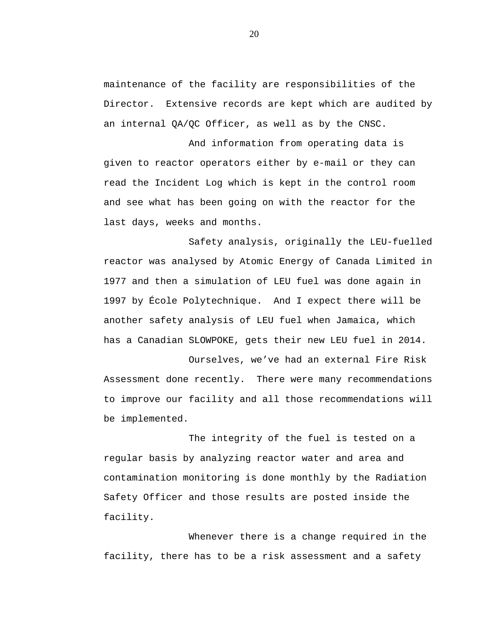maintenance of the facility are responsibilities of the Director. Extensive records are kept which are audited by an internal QA/QC Officer, as well as by the CNSC.

And information from operating data is given to reactor operators either by e-mail or they can read the Incident Log which is kept in the control room and see what has been going on with the reactor for the last days, weeks and months.

Safety analysis, originally the LEU-fuelled reactor was analysed by Atomic Energy of Canada Limited in 1977 and then a simulation of LEU fuel was done again in 1997 by École Polytechnique. And I expect there will be another safety analysis of LEU fuel when Jamaica, which has a Canadian SLOWPOKE, gets their new LEU fuel in 2014.

Ourselves, we've had an external Fire Risk Assessment done recently. There were many recommendations to improve our facility and all those recommendations will be implemented.

The integrity of the fuel is tested on a regular basis by analyzing reactor water and area and contamination monitoring is done monthly by the Radiation Safety Officer and those results are posted inside the facility.

Whenever there is a change required in the facility, there has to be a risk assessment and a safety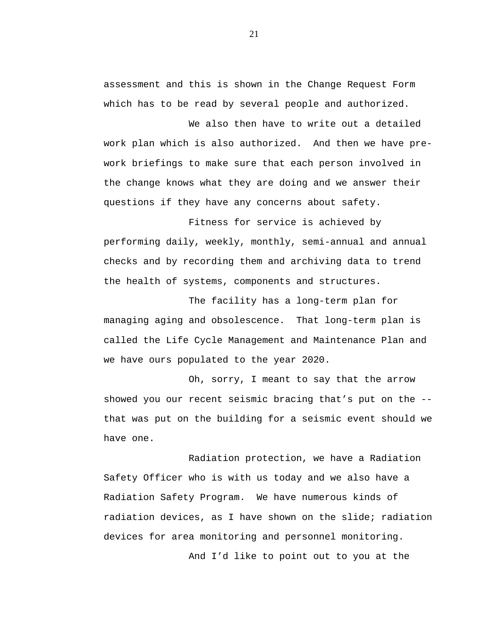assessment and this is shown in the Change Request Form which has to be read by several people and authorized.

We also then have to write out a detailed work plan which is also authorized. And then we have prework briefings to make sure that each person involved in the change knows what they are doing and we answer their questions if they have any concerns about safety.

Fitness for service is achieved by performing daily, weekly, monthly, semi-annual and annual checks and by recording them and archiving data to trend the health of systems, components and structures.

The facility has a long-term plan for managing aging and obsolescence. That long-term plan is called the Life Cycle Management and Maintenance Plan and we have ours populated to the year 2020.

Oh, sorry, I meant to say that the arrow showed you our recent seismic bracing that's put on the - that was put on the building for a seismic event should we have one.

Radiation protection, we have a Radiation Safety Officer who is with us today and we also have a Radiation Safety Program. We have numerous kinds of radiation devices, as I have shown on the slide; radiation devices for area monitoring and personnel monitoring.

And I'd like to point out to you at the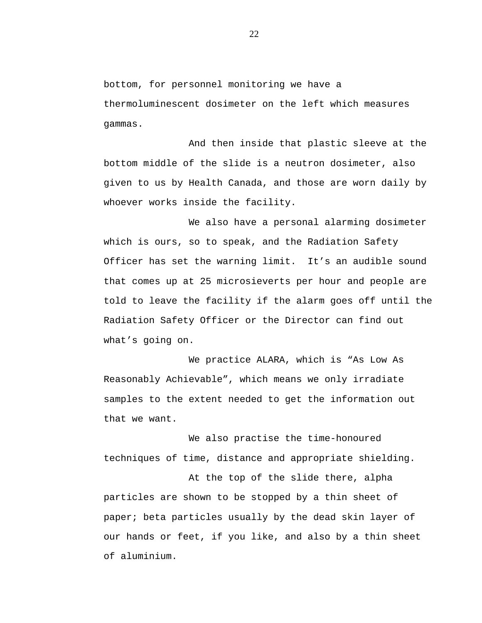bottom, for personnel monitoring we have a thermoluminescent dosimeter on the left which measures gammas.

And then inside that plastic sleeve at the bottom middle of the slide is a neutron dosimeter, also given to us by Health Canada, and those are worn daily by whoever works inside the facility.

We also have a personal alarming dosimeter which is ours, so to speak, and the Radiation Safety Officer has set the warning limit. It's an audible sound that comes up at 25 microsieverts per hour and people are told to leave the facility if the alarm goes off until the Radiation Safety Officer or the Director can find out what's going on.

We practice ALARA, which is "As Low As Reasonably Achievable", which means we only irradiate samples to the extent needed to get the information out that we want.

We also practise the time-honoured techniques of time, distance and appropriate shielding.

At the top of the slide there, alpha particles are shown to be stopped by a thin sheet of paper; beta particles usually by the dead skin layer of our hands or feet, if you like, and also by a thin sheet of aluminium.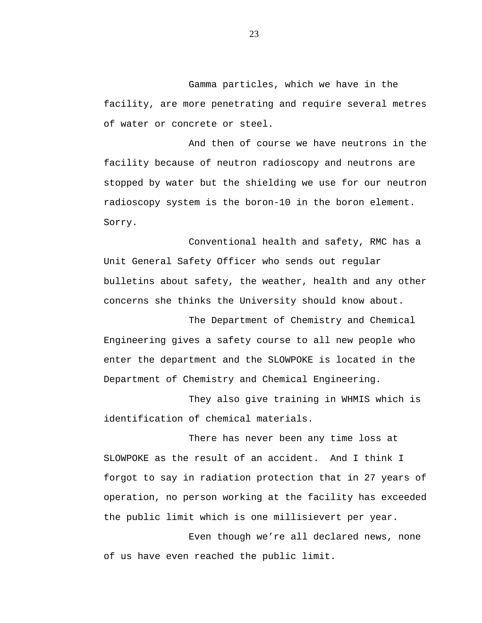Gamma particles, which we have in the facility, are more penetrating and require several metres of water or concrete or steel.

And then of course we have neutrons in the facility because of neutron radioscopy and neutrons are stopped by water but the shielding we use for our neutron radioscopy system is the boron-10 in the boron element. Sorry.

Conventional health and safety, RMC has a Unit General Safety Officer who sends out regular bulletins about safety, the weather, health and any other concerns she thinks the University should know about.

The Department of Chemistry and Chemical Engineering gives a safety course to all new people who enter the department and the SLOWPOKE is located in the Department of Chemistry and Chemical Engineering.

They also give training in WHMIS which is identification of chemical materials.

There has never been any time loss at SLOWPOKE as the result of an accident. And I think I forgot to say in radiation protection that in 27 years of operation, no person working at the facility has exceeded the public limit which is one millisievert per year.

Even though we're all declared news, none of us have even reached the public limit.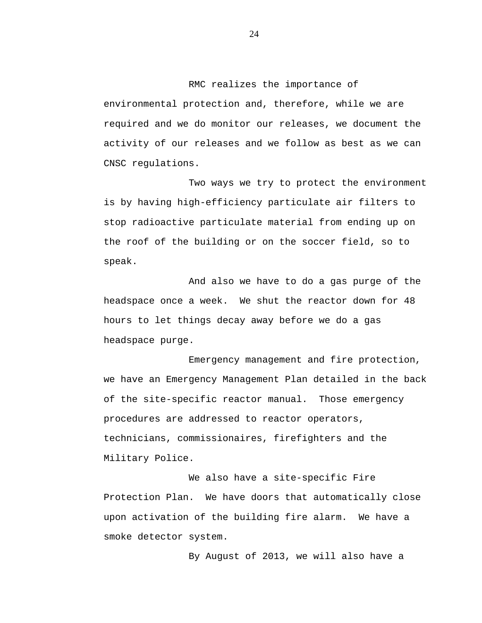RMC realizes the importance of environmental protection and, therefore, while we are required and we do monitor our releases, we document the activity of our releases and we follow as best as we can CNSC regulations.

Two ways we try to protect the environment is by having high-efficiency particulate air filters to stop radioactive particulate material from ending up on the roof of the building or on the soccer field, so to speak.

And also we have to do a gas purge of the headspace once a week. We shut the reactor down for 48 hours to let things decay away before we do a gas headspace purge.

Emergency management and fire protection, we have an Emergency Management Plan detailed in the back of the site-specific reactor manual. Those emergency procedures are addressed to reactor operators, technicians, commissionaires, firefighters and the Military Police.

We also have a site-specific Fire Protection Plan. We have doors that automatically close upon activation of the building fire alarm. We have a smoke detector system.

By August of 2013, we will also have a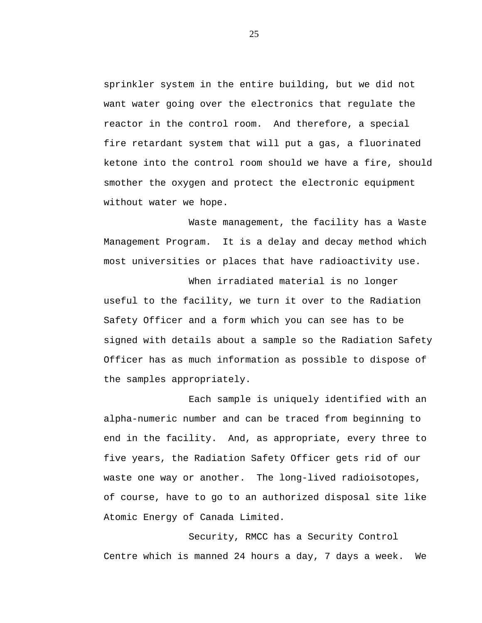sprinkler system in the entire building, but we did not want water going over the electronics that regulate the reactor in the control room. And therefore, a special fire retardant system that will put a gas, a fluorinated ketone into the control room should we have a fire, should smother the oxygen and protect the electronic equipment without water we hope.

Waste management, the facility has a Waste Management Program. It is a delay and decay method which most universities or places that have radioactivity use.

When irradiated material is no longer useful to the facility, we turn it over to the Radiation Safety Officer and a form which you can see has to be signed with details about a sample so the Radiation Safety Officer has as much information as possible to dispose of the samples appropriately.

Each sample is uniquely identified with an alpha-numeric number and can be traced from beginning to end in the facility. And, as appropriate, every three to five years, the Radiation Safety Officer gets rid of our waste one way or another. The long-lived radioisotopes, of course, have to go to an authorized disposal site like Atomic Energy of Canada Limited.

Security, RMCC has a Security Control Centre which is manned 24 hours a day, 7 days a week. We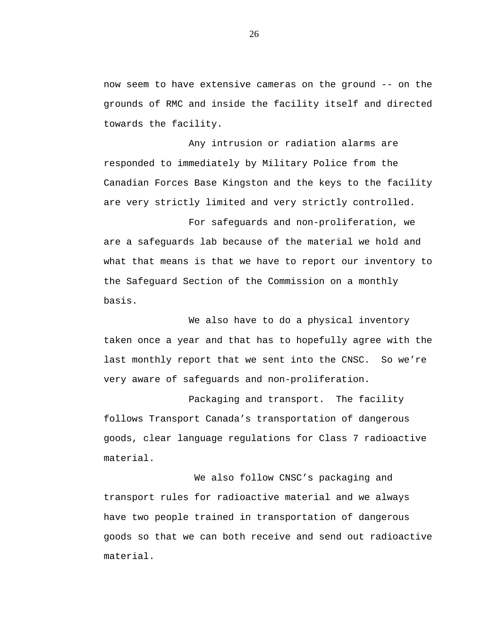now seem to have extensive cameras on the ground -- on the grounds of RMC and inside the facility itself and directed towards the facility.

Any intrusion or radiation alarms are responded to immediately by Military Police from the Canadian Forces Base Kingston and the keys to the facility are very strictly limited and very strictly controlled.

For safeguards and non-proliferation, we are a safeguards lab because of the material we hold and what that means is that we have to report our inventory to the Safeguard Section of the Commission on a monthly basis.

We also have to do a physical inventory taken once a year and that has to hopefully agree with the last monthly report that we sent into the CNSC. So we're very aware of safeguards and non-proliferation.

Packaging and transport. The facility follows Transport Canada's transportation of dangerous goods, clear language regulations for Class 7 radioactive material.

We also follow CNSC's packaging and transport rules for radioactive material and we always have two people trained in transportation of dangerous goods so that we can both receive and send out radioactive material.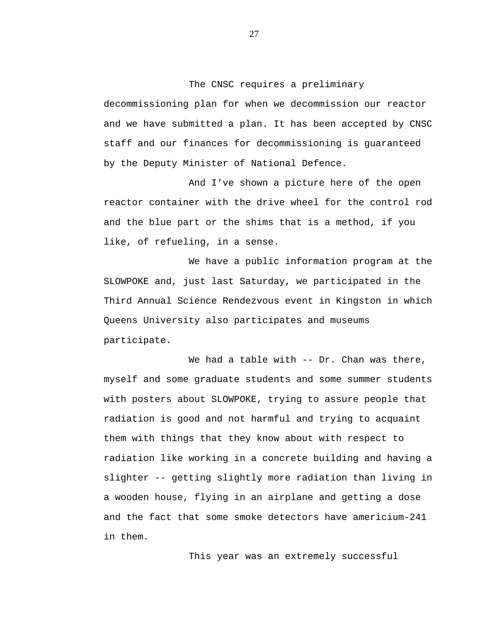The CNSC requires a preliminary

decommissioning plan for when we decommission our reactor and we have submitted a plan. It has been accepted by CNSC staff and our finances for decommissioning is guaranteed by the Deputy Minister of National Defence.

And I've shown a picture here of the open reactor container with the drive wheel for the control rod and the blue part or the shims that is a method, if you like, of refueling, in a sense.

We have a public information program at the SLOWPOKE and, just last Saturday, we participated in the Third Annual Science Rendezvous event in Kingston in which Queens University also participates and museums participate.

We had a table with -- Dr. Chan was there, myself and some graduate students and some summer students with posters about SLOWPOKE, trying to assure people that radiation is good and not harmful and trying to acquaint them with things that they know about with respect to radiation like working in a concrete building and having a slighter -- getting slightly more radiation than living in a wooden house, flying in an airplane and getting a dose and the fact that some smoke detectors have americium-241 in them.

This year was an extremely successful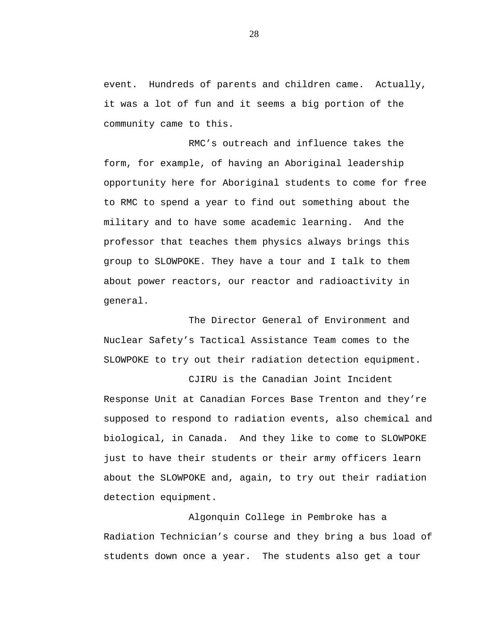event. Hundreds of parents and children came. Actually, it was a lot of fun and it seems a big portion of the community came to this.

RMC's outreach and influence takes the form, for example, of having an Aboriginal leadership opportunity here for Aboriginal students to come for free to RMC to spend a year to find out something about the military and to have some academic learning. And the professor that teaches them physics always brings this group to SLOWPOKE. They have a tour and I talk to them about power reactors, our reactor and radioactivity in general.

The Director General of Environment and Nuclear Safety's Tactical Assistance Team comes to the SLOWPOKE to try out their radiation detection equipment.

CJIRU is the Canadian Joint Incident Response Unit at Canadian Forces Base Trenton and they're supposed to respond to radiation events, also chemical and biological, in Canada. And they like to come to SLOWPOKE just to have their students or their army officers learn about the SLOWPOKE and, again, to try out their radiation detection equipment.

Algonquin College in Pembroke has a Radiation Technician's course and they bring a bus load of students down once a year. The students also get a tour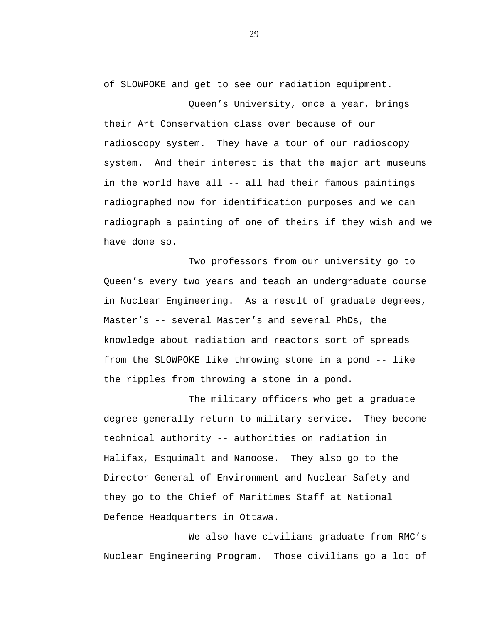of SLOWPOKE and get to see our radiation equipment.

Queen's University, once a year, brings their Art Conservation class over because of our radioscopy system. They have a tour of our radioscopy system. And their interest is that the major art museums in the world have all -- all had their famous paintings radiographed now for identification purposes and we can radiograph a painting of one of theirs if they wish and we have done so.

Two professors from our university go to Queen's every two years and teach an undergraduate course in Nuclear Engineering. As a result of graduate degrees, Master's -- several Master's and several PhDs, the knowledge about radiation and reactors sort of spreads from the SLOWPOKE like throwing stone in a pond -- like the ripples from throwing a stone in a pond.

The military officers who get a graduate degree generally return to military service. They become technical authority -- authorities on radiation in Halifax, Esquimalt and Nanoose. They also go to the Director General of Environment and Nuclear Safety and they go to the Chief of Maritimes Staff at National Defence Headquarters in Ottawa.

We also have civilians graduate from RMC's Nuclear Engineering Program. Those civilians go a lot of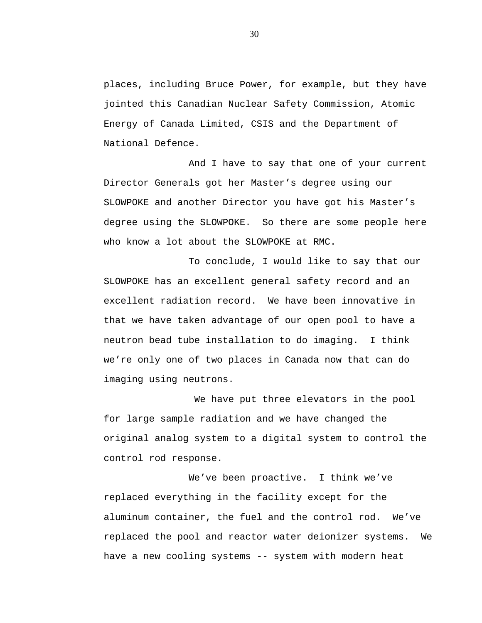places, including Bruce Power, for example, but they have jointed this Canadian Nuclear Safety Commission, Atomic Energy of Canada Limited, CSIS and the Department of National Defence.

And I have to say that one of your current Director Generals got her Master's degree using our SLOWPOKE and another Director you have got his Master's degree using the SLOWPOKE. So there are some people here who know a lot about the SLOWPOKE at RMC.

To conclude, I would like to say that our SLOWPOKE has an excellent general safety record and an excellent radiation record. We have been innovative in that we have taken advantage of our open pool to have a neutron bead tube installation to do imaging. I think we're only one of two places in Canada now that can do imaging using neutrons.

We have put three elevators in the pool for large sample radiation and we have changed the original analog system to a digital system to control the control rod response.

We've been proactive. I think we've replaced everything in the facility except for the aluminum container, the fuel and the control rod. We've replaced the pool and reactor water deionizer systems. We have a new cooling systems -- system with modern heat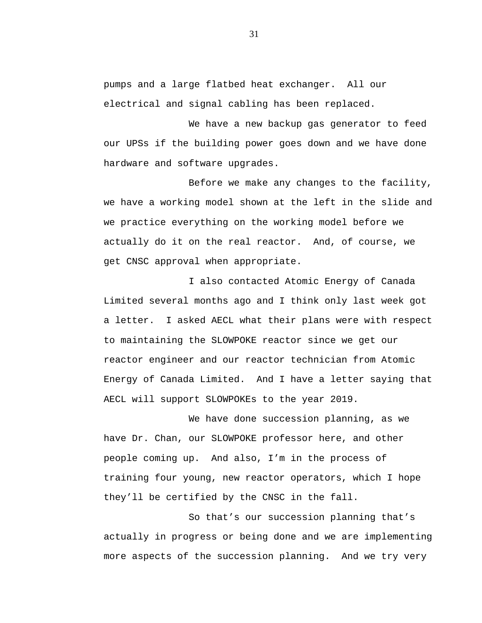pumps and a large flatbed heat exchanger. All our electrical and signal cabling has been replaced.

We have a new backup gas generator to feed our UPSs if the building power goes down and we have done hardware and software upgrades.

Before we make any changes to the facility, we have a working model shown at the left in the slide and we practice everything on the working model before we actually do it on the real reactor. And, of course, we get CNSC approval when appropriate.

I also contacted Atomic Energy of Canada Limited several months ago and I think only last week got a letter. I asked AECL what their plans were with respect to maintaining the SLOWPOKE reactor since we get our reactor engineer and our reactor technician from Atomic Energy of Canada Limited. And I have a letter saying that AECL will support SLOWPOKEs to the year 2019.

We have done succession planning, as we have Dr. Chan, our SLOWPOKE professor here, and other people coming up. And also, I'm in the process of training four young, new reactor operators, which I hope they'll be certified by the CNSC in the fall.

So that's our succession planning that's actually in progress or being done and we are implementing more aspects of the succession planning. And we try very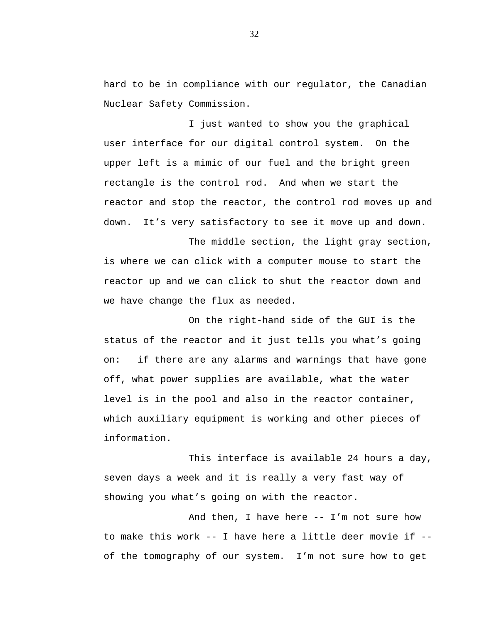hard to be in compliance with our regulator, the Canadian Nuclear Safety Commission.

I just wanted to show you the graphical user interface for our digital control system. On the upper left is a mimic of our fuel and the bright green rectangle is the control rod. And when we start the reactor and stop the reactor, the control rod moves up and down. It's very satisfactory to see it move up and down.

The middle section, the light gray section, is where we can click with a computer mouse to start the reactor up and we can click to shut the reactor down and we have change the flux as needed.

On the right-hand side of the GUI is the status of the reactor and it just tells you what's going on: if there are any alarms and warnings that have gone off, what power supplies are available, what the water level is in the pool and also in the reactor container, which auxiliary equipment is working and other pieces of information.

This interface is available 24 hours a day, seven days a week and it is really a very fast way of showing you what's going on with the reactor.

And then, I have here -- I'm not sure how to make this work -- I have here a little deer movie if - of the tomography of our system. I'm not sure how to get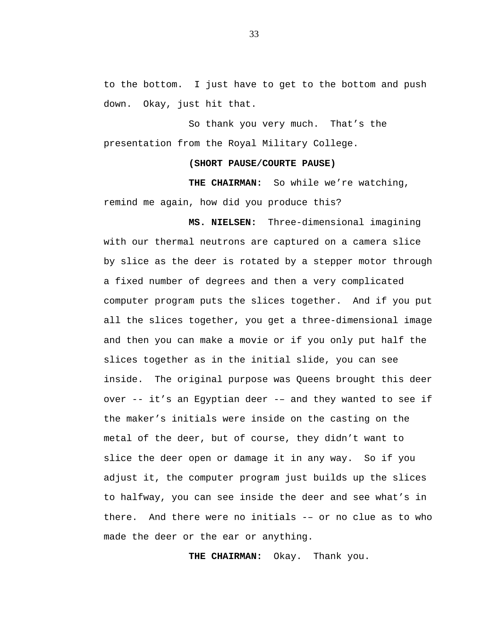to the bottom. I just have to get to the bottom and push down. Okay, just hit that.

So thank you very much. That's the presentation from the Royal Military College.

#### **(SHORT PAUSE/COURTE PAUSE)**

**THE CHAIRMAN:** So while we're watching, remind me again, how did you produce this?

**MS. NIELSEN:** Three-dimensional imagining with our thermal neutrons are captured on a camera slice by slice as the deer is rotated by a stepper motor through a fixed number of degrees and then a very complicated computer program puts the slices together. And if you put all the slices together, you get a three-dimensional image and then you can make a movie or if you only put half the slices together as in the initial slide, you can see inside. The original purpose was Queens brought this deer over -- it's an Egyptian deer -– and they wanted to see if the maker's initials were inside on the casting on the metal of the deer, but of course, they didn't want to slice the deer open or damage it in any way. So if you adjust it, the computer program just builds up the slices to halfway, you can see inside the deer and see what's in there. And there were no initials -– or no clue as to who made the deer or the ear or anything.

**THE CHAIRMAN:** Okay. Thank you.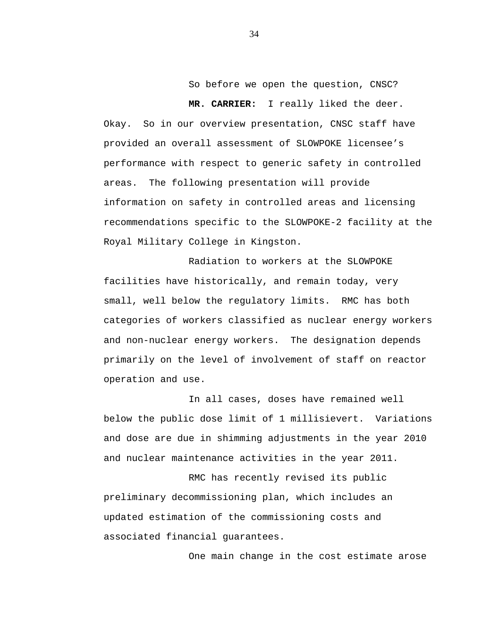So before we open the question, CNSC?

 **MR. CARRIER:** I really liked the deer. Okay. So in our overview presentation, CNSC staff have provided an overall assessment of SLOWPOKE licensee's performance with respect to generic safety in controlled areas. The following presentation will provide information on safety in controlled areas and licensing recommendations specific to the SLOWPOKE-2 facility at the Royal Military College in Kingston.

Radiation to workers at the SLOWPOKE facilities have historically, and remain today, very small, well below the regulatory limits. RMC has both categories of workers classified as nuclear energy workers and non-nuclear energy workers. The designation depends primarily on the level of involvement of staff on reactor operation and use.

In all cases, doses have remained well below the public dose limit of 1 millisievert. Variations and dose are due in shimming adjustments in the year 2010 and nuclear maintenance activities in the year 2011.

RMC has recently revised its public preliminary decommissioning plan, which includes an updated estimation of the commissioning costs and associated financial guarantees.

One main change in the cost estimate arose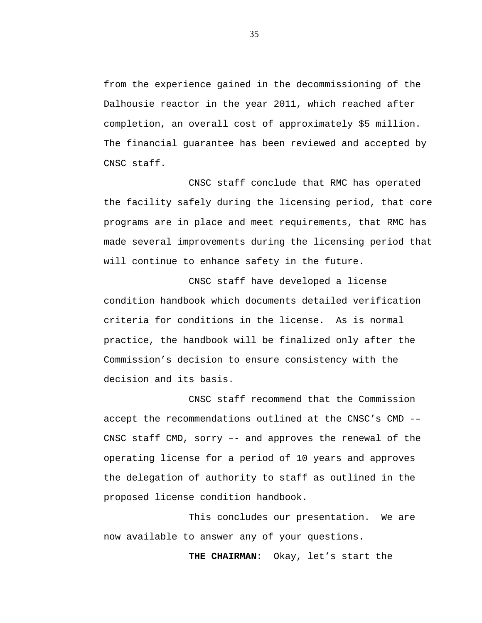from the experience gained in the decommissioning of the Dalhousie reactor in the year 2011, which reached after completion, an overall cost of approximately \$5 million. The financial guarantee has been reviewed and accepted by CNSC staff.

CNSC staff conclude that RMC has operated the facility safely during the licensing period, that core programs are in place and meet requirements, that RMC has made several improvements during the licensing period that will continue to enhance safety in the future.

CNSC staff have developed a license condition handbook which documents detailed verification criteria for conditions in the license. As is normal practice, the handbook will be finalized only after the Commission's decision to ensure consistency with the decision and its basis.

CNSC staff recommend that the Commission accept the recommendations outlined at the CNSC's CMD -– CNSC staff CMD, sorry –- and approves the renewal of the operating license for a period of 10 years and approves the delegation of authority to staff as outlined in the proposed license condition handbook.

This concludes our presentation. We are now available to answer any of your questions.

**THE CHAIRMAN:** Okay, let's start the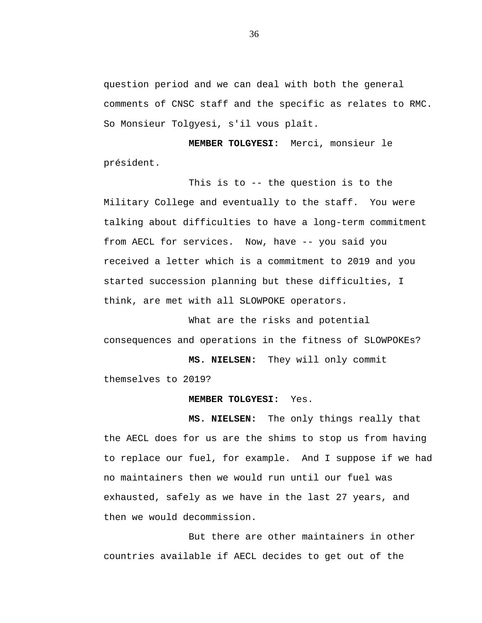question period and we can deal with both the general comments of CNSC staff and the specific as relates to RMC. So Monsieur Tolgyesi, s'il vous plaît.

 **MEMBER TOLGYESI:** Merci, monsieur le président.

This is to -- the question is to the Military College and eventually to the staff. You were talking about difficulties to have a long-term commitment from AECL for services. Now, have -- you said you received a letter which is a commitment to 2019 and you started succession planning but these difficulties, I think, are met with all SLOWPOKE operators.

What are the risks and potential consequences and operations in the fitness of SLOWPOKEs?

 **MS. NIELSEN:** They will only commit themselves to 2019?

## **MEMBER TOLGYESI:** Yes.

 **MS. NIELSEN:** The only things really that the AECL does for us are the shims to stop us from having to replace our fuel, for example. And I suppose if we had no maintainers then we would run until our fuel was exhausted, safely as we have in the last 27 years, and then we would decommission.

But there are other maintainers in other countries available if AECL decides to get out of the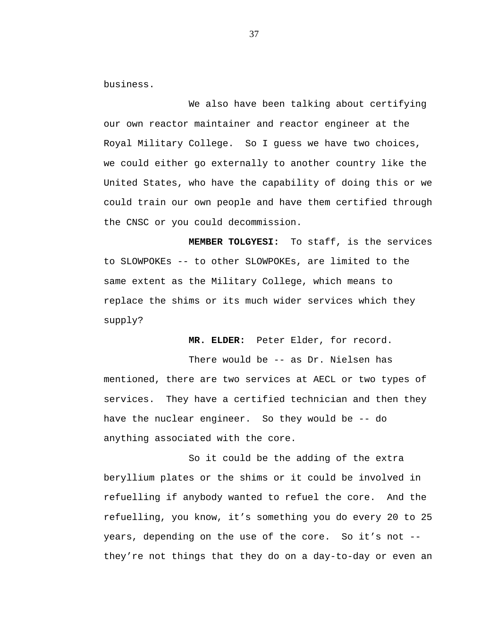business.

We also have been talking about certifying our own reactor maintainer and reactor engineer at the Royal Military College. So I guess we have two choices, we could either go externally to another country like the United States, who have the capability of doing this or we could train our own people and have them certified through the CNSC or you could decommission.

**MEMBER TOLGYESI:** To staff, is the services to SLOWPOKEs -- to other SLOWPOKEs, are limited to the same extent as the Military College, which means to replace the shims or its much wider services which they supply?

 **MR. ELDER:** Peter Elder, for record.

There would be -- as Dr. Nielsen has mentioned, there are two services at AECL or two types of services. They have a certified technician and then they have the nuclear engineer. So they would be -- do anything associated with the core.

So it could be the adding of the extra beryllium plates or the shims or it could be involved in refuelling if anybody wanted to refuel the core. And the refuelling, you know, it's something you do every 20 to 25 years, depending on the use of the core. So it's not - they're not things that they do on a day-to-day or even an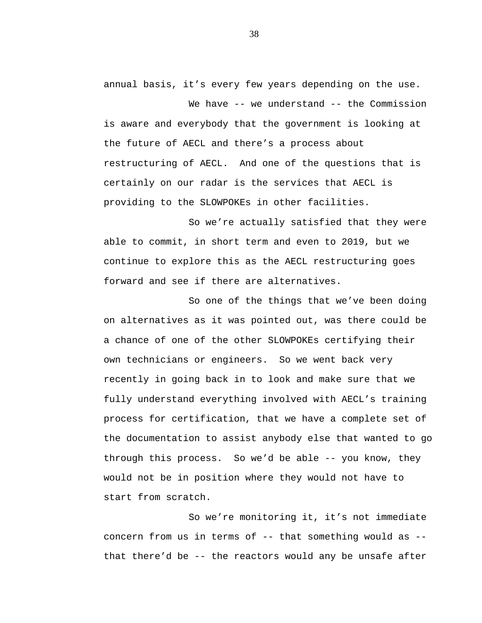annual basis, it's every few years depending on the use.

We have -- we understand -- the Commission is aware and everybody that the government is looking at the future of AECL and there's a process about restructuring of AECL. And one of the questions that is certainly on our radar is the services that AECL is providing to the SLOWPOKEs in other facilities.

So we're actually satisfied that they were able to commit, in short term and even to 2019, but we continue to explore this as the AECL restructuring goes forward and see if there are alternatives.

So one of the things that we've been doing on alternatives as it was pointed out, was there could be a chance of one of the other SLOWPOKEs certifying their own technicians or engineers. So we went back very recently in going back in to look and make sure that we fully understand everything involved with AECL's training process for certification, that we have a complete set of the documentation to assist anybody else that wanted to go through this process. So we'd be able -- you know, they would not be in position where they would not have to start from scratch.

So we're monitoring it, it's not immediate concern from us in terms of  $-$ - that something would as  $-$ that there'd be -- the reactors would any be unsafe after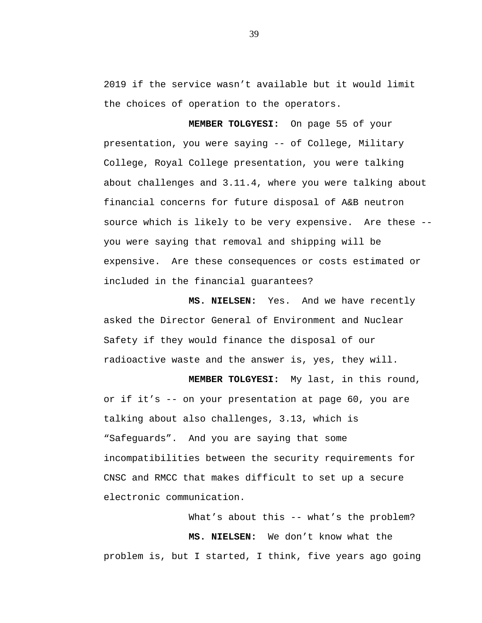2019 if the service wasn't available but it would limit the choices of operation to the operators.

**MEMBER TOLGYESI:** On page 55 of your presentation, you were saying -- of College, Military College, Royal College presentation, you were talking about challenges and 3.11.4, where you were talking about financial concerns for future disposal of A&B neutron source which is likely to be very expensive. Are these - you were saying that removal and shipping will be expensive. Are these consequences or costs estimated or included in the financial guarantees?

 **MS. NIELSEN:** Yes. And we have recently asked the Director General of Environment and Nuclear Safety if they would finance the disposal of our radioactive waste and the answer is, yes, they will.

 **MEMBER TOLGYESI:** My last, in this round, or if it's -- on your presentation at page 60, you are talking about also challenges, 3.13, which is "Safeguards". And you are saying that some incompatibilities between the security requirements for CNSC and RMCC that makes difficult to set up a secure electronic communication.

What's about this -- what's the problem? **MS. NIELSEN:** We don't know what the problem is, but I started, I think, five years ago going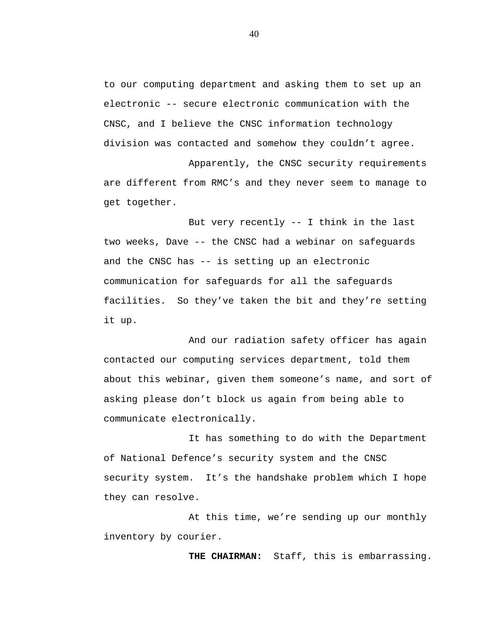to our computing department and asking them to set up an electronic -- secure electronic communication with the CNSC, and I believe the CNSC information technology division was contacted and somehow they couldn't agree.

Apparently, the CNSC security requirements are different from RMC's and they never seem to manage to get together.

But very recently -- I think in the last two weeks, Dave -- the CNSC had a webinar on safeguards and the CNSC has -- is setting up an electronic communication for safeguards for all the safeguards facilities. So they've taken the bit and they're setting it up.

And our radiation safety officer has again contacted our computing services department, told them about this webinar, given them someone's name, and sort of asking please don't block us again from being able to communicate electronically.

It has something to do with the Department of National Defence's security system and the CNSC security system. It's the handshake problem which I hope they can resolve.

At this time, we're sending up our monthly inventory by courier.

**THE CHAIRMAN:** Staff, this is embarrassing.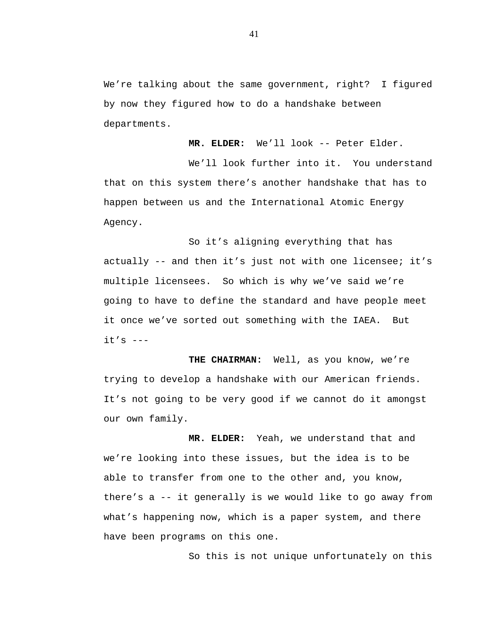We're talking about the same government, right? I figured by now they figured how to do a handshake between departments.

**MR. ELDER:** We'll look -- Peter Elder.

We'll look further into it. You understand that on this system there's another handshake that has to happen between us and the International Atomic Energy Agency.

So it's aligning everything that has actually -- and then it's just not with one licensee; it's multiple licensees. So which is why we've said we're going to have to define the standard and have people meet it once we've sorted out something with the IAEA. But  $it's$   $---$ 

**THE CHAIRMAN:** Well, as you know, we're trying to develop a handshake with our American friends. It's not going to be very good if we cannot do it amongst our own family.

**MR. ELDER:** Yeah, we understand that and we're looking into these issues, but the idea is to be able to transfer from one to the other and, you know, there's a -- it generally is we would like to go away from what's happening now, which is a paper system, and there have been programs on this one.

So this is not unique unfortunately on this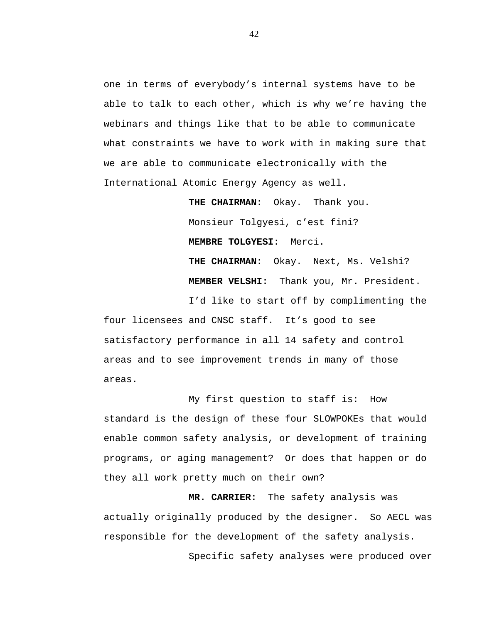one in terms of everybody's internal systems have to be able to talk to each other, which is why we're having the webinars and things like that to be able to communicate what constraints we have to work with in making sure that we are able to communicate electronically with the International Atomic Energy Agency as well.

> **THE CHAIRMAN:** Okay. Thank you. Monsieur Tolgyesi, c'est fini? **MEMBRE TOLGYESI:** Merci. **THE CHAIRMAN:** Okay. Next, Ms. Velshi? **MEMBER VELSHI:** Thank you, Mr. President.

I'd like to start off by complimenting the four licensees and CNSC staff. It's good to see satisfactory performance in all 14 safety and control areas and to see improvement trends in many of those areas.

My first question to staff is: How standard is the design of these four SLOWPOKEs that would enable common safety analysis, or development of training programs, or aging management? Or does that happen or do they all work pretty much on their own?

**MR. CARRIER:** The safety analysis was actually originally produced by the designer. So AECL was responsible for the development of the safety analysis.

Specific safety analyses were produced over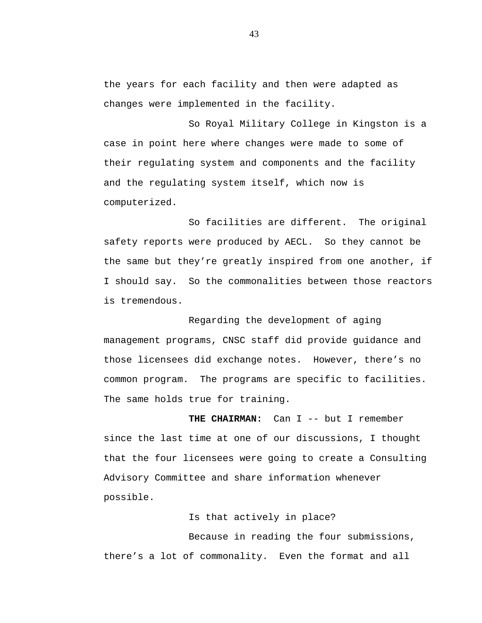the years for each facility and then were adapted as changes were implemented in the facility.

So Royal Military College in Kingston is a case in point here where changes were made to some of their regulating system and components and the facility and the regulating system itself, which now is computerized.

So facilities are different. The original safety reports were produced by AECL. So they cannot be the same but they're greatly inspired from one another, if I should say. So the commonalities between those reactors is tremendous.

Regarding the development of aging management programs, CNSC staff did provide guidance and those licensees did exchange notes. However, there's no common program. The programs are specific to facilities. The same holds true for training.

**THE CHAIRMAN:** Can I -- but I remember since the last time at one of our discussions, I thought that the four licensees were going to create a Consulting Advisory Committee and share information whenever possible.

Is that actively in place?

Because in reading the four submissions, there's a lot of commonality. Even the format and all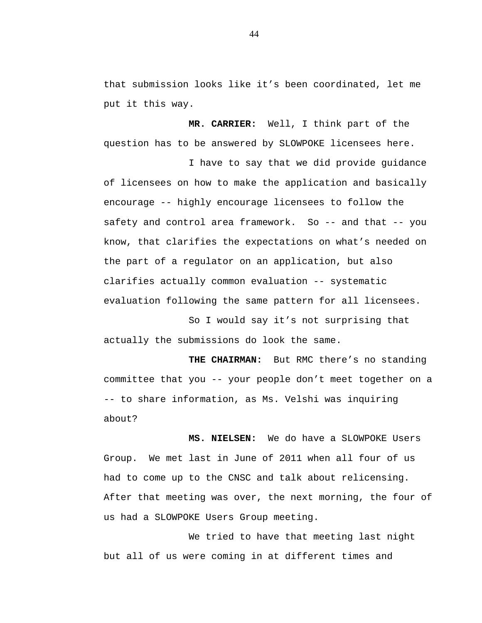that submission looks like it's been coordinated, let me put it this way.

**MR. CARRIER:** Well, I think part of the question has to be answered by SLOWPOKE licensees here.

I have to say that we did provide guidance of licensees on how to make the application and basically encourage -- highly encourage licensees to follow the safety and control area framework. So -- and that -- you know, that clarifies the expectations on what's needed on the part of a regulator on an application, but also clarifies actually common evaluation -- systematic evaluation following the same pattern for all licensees.

So I would say it's not surprising that actually the submissions do look the same.

**THE CHAIRMAN:** But RMC there's no standing committee that you -- your people don't meet together on a -- to share information, as Ms. Velshi was inquiring about?

**MS. NIELSEN:** We do have a SLOWPOKE Users Group. We met last in June of 2011 when all four of us had to come up to the CNSC and talk about relicensing. After that meeting was over, the next morning, the four of us had a SLOWPOKE Users Group meeting.

We tried to have that meeting last night but all of us were coming in at different times and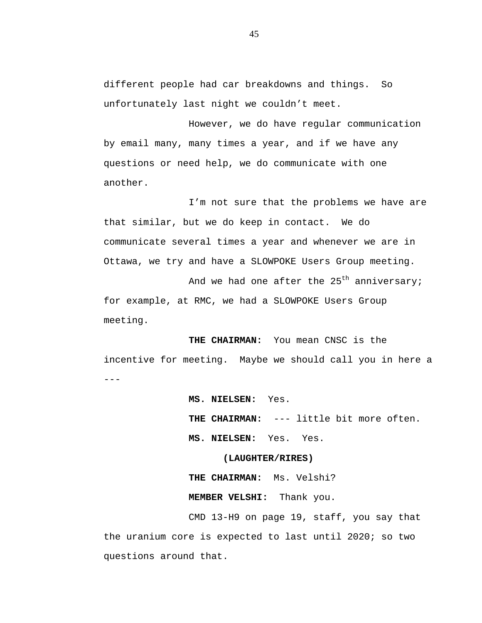different people had car breakdowns and things. So unfortunately last night we couldn't meet.

However, we do have regular communication by email many, many times a year, and if we have any questions or need help, we do communicate with one another.

I'm not sure that the problems we have are that similar, but we do keep in contact. We do communicate several times a year and whenever we are in Ottawa, we try and have a SLOWPOKE Users Group meeting.

And we had one after the  $25<sup>th</sup>$  anniversary; for example, at RMC, we had a SLOWPOKE Users Group meeting.

 $- - -$ **THE CHAIRMAN:** You mean CNSC is the incentive for meeting. Maybe we should call you in here a

> **MS. NIELSEN:** Yes. **THE CHAIRMAN:** --- little bit more often. **MS. NIELSEN:** Yes. Yes.

## **(LAUGHTER/RIRES)**

**THE CHAIRMAN:** Ms. Velshi? **MEMBER VELSHI:** Thank you.

CMD 13-H9 on page 19, staff, you say that the uranium core is expected to last until 2020; so two questions around that.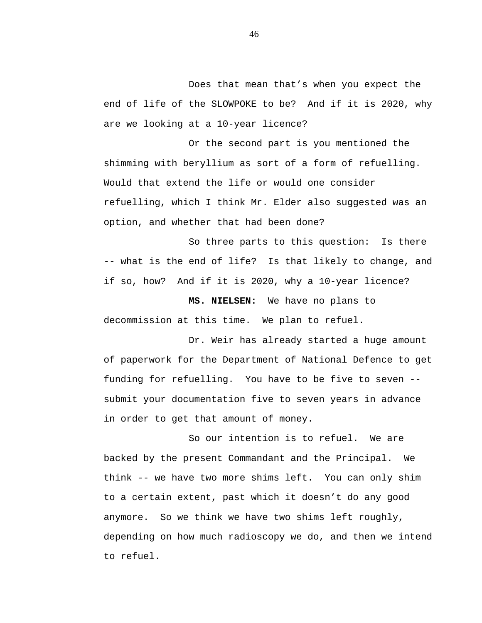Does that mean that's when you expect the end of life of the SLOWPOKE to be? And if it is 2020, why are we looking at a 10-year licence?

Or the second part is you mentioned the shimming with beryllium as sort of a form of refuelling. Would that extend the life or would one consider refuelling, which I think Mr. Elder also suggested was an option, and whether that had been done?

So three parts to this question: Is there -- what is the end of life? Is that likely to change, and if so, how? And if it is 2020, why a 10-year licence?

**MS. NIELSEN:** We have no plans to decommission at this time. We plan to refuel.

Dr. Weir has already started a huge amount of paperwork for the Department of National Defence to get funding for refuelling. You have to be five to seven - submit your documentation five to seven years in advance in order to get that amount of money.

So our intention is to refuel. We are backed by the present Commandant and the Principal. We think -- we have two more shims left. You can only shim to a certain extent, past which it doesn't do any good anymore. So we think we have two shims left roughly, depending on how much radioscopy we do, and then we intend to refuel.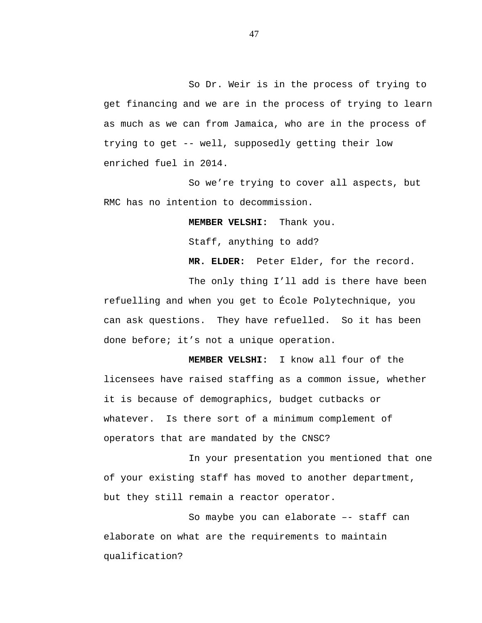So Dr. Weir is in the process of trying to get financing and we are in the process of trying to learn as much as we can from Jamaica, who are in the process of trying to get -- well, supposedly getting their low enriched fuel in 2014.

So we're trying to cover all aspects, but RMC has no intention to decommission.

**MEMBER VELSHI:** Thank you.

Staff, anything to add?

**MR. ELDER:** Peter Elder, for the record.

The only thing I'll add is there have been refuelling and when you get to École Polytechnique, you can ask questions. They have refuelled. So it has been done before; it's not a unique operation.

**MEMBER VELSHI:** I know all four of the licensees have raised staffing as a common issue, whether it is because of demographics, budget cutbacks or whatever. Is there sort of a minimum complement of operators that are mandated by the CNSC?

In your presentation you mentioned that one of your existing staff has moved to another department, but they still remain a reactor operator.

So maybe you can elaborate –- staff can elaborate on what are the requirements to maintain qualification?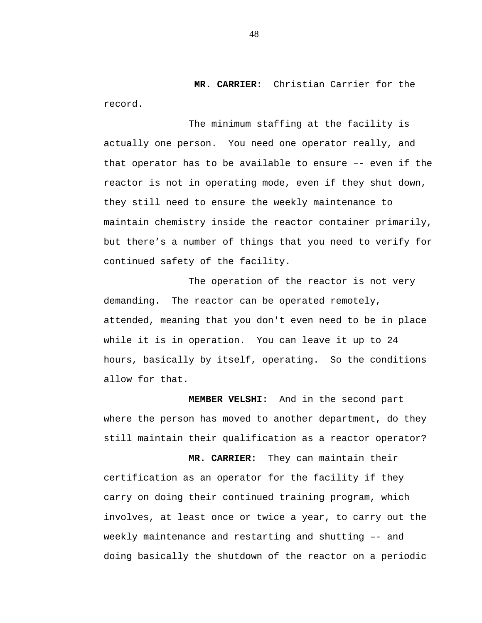**MR. CARRIER:** Christian Carrier for the record.

The minimum staffing at the facility is actually one person. You need one operator really, and that operator has to be available to ensure –- even if the reactor is not in operating mode, even if they shut down, they still need to ensure the weekly maintenance to maintain chemistry inside the reactor container primarily, but there's a number of things that you need to verify for continued safety of the facility.

The operation of the reactor is not very demanding. The reactor can be operated remotely, attended, meaning that you don't even need to be in place while it is in operation. You can leave it up to 24 hours, basically by itself, operating. So the conditions allow for that.

**MEMBER VELSHI:** And in the second part where the person has moved to another department, do they still maintain their qualification as a reactor operator?

**MR. CARRIER:** They can maintain their certification as an operator for the facility if they carry on doing their continued training program, which involves, at least once or twice a year, to carry out the weekly maintenance and restarting and shutting –- and doing basically the shutdown of the reactor on a periodic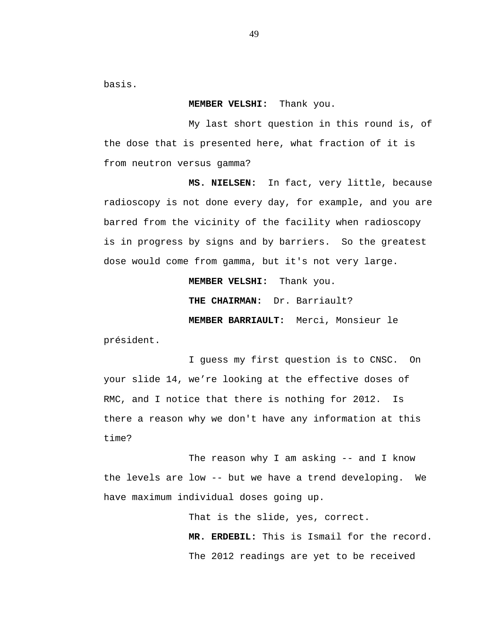basis.

#### **MEMBER VELSHI:** Thank you.

My last short question in this round is, of the dose that is presented here, what fraction of it is from neutron versus gamma?

**MS. NIELSEN:** In fact, very little, because radioscopy is not done every day, for example, and you are barred from the vicinity of the facility when radioscopy is in progress by signs and by barriers. So the greatest dose would come from gamma, but it's not very large.

**MEMBER VELSHI:** Thank you.

**THE CHAIRMAN:** Dr. Barriault?

**MEMBER BARRIAULT:** Merci, Monsieur le

président.

I guess my first question is to CNSC. On your slide 14, we're looking at the effective doses of RMC, and I notice that there is nothing for 2012. Is there a reason why we don't have any information at this time?

The reason why I am asking -- and I know the levels are low -- but we have a trend developing. We have maximum individual doses going up.

> That is the slide, yes, correct. **MR. ERDEBIL:** This is Ismail for the record. The 2012 readings are yet to be received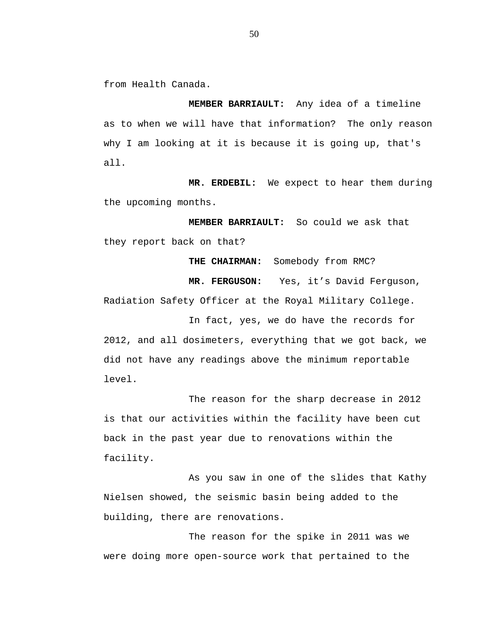from Health Canada.

**MEMBER BARRIAULT:** Any idea of a timeline as to when we will have that information? The only reason why I am looking at it is because it is going up, that's all.

**MR. ERDEBIL:** We expect to hear them during the upcoming months.

**MEMBER BARRIAULT:** So could we ask that they report back on that?

**THE CHAIRMAN:** Somebody from RMC?

**MR. FERGUSON:** Yes, it's David Ferguson,

Radiation Safety Officer at the Royal Military College.<br>In fact, yes, we do have the records for

2012, and all dosimeters, everything that we got back, we did not have any readings above the minimum reportable level.

The reason for the sharp decrease in 2012 is that our activities within the facility have been cut back in the past year due to renovations within the facility.

As you saw in one of the slides that Kathy Nielsen showed, the seismic basin being added to the building, there are renovations.

The reason for the spike in 2011 was we were doing more open-source work that pertained to the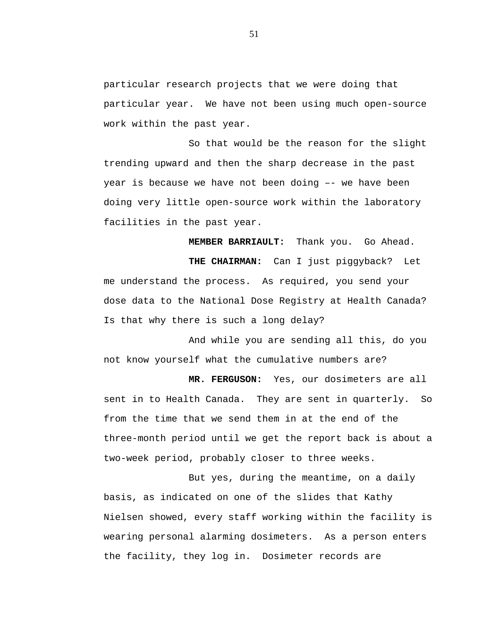particular research projects that we were doing that particular year. We have not been using much open-source work within the past year.

So that would be the reason for the slight trending upward and then the sharp decrease in the past year is because we have not been doing –- we have been doing very little open-source work within the laboratory facilities in the past year.

**MEMBER BARRIAULT:** Thank you. Go Ahead.

**THE CHAIRMAN:** Can I just piggyback? Let me understand the process. As required, you send your dose data to the National Dose Registry at Health Canada? Is that why there is such a long delay?

And while you are sending all this, do you not know yourself what the cumulative numbers are?

**MR. FERGUSON:** Yes, our dosimeters are all sent in to Health Canada. They are sent in quarterly. So from the time that we send them in at the end of the three-month period until we get the report back is about a two-week period, probably closer to three weeks.

But yes, during the meantime, on a daily basis, as indicated on one of the slides that Kathy Nielsen showed, every staff working within the facility is wearing personal alarming dosimeters. As a person enters the facility, they log in. Dosimeter records are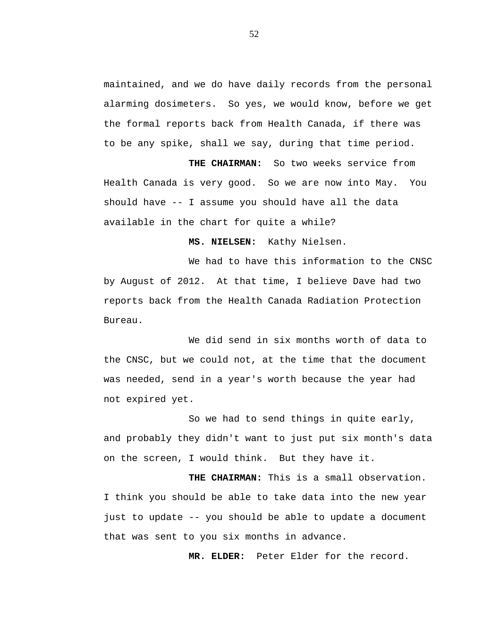maintained, and we do have daily records from the personal alarming dosimeters. So yes, we would know, before we get the formal reports back from Health Canada, if there was to be any spike, shall we say, during that time period.

**THE CHAIRMAN:** So two weeks service from Health Canada is very good. So we are now into May. You should have -- I assume you should have all the data available in the chart for quite a while?

**MS. NIELSEN:** Kathy Nielsen.

We had to have this information to the CNSC by August of 2012. At that time, I believe Dave had two reports back from the Health Canada Radiation Protection Bureau.

We did send in six months worth of data to the CNSC, but we could not, at the time that the document was needed, send in a year's worth because the year had not expired yet.

So we had to send things in quite early, and probably they didn't want to just put six month's data on the screen, I would think. But they have it.

**THE CHAIRMAN:** This is a small observation. I think you should be able to take data into the new year just to update -- you should be able to update a document that was sent to you six months in advance.

**MR. ELDER:** Peter Elder for the record.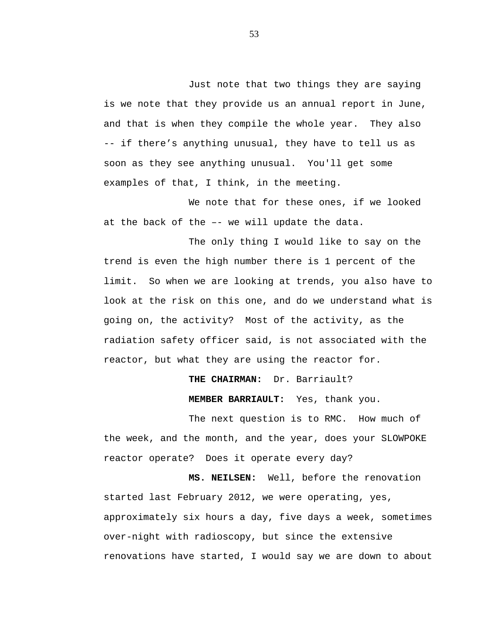Just note that two things they are saying is we note that they provide us an annual report in June, and that is when they compile the whole year. They also -- if there's anything unusual, they have to tell us as soon as they see anything unusual. You'll get some examples of that, I think, in the meeting.

We note that for these ones, if we looked at the back of the –- we will update the data.

The only thing I would like to say on the trend is even the high number there is 1 percent of the limit. So when we are looking at trends, you also have to look at the risk on this one, and do we understand what is going on, the activity? Most of the activity, as the radiation safety officer said, is not associated with the reactor, but what they are using the reactor for.

> **THE CHAIRMAN:** Dr. Barriault? **MEMBER BARRIAULT:** Yes, thank you.

The next question is to RMC. How much of the week, and the month, and the year, does your SLOWPOKE reactor operate? Does it operate every day?

**MS. NEILSEN:** Well, before the renovation started last February 2012, we were operating, yes, approximately six hours a day, five days a week, sometimes over-night with radioscopy, but since the extensive renovations have started, I would say we are down to about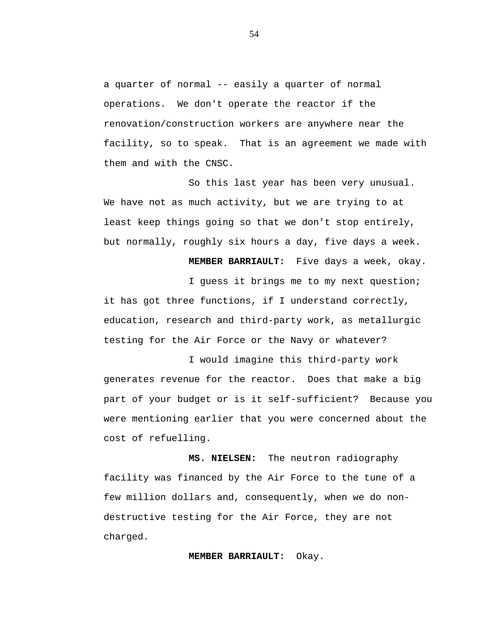a quarter of normal -- easily a quarter of normal operations. We don't operate the reactor if the renovation/construction workers are anywhere near the facility, so to speak. That is an agreement we made with them and with the CNSC.

So this last year has been very unusual. We have not as much activity, but we are trying to at least keep things going so that we don't stop entirely, but normally, roughly six hours a day, five days a week.

**MEMBER BARRIAULT:** Five days a week, okay.

I guess it brings me to my next question; it has got three functions, if I understand correctly, education, research and third-party work, as metallurgic testing for the Air Force or the Navy or whatever?

I would imagine this third-party work generates revenue for the reactor. Does that make a big part of your budget or is it self-sufficient? Because you were mentioning earlier that you were concerned about the cost of refuelling.

**MS. NIELSEN:** The neutron radiography facility was financed by the Air Force to the tune of a few million dollars and, consequently, when we do nondestructive testing for the Air Force, they are not charged.

### **MEMBER BARRIAULT:** Okay.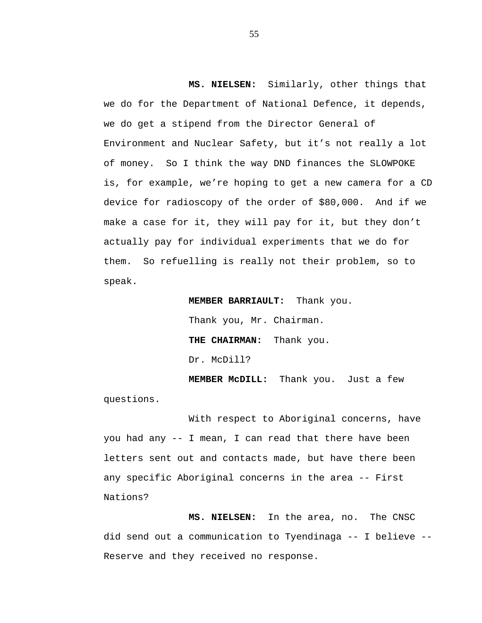**MS. NIELSEN:** Similarly, other things that we do for the Department of National Defence, it depends, we do get a stipend from the Director General of Environment and Nuclear Safety, but it's not really a lot of money. So I think the way DND finances the SLOWPOKE is, for example, we're hoping to get a new camera for a CD device for radioscopy of the order of \$80,000. And if we make a case for it, they will pay for it, but they don't actually pay for individual experiments that we do for them. So refuelling is really not their problem, so to speak.

> **MEMBER BARRIAULT:** Thank you. Thank you, Mr. Chairman. **THE CHAIRMAN:** Thank you. Dr. McDill?

**MEMBER McDILL:** Thank you. Just a few questions.

With respect to Aboriginal concerns, have you had any -- I mean, I can read that there have been letters sent out and contacts made, but have there been any specific Aboriginal concerns in the area -- First Nations?

**MS. NIELSEN:** In the area, no. The CNSC did send out a communication to Tyendinaga -- I believe -- Reserve and they received no response.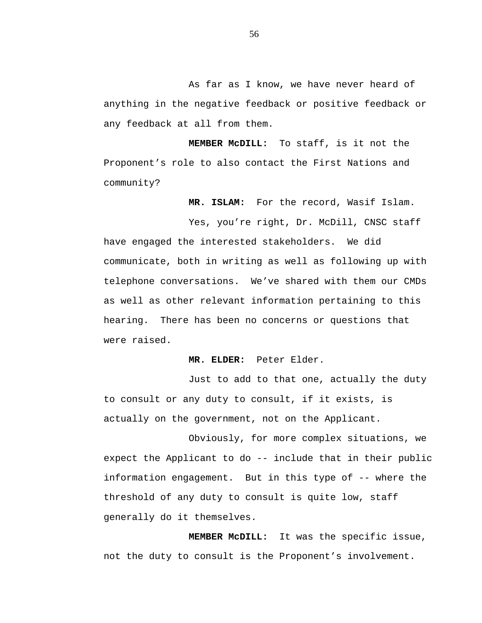As far as I know, we have never heard of anything in the negative feedback or positive feedback or any feedback at all from them.

**MEMBER McDILL:** To staff, is it not the Proponent's role to also contact the First Nations and community?

**MR. ISLAM:** For the record, Wasif Islam.

Yes, you're right, Dr. McDill, CNSC staff have engaged the interested stakeholders. We did communicate, both in writing as well as following up with telephone conversations. We've shared with them our CMDs as well as other relevant information pertaining to this hearing. There has been no concerns or questions that were raised.

## **MR. ELDER:** Peter Elder.

Just to add to that one, actually the duty to consult or any duty to consult, if it exists, is actually on the government, not on the Applicant.

Obviously, for more complex situations, we expect the Applicant to do -- include that in their public information engagement. But in this type of -- where the threshold of any duty to consult is quite low, staff generally do it themselves.

**MEMBER McDILL:** It was the specific issue, not the duty to consult is the Proponent's involvement.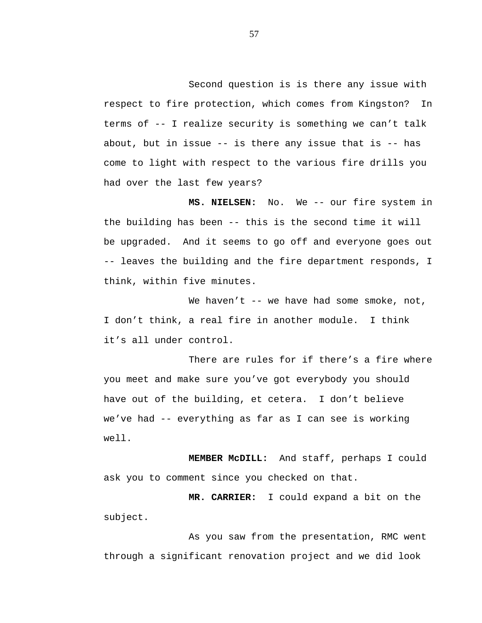Second question is is there any issue with respect to fire protection, which comes from Kingston? In terms of -- I realize security is something we can't talk about, but in issue  $-$ - is there any issue that is  $-$ - has come to light with respect to the various fire drills you had over the last few years?

**MS. NIELSEN:** No. We -- our fire system in the building has been -- this is the second time it will be upgraded. And it seems to go off and everyone goes out -- leaves the building and the fire department responds, I think, within five minutes.

We haven't -- we have had some smoke, not, I don't think, a real fire in another module. I think it's all under control.

There are rules for if there's a fire where you meet and make sure you've got everybody you should have out of the building, et cetera. I don't believe we've had -- everything as far as I can see is working well.

**MEMBER McDILL:** And staff, perhaps I could ask you to comment since you checked on that.

**MR. CARRIER:** I could expand a bit on the subject.

As you saw from the presentation, RMC went through a significant renovation project and we did look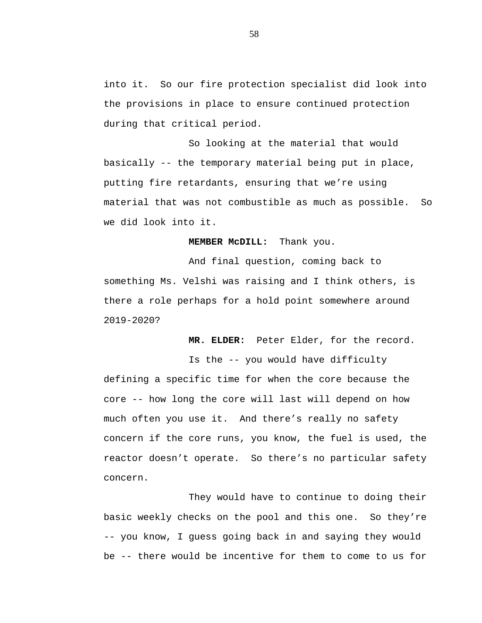into it. So our fire protection specialist did look into the provisions in place to ensure continued protection during that critical period.

So looking at the material that would basically -- the temporary material being put in place, putting fire retardants, ensuring that we're using material that was not combustible as much as possible. So we did look into it.

# **MEMBER McDILL:** Thank you.

And final question, coming back to something Ms. Velshi was raising and I think others, is there a role perhaps for a hold point somewhere around 2019-2020?

**MR. ELDER:** Peter Elder, for the record.

Is the -- you would have difficulty defining a specific time for when the core because the core -- how long the core will last will depend on how much often you use it. And there's really no safety concern if the core runs, you know, the fuel is used, the reactor doesn't operate. So there's no particular safety concern.

They would have to continue to doing their basic weekly checks on the pool and this one. So they're -- you know, I guess going back in and saying they would be -- there would be incentive for them to come to us for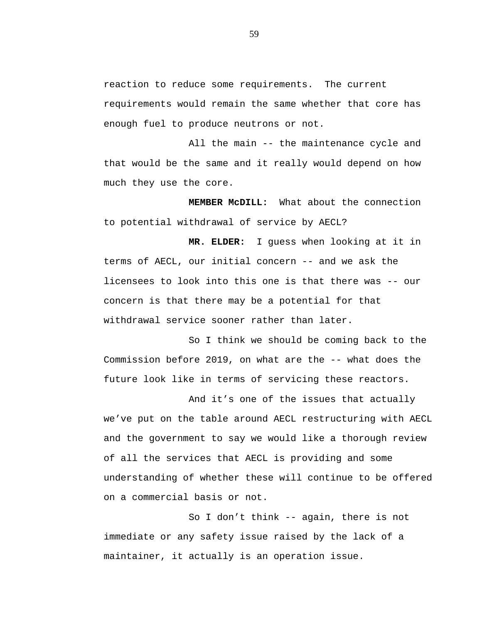reaction to reduce some requirements. The current requirements would remain the same whether that core has enough fuel to produce neutrons or not.

All the main -- the maintenance cycle and that would be the same and it really would depend on how much they use the core.

**MEMBER McDILL:** What about the connection to potential withdrawal of service by AECL?

**MR. ELDER:** I guess when looking at it in terms of AECL, our initial concern -- and we ask the licensees to look into this one is that there was -- our concern is that there may be a potential for that withdrawal service sooner rather than later.

So I think we should be coming back to the Commission before 2019, on what are the -- what does the future look like in terms of servicing these reactors.

And it's one of the issues that actually we've put on the table around AECL restructuring with AECL and the government to say we would like a thorough review of all the services that AECL is providing and some understanding of whether these will continue to be offered on a commercial basis or not.

So I don't think -- again, there is not immediate or any safety issue raised by the lack of a maintainer, it actually is an operation issue.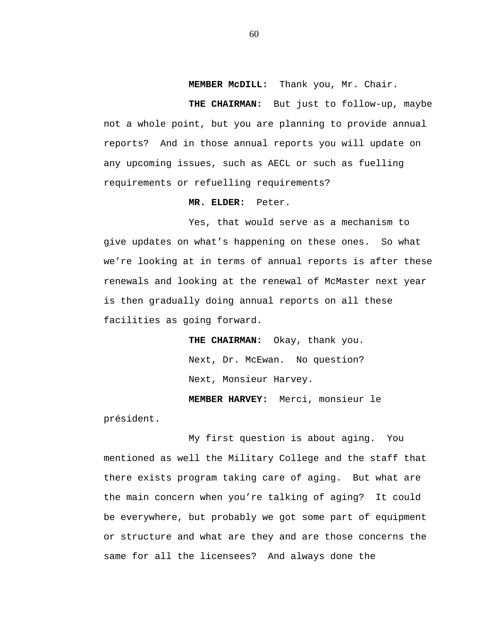**MEMBER McDILL:** Thank you, Mr. Chair.

**THE CHAIRMAN:** But just to follow-up, maybe not a whole point, but you are planning to provide annual reports? And in those annual reports you will update on any upcoming issues, such as AECL or such as fuelling requirements or refuelling requirements?

### **MR. ELDER:** Peter.

Yes, that would serve as a mechanism to give updates on what's happening on these ones. So what we're looking at in terms of annual reports is after these renewals and looking at the renewal of McMaster next year is then gradually doing annual reports on all these facilities as going forward.

> **THE CHAIRMAN:** Okay, thank you. Next, Dr. McEwan. No question? Next, Monsieur Harvey.

**MEMBER HARVEY:** Merci, monsieur le président.

My first question is about aging. You mentioned as well the Military College and the staff that there exists program taking care of aging. But what are the main concern when you're talking of aging? It could be everywhere, but probably we got some part of equipment or structure and what are they and are those concerns the same for all the licensees? And always done the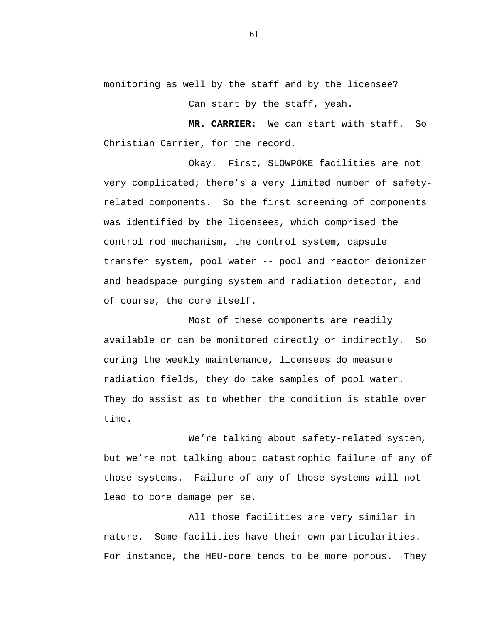monitoring as well by the staff and by the licensee?

Can start by the staff, yeah.

**MR. CARRIER:** We can start with staff. So Christian Carrier, for the record.

Okay. First, SLOWPOKE facilities are not very complicated; there's a very limited number of safetyrelated components. So the first screening of components was identified by the licensees, which comprised the control rod mechanism, the control system, capsule transfer system, pool water -- pool and reactor deionizer and headspace purging system and radiation detector, and of course, the core itself.

Most of these components are readily available or can be monitored directly or indirectly. So during the weekly maintenance, licensees do measure radiation fields, they do take samples of pool water. They do assist as to whether the condition is stable over time.

We're talking about safety-related system, but we're not talking about catastrophic failure of any of those systems. Failure of any of those systems will not lead to core damage per se.

All those facilities are very similar in nature. Some facilities have their own particularities. For instance, the HEU-core tends to be more porous. They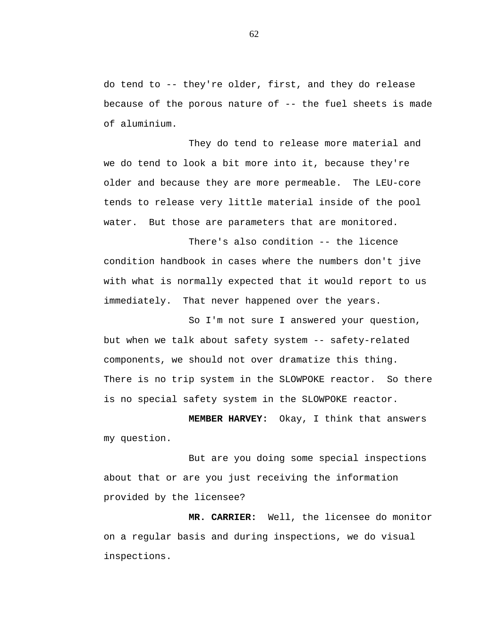do tend to -- they're older, first, and they do release because of the porous nature of -- the fuel sheets is made of aluminium.

They do tend to release more material and we do tend to look a bit more into it, because they're older and because they are more permeable. The LEU-core tends to release very little material inside of the pool water. But those are parameters that are monitored.

There's also condition -- the licence condition handbook in cases where the numbers don't jive with what is normally expected that it would report to us immediately. That never happened over the years.

So I'm not sure I answered your question, but when we talk about safety system -- safety-related components, we should not over dramatize this thing. There is no trip system in the SLOWPOKE reactor. So there is no special safety system in the SLOWPOKE reactor.

**MEMBER HARVEY:** Okay, I think that answers my question.

But are you doing some special inspections about that or are you just receiving the information provided by the licensee?

**MR. CARRIER:** Well, the licensee do monitor on a regular basis and during inspections, we do visual inspections.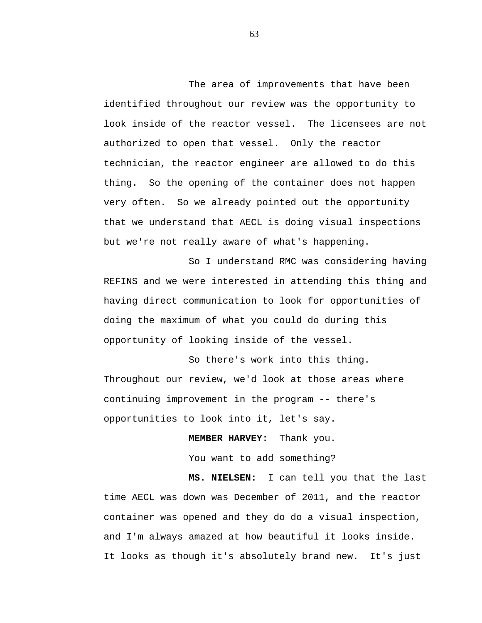The area of improvements that have been identified throughout our review was the opportunity to look inside of the reactor vessel. The licensees are not authorized to open that vessel. Only the reactor technician, the reactor engineer are allowed to do this thing. So the opening of the container does not happen very often. So we already pointed out the opportunity that we understand that AECL is doing visual inspections but we're not really aware of what's happening.

So I understand RMC was considering having REFINS and we were interested in attending this thing and having direct communication to look for opportunities of doing the maximum of what you could do during this opportunity of looking inside of the vessel.

So there's work into this thing. Throughout our review, we'd look at those areas where continuing improvement in the program -- there's opportunities to look into it, let's say.

**MEMBER HARVEY:** Thank you.

You want to add something?

**MS. NIELSEN:** I can tell you that the last time AECL was down was December of 2011, and the reactor container was opened and they do do a visual inspection, and I'm always amazed at how beautiful it looks inside. It looks as though it's absolutely brand new. It's just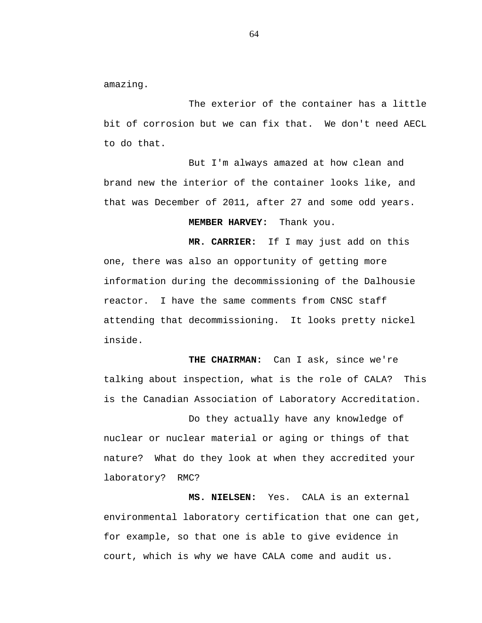amazing.

The exterior of the container has a little bit of corrosion but we can fix that. We don't need AECL to do that.

But I'm always amazed at how clean and brand new the interior of the container looks like, and that was December of 2011, after 27 and some odd years.

## **MEMBER HARVEY:** Thank you.

**MR. CARRIER:** If I may just add on this one, there was also an opportunity of getting more information during the decommissioning of the Dalhousie reactor. I have the same comments from CNSC staff attending that decommissioning. It looks pretty nickel inside.

**THE CHAIRMAN:** Can I ask, since we're talking about inspection, what is the role of CALA? This is the Canadian Association of Laboratory Accreditation.

Do they actually have any knowledge of nuclear or nuclear material or aging or things of that nature? What do they look at when they accredited your laboratory? RMC?

**MS. NIELSEN:** Yes. CALA is an external environmental laboratory certification that one can get, for example, so that one is able to give evidence in court, which is why we have CALA come and audit us.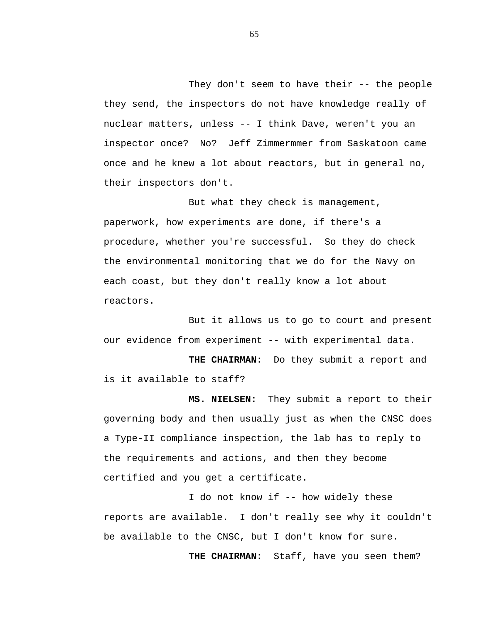They don't seem to have their -- the people they send, the inspectors do not have knowledge really of nuclear matters, unless -- I think Dave, weren't you an inspector once? No? Jeff Zimmermmer from Saskatoon came once and he knew a lot about reactors, but in general no, their inspectors don't.

But what they check is management, paperwork, how experiments are done, if there's a procedure, whether you're successful. So they do check the environmental monitoring that we do for the Navy on each coast, but they don't really know a lot about reactors.

But it allows us to go to court and present our evidence from experiment -- with experimental data.

**THE CHAIRMAN:** Do they submit a report and is it available to staff?

**MS. NIELSEN:** They submit a report to their governing body and then usually just as when the CNSC does a Type-II compliance inspection, the lab has to reply to the requirements and actions, and then they become certified and you get a certificate.

I do not know if -- how widely these reports are available. I don't really see why it couldn't be available to the CNSC, but I don't know for sure.

**THE CHAIRMAN:** Staff, have you seen them?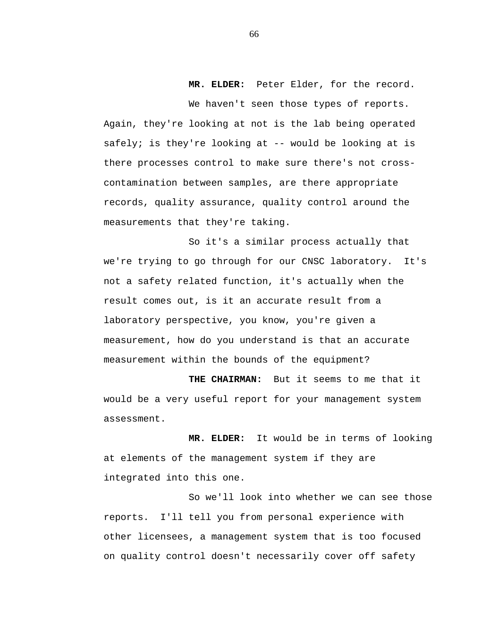## **MR. ELDER:** Peter Elder, for the record.

We haven't seen those types of reports. Again, they're looking at not is the lab being operated safely; is they're looking at -- would be looking at is there processes control to make sure there's not crosscontamination between samples, are there appropriate records, quality assurance, quality control around the measurements that they're taking.

So it's a similar process actually that we're trying to go through for our CNSC laboratory. It's not a safety related function, it's actually when the result comes out, is it an accurate result from a laboratory perspective, you know, you're given a measurement, how do you understand is that an accurate measurement within the bounds of the equipment?

**THE CHAIRMAN:** But it seems to me that it would be a very useful report for your management system assessment.

**MR. ELDER:** It would be in terms of looking at elements of the management system if they are integrated into this one.

So we'll look into whether we can see those reports. I'll tell you from personal experience with other licensees, a management system that is too focused on quality control doesn't necessarily cover off safety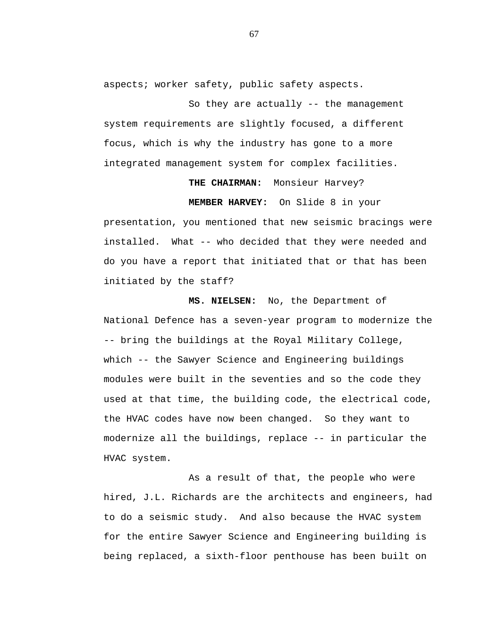aspects; worker safety, public safety aspects.

So they are actually -- the management system requirements are slightly focused, a different focus, which is why the industry has gone to a more integrated management system for complex facilities.

> **THE CHAIRMAN:** Monsieur Harvey? **MEMBER HARVEY:** On Slide 8 in your

presentation, you mentioned that new seismic bracings were installed. What -- who decided that they were needed and do you have a report that initiated that or that has been initiated by the staff?

**MS. NIELSEN:** No, the Department of National Defence has a seven-year program to modernize the -- bring the buildings at the Royal Military College, which -- the Sawyer Science and Engineering buildings modules were built in the seventies and so the code they used at that time, the building code, the electrical code, the HVAC codes have now been changed. So they want to modernize all the buildings, replace -- in particular the HVAC system.

As a result of that, the people who were hired, J.L. Richards are the architects and engineers, had to do a seismic study. And also because the HVAC system for the entire Sawyer Science and Engineering building is being replaced, a sixth-floor penthouse has been built on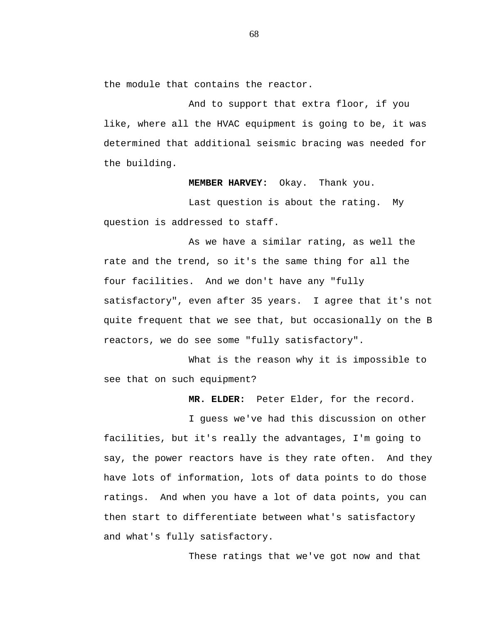the module that contains the reactor.

And to support that extra floor, if you like, where all the HVAC equipment is going to be, it was determined that additional seismic bracing was needed for the building.

**MEMBER HARVEY:** Okay. Thank you.

Last question is about the rating. My question is addressed to staff.

As we have a similar rating, as well the rate and the trend, so it's the same thing for all the four facilities. And we don't have any "fully satisfactory", even after 35 years. I agree that it's not quite frequent that we see that, but occasionally on the B reactors, we do see some "fully satisfactory".

What is the reason why it is impossible to see that on such equipment?

**MR. ELDER:** Peter Elder, for the record.

I guess we've had this discussion on other facilities, but it's really the advantages, I'm going to say, the power reactors have is they rate often. And they have lots of information, lots of data points to do those ratings. And when you have a lot of data points, you can then start to differentiate between what's satisfactory and what's fully satisfactory.

These ratings that we've got now and that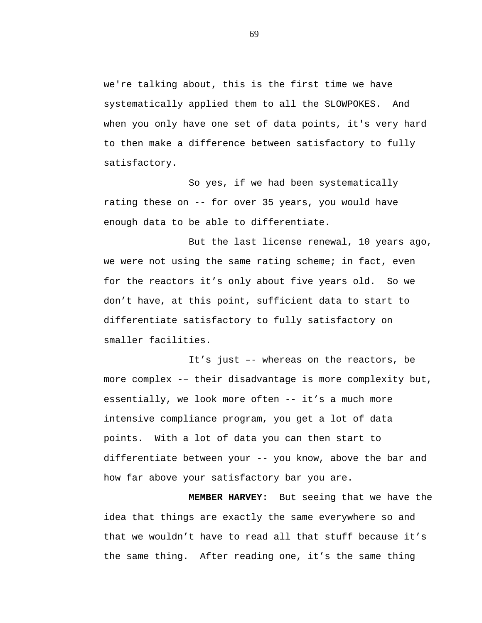we're talking about, this is the first time we have systematically applied them to all the SLOWPOKES. And when you only have one set of data points, it's very hard to then make a difference between satisfactory to fully satisfactory.

So yes, if we had been systematically rating these on -- for over 35 years, you would have enough data to be able to differentiate.

But the last license renewal, 10 years ago, we were not using the same rating scheme; in fact, even for the reactors it's only about five years old. So we don't have, at this point, sufficient data to start to differentiate satisfactory to fully satisfactory on smaller facilities.

It's just –- whereas on the reactors, be more complex -– their disadvantage is more complexity but, essentially, we look more often -- it's a much more intensive compliance program, you get a lot of data points. With a lot of data you can then start to differentiate between your -- you know, above the bar and how far above your satisfactory bar you are.

**MEMBER HARVEY:** But seeing that we have the idea that things are exactly the same everywhere so and that we wouldn't have to read all that stuff because it's the same thing. After reading one, it's the same thing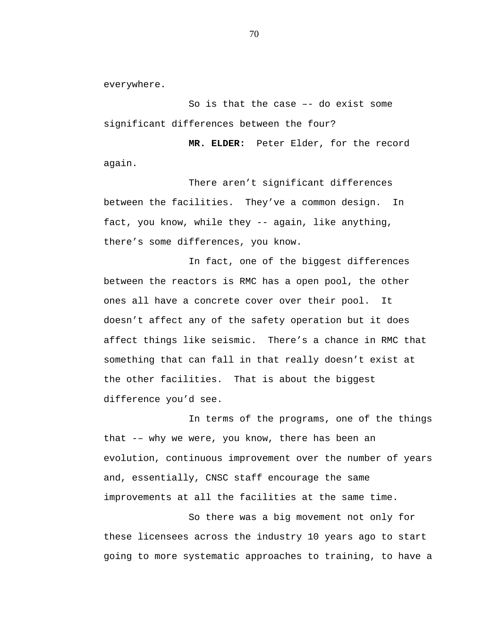everywhere.

So is that the case –- do exist some significant differences between the four?

 **MR. ELDER:** Peter Elder, for the record again.

There aren't significant differences between the facilities. They've a common design. In fact, you know, while they -- again, like anything, there's some differences, you know.

In fact, one of the biggest differences between the reactors is RMC has a open pool, the other ones all have a concrete cover over their pool. It doesn't affect any of the safety operation but it does affect things like seismic. There's a chance in RMC that something that can fall in that really doesn't exist at the other facilities. That is about the biggest difference you'd see.

In terms of the programs, one of the things that -– why we were, you know, there has been an evolution, continuous improvement over the number of years and, essentially, CNSC staff encourage the same improvements at all the facilities at the same time.

So there was a big movement not only for these licensees across the industry 10 years ago to start going to more systematic approaches to training, to have a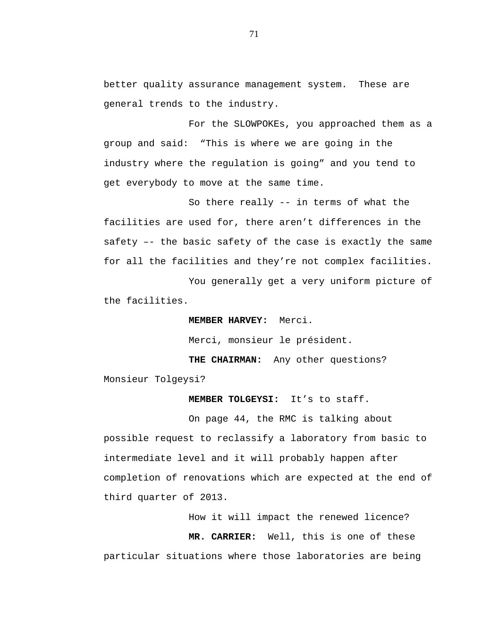better quality assurance management system. These are general trends to the industry.

For the SLOWPOKEs, you approached them as a group and said: "This is where we are going in the industry where the regulation is going" and you tend to get everybody to move at the same time.

So there really -- in terms of what the facilities are used for, there aren't differences in the safety –- the basic safety of the case is exactly the same for all the facilities and they're not complex facilities.

You generally get a very uniform picture of the facilities.

**MEMBER HARVEY:** Merci.

Merci, monsieur le président.

**THE CHAIRMAN:** Any other questions? Monsieur Tolgeysi?

**MEMBER TOLGEYSI:** It's to staff.

On page 44, the RMC is talking about possible request to reclassify a laboratory from basic to intermediate level and it will probably happen after completion of renovations which are expected at the end of third quarter of 2013.

> How it will impact the renewed licence?  **MR. CARRIER:** Well, this is one of these

particular situations where those laboratories are being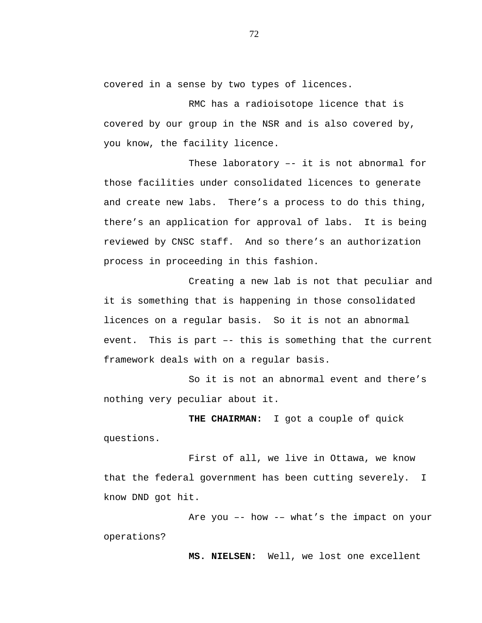covered in a sense by two types of licences.

RMC has a radioisotope licence that is covered by our group in the NSR and is also covered by, you know, the facility licence.

These laboratory –- it is not abnormal for those facilities under consolidated licences to generate and create new labs. There's a process to do this thing, there's an application for approval of labs. It is being reviewed by CNSC staff. And so there's an authorization process in proceeding in this fashion.

Creating a new lab is not that peculiar and it is something that is happening in those consolidated licences on a regular basis. So it is not an abnormal event. This is part –- this is something that the current framework deals with on a regular basis.

So it is not an abnormal event and there's nothing very peculiar about it.

**THE CHAIRMAN:** I got a couple of quick questions.

First of all, we live in Ottawa, we know that the federal government has been cutting severely. I know DND got hit.

Are you –- how -– what's the impact on your operations?

 **MS. NIELSEN:** Well, we lost one excellent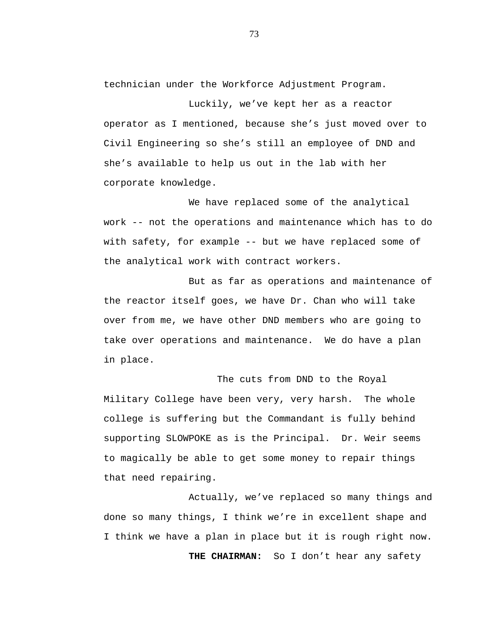technician under the Workforce Adjustment Program.

Luckily, we've kept her as a reactor operator as I mentioned, because she's just moved over to Civil Engineering so she's still an employee of DND and she's available to help us out in the lab with her corporate knowledge.

We have replaced some of the analytical work -- not the operations and maintenance which has to do with safety, for example -- but we have replaced some of the analytical work with contract workers.

But as far as operations and maintenance of the reactor itself goes, we have Dr. Chan who will take over from me, we have other DND members who are going to take over operations and maintenance. We do have a plan in place.

The cuts from DND to the Royal Military College have been very, very harsh. The whole college is suffering but the Commandant is fully behind supporting SLOWPOKE as is the Principal. Dr. Weir seems to magically be able to get some money to repair things that need repairing.

Actually, we've replaced so many things and done so many things, I think we're in excellent shape and I think we have a plan in place but it is rough right now. **THE CHAIRMAN:** So I don't hear any safety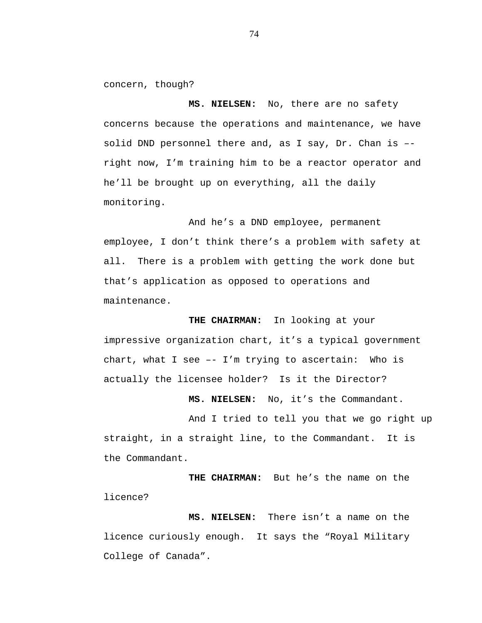concern, though?

 **MS. NIELSEN:** No, there are no safety concerns because the operations and maintenance, we have solid DND personnel there and, as I say, Dr. Chan is – right now, I'm training him to be a reactor operator and he'll be brought up on everything, all the daily monitoring.

And he's a DND employee, permanent employee, I don't think there's a problem with safety at all. There is a problem with getting the work done but that's application as opposed to operations and maintenance.

**THE CHAIRMAN:** In looking at your impressive organization chart, it's a typical government chart, what I see –- I'm trying to ascertain: Who is actually the licensee holder? Is it the Director?

 **MS. NIELSEN:** No, it's the Commandant.

And I tried to tell you that we go right up straight, in a straight line, to the Commandant. It is the Commandant.

 **THE CHAIRMAN:** But he's the name on the licence?

 **MS. NIELSEN:** There isn't a name on the licence curiously enough. It says the "Royal Military College of Canada".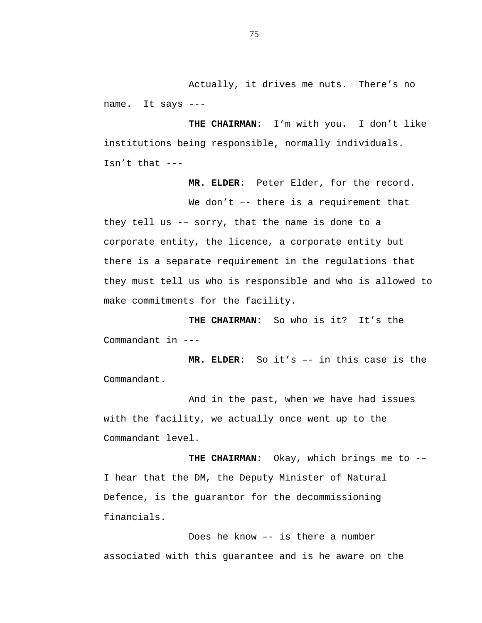Actually, it drives me nuts. There's no name. It says ---

**THE CHAIRMAN:** I'm with you. I don't like institutions being responsible, normally individuals. Isn't that ---

 **MR. ELDER:** Peter Elder, for the record.

We don't  $-$  there is a requirement that they tell us -– sorry, that the name is done to a corporate entity, the licence, a corporate entity but there is a separate requirement in the regulations that they must tell us who is responsible and who is allowed to make commitments for the facility.

**THE CHAIRMAN:** So who is it? It's the Commandant in ---

 **MR. ELDER:** So it's –- in this case is the Commandant.

And in the past, when we have had issues with the facility, we actually once went up to the Commandant level.

**THE CHAIRMAN:** Okay, which brings me to -– I hear that the DM, the Deputy Minister of Natural Defence, is the guarantor for the decommissioning financials.

Does he know –- is there a number associated with this guarantee and is he aware on the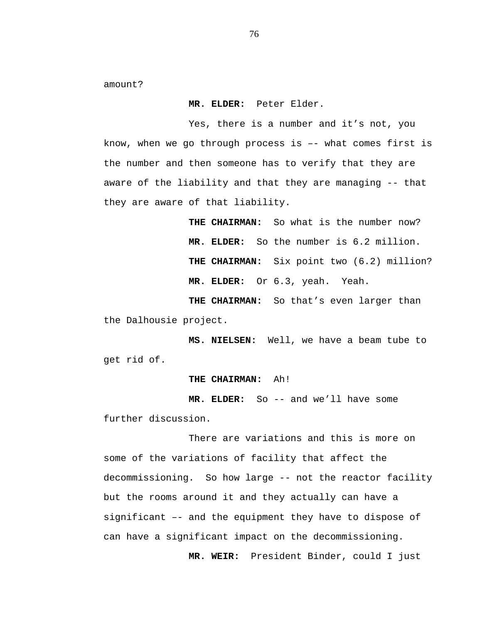amount?

 **MR. ELDER:** Peter Elder.

Yes, there is a number and it's not, you know, when we go through process is –- what comes first is the number and then someone has to verify that they are aware of the liability and that they are managing -- that they are aware of that liability.

> **THE CHAIRMAN:** So what is the number now?  **MR. ELDER:** So the number is 6.2 million. **THE CHAIRMAN:** Six point two (6.2) million?  **MR. ELDER:** Or 6.3, yeah. Yeah.

**THE CHAIRMAN:** So that's even larger than the Dalhousie project.

 **MS. NIELSEN:** Well, we have a beam tube to get rid of.

#### **THE CHAIRMAN:** Ah!

**MR. ELDER:** So -- and we'll have some further discussion.

There are variations and this is more on some of the variations of facility that affect the decommissioning. So how large -- not the reactor facility but the rooms around it and they actually can have a significant –- and the equipment they have to dispose of can have a significant impact on the decommissioning.

 **MR. WEIR:** President Binder, could I just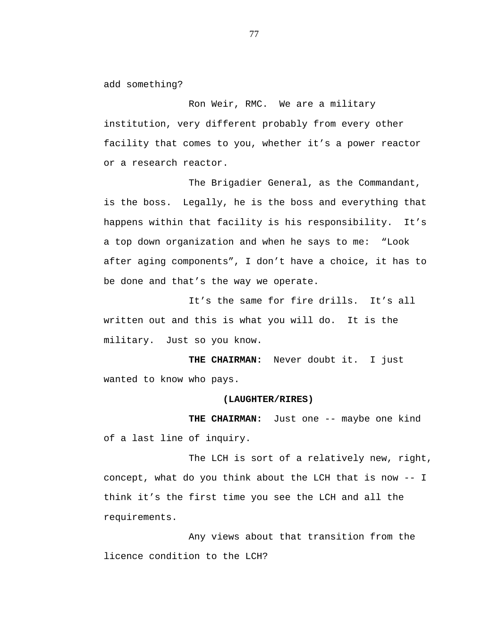add something?

Ron Weir, RMC. We are a military institution, very different probably from every other facility that comes to you, whether it's a power reactor or a research reactor.

The Brigadier General, as the Commandant, is the boss. Legally, he is the boss and everything that happens within that facility is his responsibility. It's a top down organization and when he says to me: "Look after aging components", I don't have a choice, it has to be done and that's the way we operate.

It's the same for fire drills. It's all written out and this is what you will do. It is the military. Just so you know.

**THE CHAIRMAN:** Never doubt it. I just wanted to know who pays.

#### **(LAUGHTER/RIRES)**

**THE CHAIRMAN:** Just one -- maybe one kind of a last line of inquiry.

The LCH is sort of a relatively new, right, concept, what do you think about the LCH that is now -- I think it's the first time you see the LCH and all the requirements.

Any views about that transition from the licence condition to the LCH?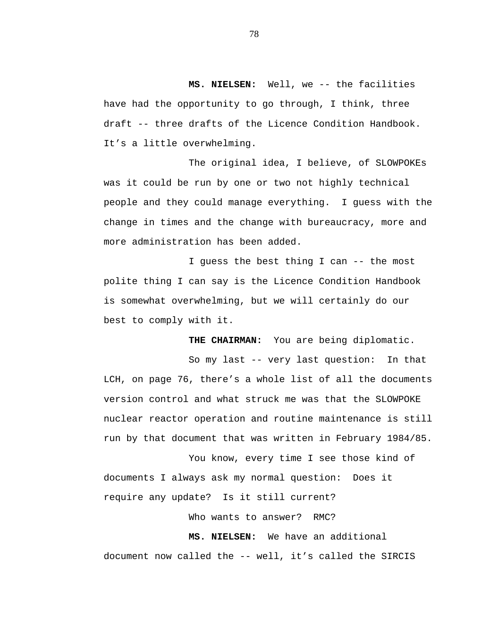**MS. NIELSEN:** Well, we -- the facilities have had the opportunity to go through, I think, three draft -- three drafts of the Licence Condition Handbook. It's a little overwhelming.

The original idea, I believe, of SLOWPOKEs was it could be run by one or two not highly technical people and they could manage everything. I guess with the change in times and the change with bureaucracy, more and more administration has been added.

I guess the best thing I can -- the most polite thing I can say is the Licence Condition Handbook is somewhat overwhelming, but we will certainly do our best to comply with it.

**THE CHAIRMAN:** You are being diplomatic.

So my last -- very last question: In that LCH, on page 76, there's a whole list of all the documents version control and what struck me was that the SLOWPOKE nuclear reactor operation and routine maintenance is still run by that document that was written in February 1984/85.

You know, every time I see those kind of documents I always ask my normal question: Does it require any update? Is it still current?

Who wants to answer? RMC?

**MS. NIELSEN:** We have an additional document now called the -- well, it's called the SIRCIS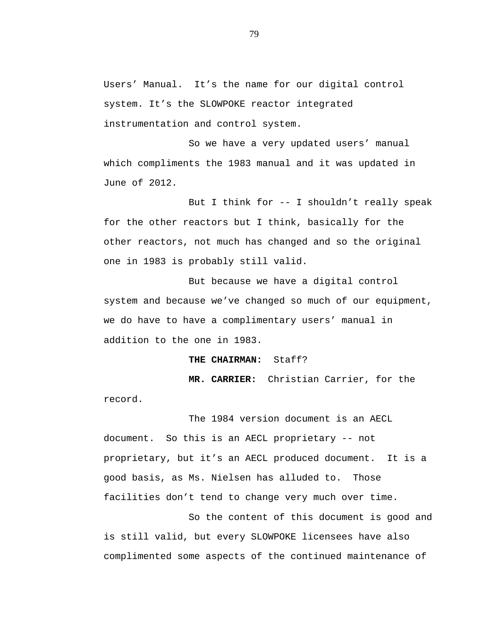Users' Manual. It's the name for our digital control system. It's the SLOWPOKE reactor integrated instrumentation and control system.

So we have a very updated users' manual which compliments the 1983 manual and it was updated in June of 2012.

But I think for -- I shouldn't really speak for the other reactors but I think, basically for the other reactors, not much has changed and so the original one in 1983 is probably still valid.

But because we have a digital control system and because we've changed so much of our equipment, we do have to have a complimentary users' manual in addition to the one in 1983.

**THE CHAIRMAN:** Staff?

**MR. CARRIER:** Christian Carrier, for the record.

The 1984 version document is an AECL document. So this is an AECL proprietary -- not proprietary, but it's an AECL produced document. It is a good basis, as Ms. Nielsen has alluded to. Those facilities don't tend to change very much over time.

So the content of this document is good and is still valid, but every SLOWPOKE licensees have also complimented some aspects of the continued maintenance of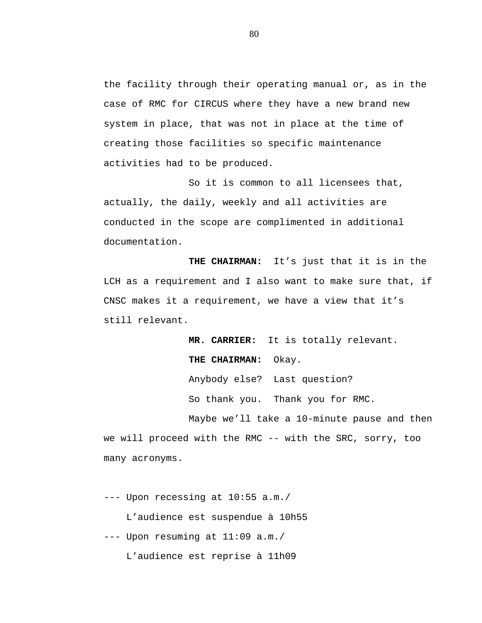the facility through their operating manual or, as in the case of RMC for CIRCUS where they have a new brand new system in place, that was not in place at the time of creating those facilities so specific maintenance activities had to be produced.

So it is common to all licensees that, actually, the daily, weekly and all activities are conducted in the scope are complimented in additional documentation.

**THE CHAIRMAN:** It's just that it is in the LCH as a requirement and I also want to make sure that, if CNSC makes it a requirement, we have a view that it's still relevant.

> **MR. CARRIER:** It is totally relevant. **THE CHAIRMAN:** Okay. Anybody else? Last question? So thank you. Thank you for RMC.

Maybe we'll take a 10-minute pause and then we will proceed with the RMC -- with the SRC, sorry, too many acronyms.

--- Upon recessing at 10:55 a.m./ L'audience est suspendue à 10h55 --- Upon resuming at 11:09 a.m./

L'audience est reprise à 11h09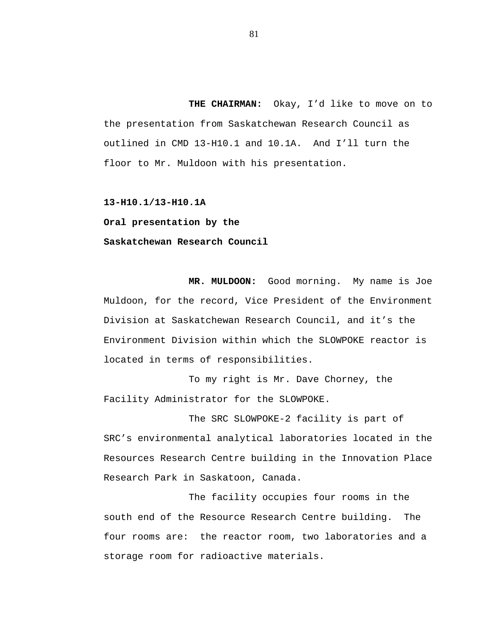**THE CHAIRMAN:** Okay, I'd like to move on to the presentation from Saskatchewan Research Council as outlined in CMD 13-H10.1 and 10.1A. And I'll turn the floor to Mr. Muldoon with his presentation.

**13-H10.1/13-H10.1A** 

**Oral presentation by the** 

# **Saskatchewan Research Council**

**MR. MULDOON:** Good morning. My name is Joe Muldoon, for the record, Vice President of the Environment Division at Saskatchewan Research Council, and it's the Environment Division within which the SLOWPOKE reactor is located in terms of responsibilities.

To my right is Mr. Dave Chorney, the Facility Administrator for the SLOWPOKE.

The SRC SLOWPOKE-2 facility is part of SRC's environmental analytical laboratories located in the Resources Research Centre building in the Innovation Place Research Park in Saskatoon, Canada.

The facility occupies four rooms in the south end of the Resource Research Centre building. The four rooms are: the reactor room, two laboratories and a storage room for radioactive materials.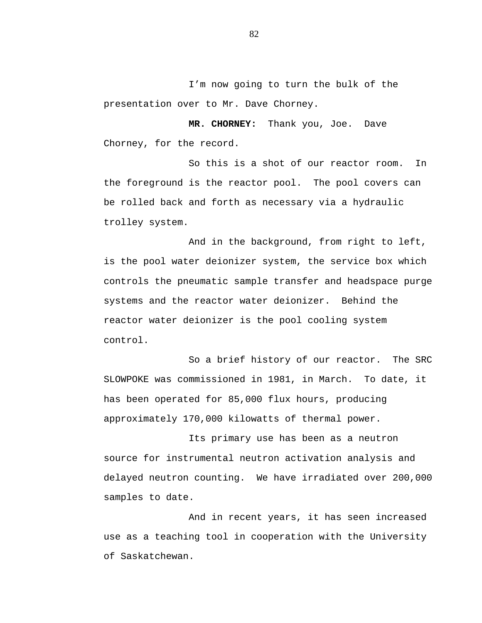I'm now going to turn the bulk of the presentation over to Mr. Dave Chorney.

**MR. CHORNEY:** Thank you, Joe. Dave Chorney, for the record.

So this is a shot of our reactor room. In the foreground is the reactor pool. The pool covers can be rolled back and forth as necessary via a hydraulic trolley system.

And in the background, from right to left, is the pool water deionizer system, the service box which controls the pneumatic sample transfer and headspace purge systems and the reactor water deionizer. Behind the reactor water deionizer is the pool cooling system control.

So a brief history of our reactor. The SRC SLOWPOKE was commissioned in 1981, in March. To date, it has been operated for 85,000 flux hours, producing approximately 170,000 kilowatts of thermal power.

Its primary use has been as a neutron source for instrumental neutron activation analysis and delayed neutron counting. We have irradiated over 200,000 samples to date.

And in recent years, it has seen increased use as a teaching tool in cooperation with the University of Saskatchewan.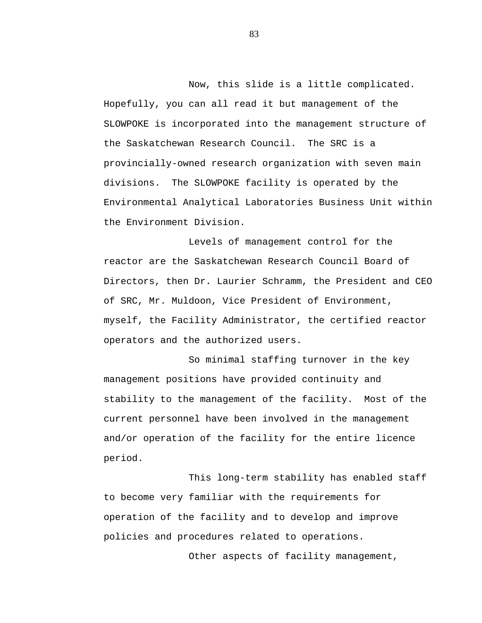Now, this slide is a little complicated. Hopefully, you can all read it but management of the SLOWPOKE is incorporated into the management structure of the Saskatchewan Research Council. The SRC is a provincially-owned research organization with seven main divisions. The SLOWPOKE facility is operated by the Environmental Analytical Laboratories Business Unit within the Environment Division.

Levels of management control for the reactor are the Saskatchewan Research Council Board of Directors, then Dr. Laurier Schramm, the President and CEO of SRC, Mr. Muldoon, Vice President of Environment, myself, the Facility Administrator, the certified reactor operators and the authorized users.

So minimal staffing turnover in the key management positions have provided continuity and stability to the management of the facility. Most of the current personnel have been involved in the management and/or operation of the facility for the entire licence period.

This long-term stability has enabled staff to become very familiar with the requirements for operation of the facility and to develop and improve policies and procedures related to operations.

Other aspects of facility management,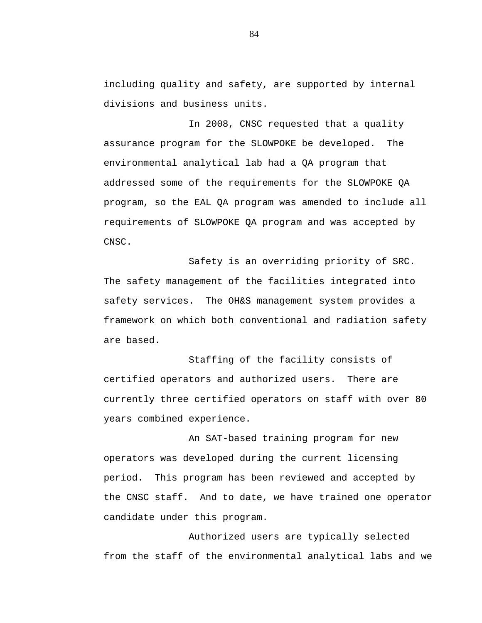including quality and safety, are supported by internal divisions and business units.

In 2008, CNSC requested that a quality assurance program for the SLOWPOKE be developed. The environmental analytical lab had a QA program that addressed some of the requirements for the SLOWPOKE QA program, so the EAL QA program was amended to include all requirements of SLOWPOKE QA program and was accepted by CNSC.

Safety is an overriding priority of SRC. The safety management of the facilities integrated into safety services. The OH&S management system provides a framework on which both conventional and radiation safety are based.

Staffing of the facility consists of certified operators and authorized users. There are currently three certified operators on staff with over 80 years combined experience.

An SAT-based training program for new operators was developed during the current licensing period. This program has been reviewed and accepted by the CNSC staff. And to date, we have trained one operator candidate under this program.

Authorized users are typically selected from the staff of the environmental analytical labs and we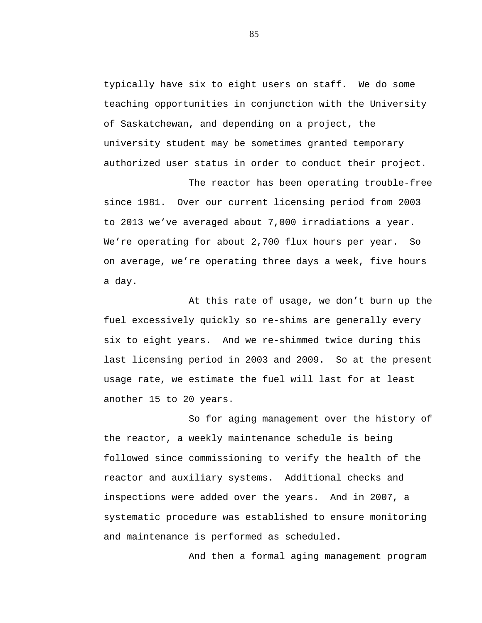typically have six to eight users on staff. We do some teaching opportunities in conjunction with the University of Saskatchewan, and depending on a project, the university student may be sometimes granted temporary authorized user status in order to conduct their project.

The reactor has been operating trouble-free since 1981. Over our current licensing period from 2003 to 2013 we've averaged about 7,000 irradiations a year. We're operating for about 2,700 flux hours per year. So on average, we're operating three days a week, five hours a day.

At this rate of usage, we don't burn up the fuel excessively quickly so re-shims are generally every six to eight years. And we re-shimmed twice during this last licensing period in 2003 and 2009. So at the present usage rate, we estimate the fuel will last for at least another 15 to 20 years.

So for aging management over the history of the reactor, a weekly maintenance schedule is being followed since commissioning to verify the health of the reactor and auxiliary systems. Additional checks and inspections were added over the years. And in 2007, a systematic procedure was established to ensure monitoring and maintenance is performed as scheduled.

And then a formal aging management program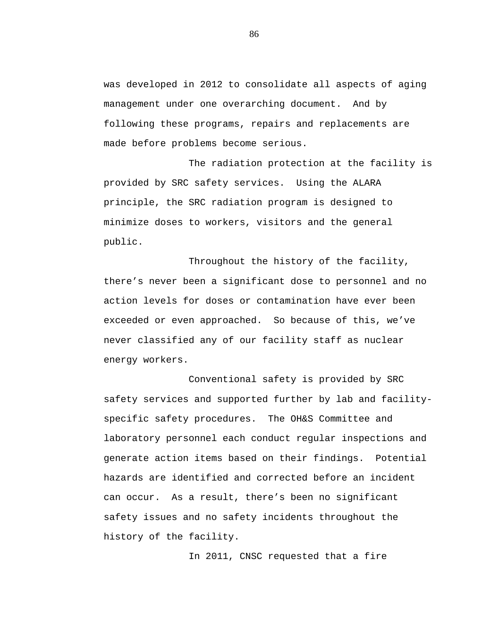was developed in 2012 to consolidate all aspects of aging management under one overarching document. And by following these programs, repairs and replacements are made before problems become serious.

The radiation protection at the facility is provided by SRC safety services. Using the ALARA principle, the SRC radiation program is designed to minimize doses to workers, visitors and the general public.

Throughout the history of the facility, there's never been a significant dose to personnel and no action levels for doses or contamination have ever been exceeded or even approached. So because of this, we've never classified any of our facility staff as nuclear energy workers.

Conventional safety is provided by SRC safety services and supported further by lab and facilityspecific safety procedures. The OH&S Committee and laboratory personnel each conduct regular inspections and generate action items based on their findings. Potential hazards are identified and corrected before an incident can occur. As a result, there's been no significant safety issues and no safety incidents throughout the history of the facility.

In 2011, CNSC requested that a fire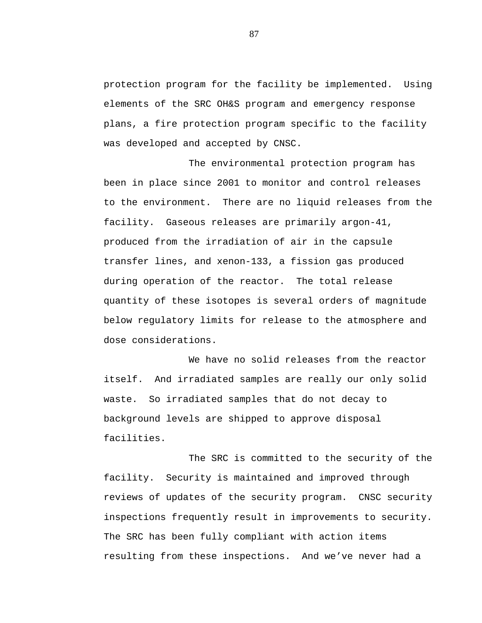protection program for the facility be implemented. Using elements of the SRC OH&S program and emergency response plans, a fire protection program specific to the facility was developed and accepted by CNSC.

The environmental protection program has been in place since 2001 to monitor and control releases to the environment. There are no liquid releases from the facility. Gaseous releases are primarily argon-41, produced from the irradiation of air in the capsule transfer lines, and xenon-133, a fission gas produced during operation of the reactor. The total release quantity of these isotopes is several orders of magnitude below regulatory limits for release to the atmosphere and dose considerations.

We have no solid releases from the reactor itself. And irradiated samples are really our only solid waste. So irradiated samples that do not decay to background levels are shipped to approve disposal facilities.

The SRC is committed to the security of the facility. Security is maintained and improved through reviews of updates of the security program. CNSC security inspections frequently result in improvements to security. The SRC has been fully compliant with action items resulting from these inspections. And we've never had a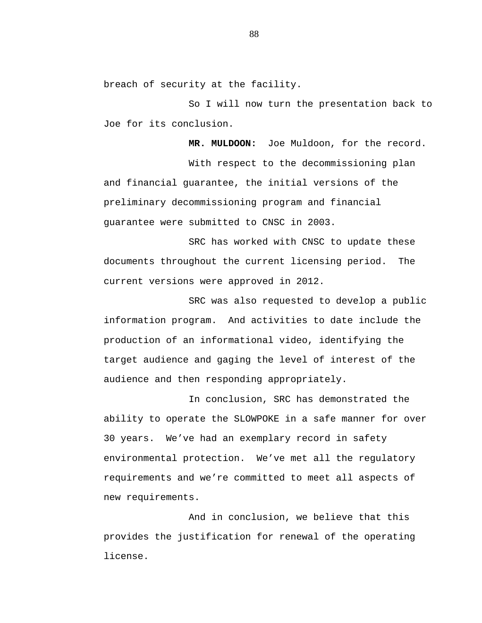breach of security at the facility.

So I will now turn the presentation back to Joe for its conclusion.

**MR. MULDOON:** Joe Muldoon, for the record.

With respect to the decommissioning plan and financial guarantee, the initial versions of the preliminary decommissioning program and financial guarantee were submitted to CNSC in 2003.

SRC has worked with CNSC to update these documents throughout the current licensing period. The current versions were approved in 2012.

SRC was also requested to develop a public information program. And activities to date include the production of an informational video, identifying the target audience and gaging the level of interest of the audience and then responding appropriately.

In conclusion, SRC has demonstrated the ability to operate the SLOWPOKE in a safe manner for over 30 years. We've had an exemplary record in safety environmental protection. We've met all the regulatory requirements and we're committed to meet all aspects of new requirements.

And in conclusion, we believe that this provides the justification for renewal of the operating license.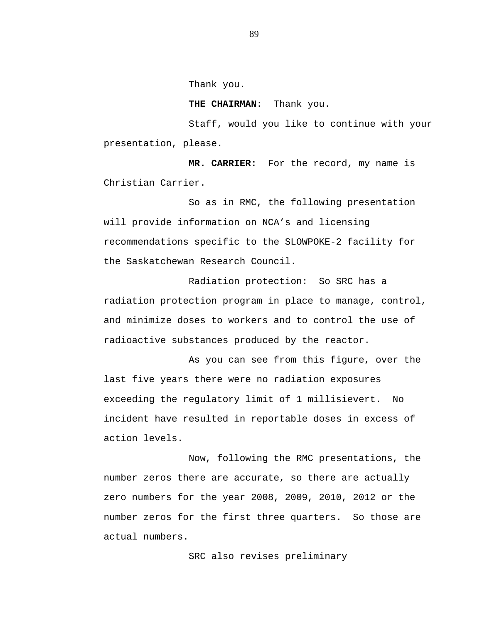Thank you.

**THE CHAIRMAN:** Thank you.

Staff, would you like to continue with your presentation, please.

**MR. CARRIER:** For the record, my name is Christian Carrier.

So as in RMC, the following presentation will provide information on NCA's and licensing recommendations specific to the SLOWPOKE-2 facility for the Saskatchewan Research Council.

Radiation protection: So SRC has a radiation protection program in place to manage, control, and minimize doses to workers and to control the use of radioactive substances produced by the reactor.

As you can see from this figure, over the last five years there were no radiation exposures exceeding the regulatory limit of 1 millisievert. No incident have resulted in reportable doses in excess of action levels.

Now, following the RMC presentations, the number zeros there are accurate, so there are actually zero numbers for the year 2008, 2009, 2010, 2012 or the number zeros for the first three quarters. So those are actual numbers.

SRC also revises preliminary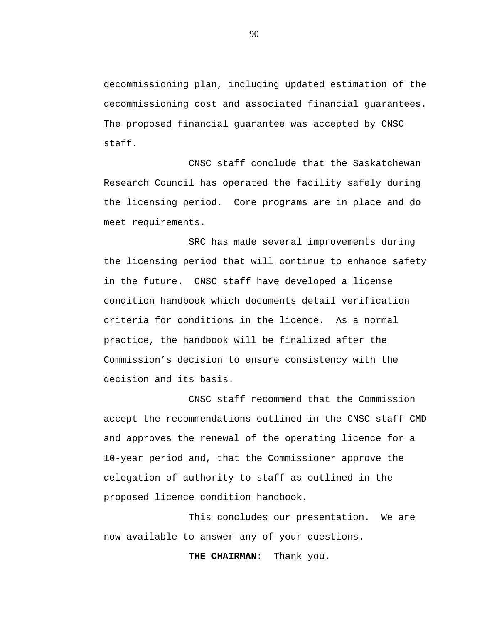decommissioning plan, including updated estimation of the decommissioning cost and associated financial guarantees. The proposed financial guarantee was accepted by CNSC staff.

CNSC staff conclude that the Saskatchewan Research Council has operated the facility safely during the licensing period. Core programs are in place and do meet requirements.

SRC has made several improvements during the licensing period that will continue to enhance safety in the future. CNSC staff have developed a license condition handbook which documents detail verification criteria for conditions in the licence. As a normal practice, the handbook will be finalized after the Commission's decision to ensure consistency with the decision and its basis.

CNSC staff recommend that the Commission accept the recommendations outlined in the CNSC staff CMD and approves the renewal of the operating licence for a 10-year period and, that the Commissioner approve the delegation of authority to staff as outlined in the proposed licence condition handbook.

This concludes our presentation. We are now available to answer any of your questions.

**THE CHAIRMAN:** Thank you.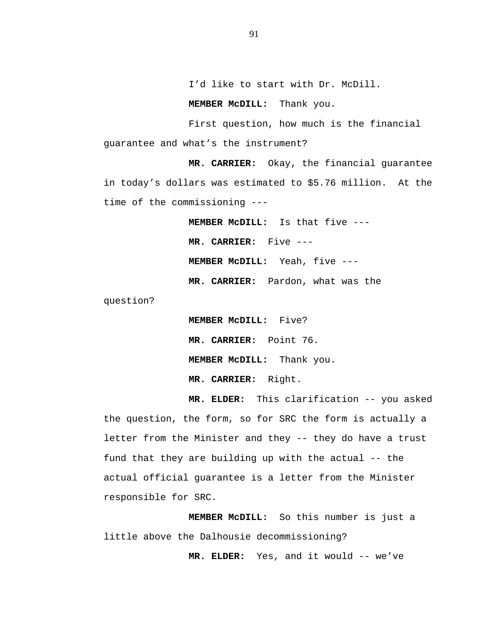I'd like to start with Dr. McDill.

 **MEMBER McDILL:** Thank you.

First question, how much is the financial guarantee and what's the instrument?

**MR. CARRIER:** Okay, the financial guarantee in today's dollars was estimated to \$5.76 million. At the time of the commissioning ---

> **MEMBER McDILL:** Is that five --- **MR. CARRIER:** Five ---  **MEMBER McDILL:** Yeah, five --- **MR. CARRIER:** Pardon, what was the

question?

 **MEMBER McDILL:** Five? **MR. CARRIER:** Point 76.  **MEMBER McDILL:** Thank you. **MR. CARRIER:** Right.

**MR. ELDER:** This clarification -- you asked the question, the form, so for SRC the form is actually a letter from the Minister and they -- they do have a trust fund that they are building up with the actual -- the actual official guarantee is a letter from the Minister responsible for SRC.

**MEMBER McDILL:** So this number is just a little above the Dalhousie decommissioning?

**MR. ELDER:** Yes, and it would -- we've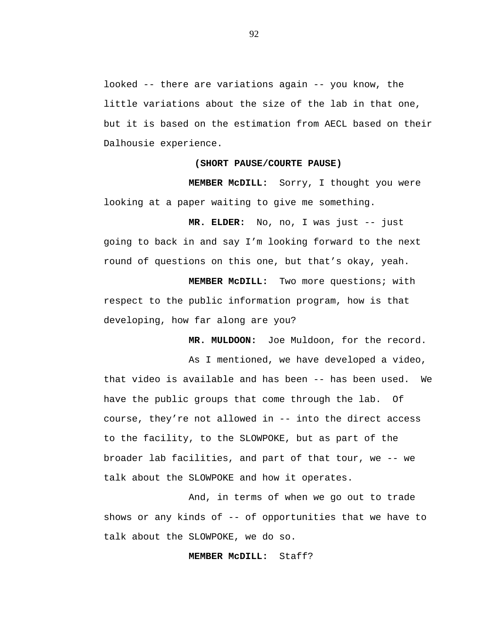looked -- there are variations again -- you know, the little variations about the size of the lab in that one, but it is based on the estimation from AECL based on their Dalhousie experience.

### **(SHORT PAUSE/COURTE PAUSE)**

**MEMBER McDILL:** Sorry, I thought you were looking at a paper waiting to give me something.

**MR. ELDER:** No, no, I was just -- just going to back in and say I'm looking forward to the next round of questions on this one, but that's okay, yeah.

**MEMBER McDILL:** Two more questions; with respect to the public information program, how is that developing, how far along are you?

**MR. MULDOON:** Joe Muldoon, for the record.

As I mentioned, we have developed a video, that video is available and has been -- has been used. We have the public groups that come through the lab. Of course, they're not allowed in -- into the direct access to the facility, to the SLOWPOKE, but as part of the broader lab facilities, and part of that tour, we -- we talk about the SLOWPOKE and how it operates.

And, in terms of when we go out to trade shows or any kinds of -- of opportunities that we have to talk about the SLOWPOKE, we do so.

### **MEMBER McDILL:** Staff?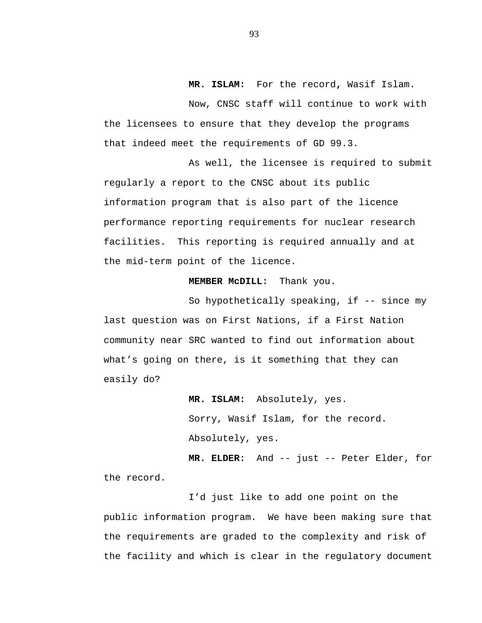**MR. ISLAM:** For the record**,** Wasif Islam.

Now, CNSC staff will continue to work with the licensees to ensure that they develop the programs that indeed meet the requirements of GD 99.3.

As well, the licensee is required to submit regularly a report to the CNSC about its public information program that is also part of the licence performance reporting requirements for nuclear research facilities. This reporting is required annually and at the mid-term point of the licence.

# **MEMBER McDILL:** Thank you.

So hypothetically speaking, if -- since my last question was on First Nations, if a First Nation community near SRC wanted to find out information about what's going on there, is it something that they can easily do?

> **MR. ISLAM:** Absolutely, yes. Sorry, Wasif Islam, for the record. Absolutely, yes.

**MR. ELDER:** And -- just -- Peter Elder, for the record.

I'd just like to add one point on the public information program. We have been making sure that the requirements are graded to the complexity and risk of the facility and which is clear in the regulatory document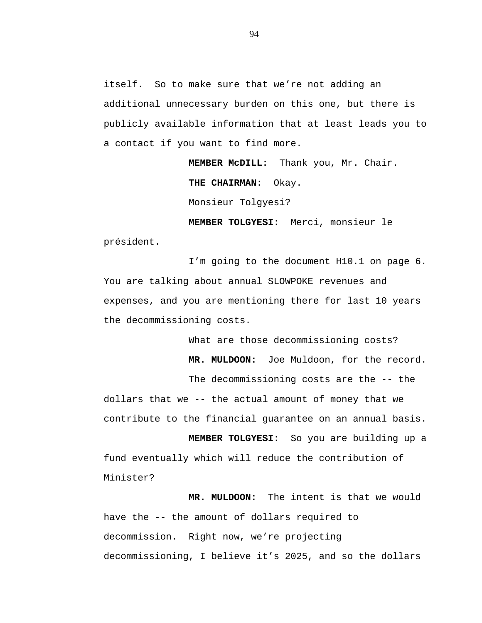itself. So to make sure that we're not adding an additional unnecessary burden on this one, but there is publicly available information that at least leads you to a contact if you want to find more.

> **MEMBER McDILL:** Thank you, Mr. Chair. **THE CHAIRMAN:** Okay.

Monsieur Tolgyesi?

 **MEMBER TOLGYESI:** Merci, monsieur le président.

I'm going to the document H10.1 on page 6. You are talking about annual SLOWPOKE revenues and expenses, and you are mentioning there for last 10 years the decommissioning costs.

> What are those decommissioning costs?  **MR. MULDOON:** Joe Muldoon, for the record. The decommissioning costs are the -- the

dollars that we -- the actual amount of money that we contribute to the financial guarantee on an annual basis.

**MEMBER TOLGYESI:** So you are building up a fund eventually which will reduce the contribution of Minister?

 **MR. MULDOON:** The intent is that we would have the -- the amount of dollars required to decommission. Right now, we're projecting decommissioning, I believe it's 2025, and so the dollars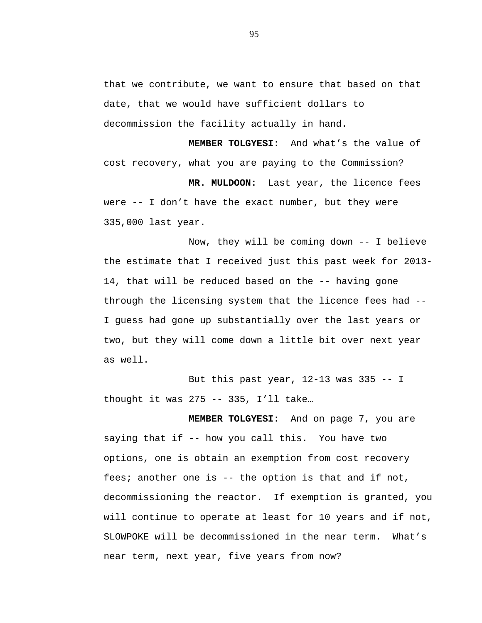that we contribute, we want to ensure that based on that date, that we would have sufficient dollars to decommission the facility actually in hand.

**MEMBER TOLGYESI:** And what's the value of cost recovery, what you are paying to the Commission?

 **MR. MULDOON:** Last year, the licence fees were -- I don't have the exact number, but they were 335,000 last year.

Now, they will be coming down -- I believe the estimate that I received just this past week for 2013 14, that will be reduced based on the -- having gone through the licensing system that the licence fees had -- I guess had gone up substantially over the last years or two, but they will come down a little bit over next year as well.

But this past year, 12-13 was 335 -- I thought it was 275 -- 335, I'll take…

**MEMBER TOLGYESI:** And on page 7, you are saying that if -- how you call this. You have two options, one is obtain an exemption from cost recovery fees; another one is -- the option is that and if not, decommissioning the reactor. If exemption is granted, you will continue to operate at least for 10 years and if not, SLOWPOKE will be decommissioned in the near term. What's near term, next year, five years from now?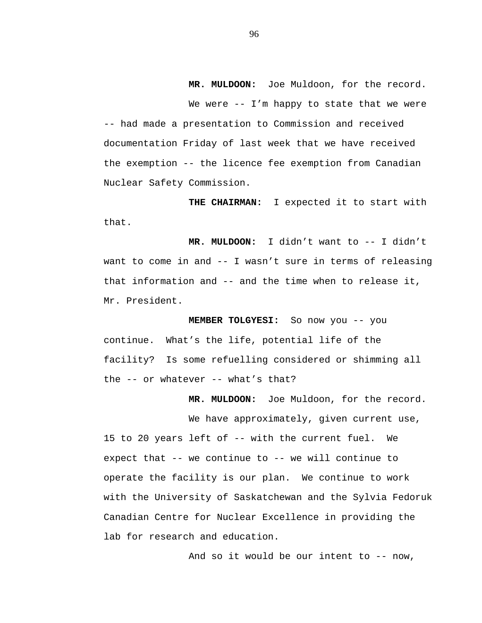**MR. MULDOON:** Joe Muldoon, for the record. We were -- I'm happy to state that we were -- had made a presentation to Commission and received documentation Friday of last week that we have received the exemption -- the licence fee exemption from Canadian Nuclear Safety Commission.

**THE CHAIRMAN:** I expected it to start with that.

 **MR. MULDOON:** I didn't want to -- I didn't want to come in and -- I wasn't sure in terms of releasing that information and -- and the time when to release it, Mr. President.

 **MEMBER TOLGYESI:** So now you -- you continue. What's the life, potential life of the facility? Is some refuelling considered or shimming all the -- or whatever -- what's that?

 **MR. MULDOON:** Joe Muldoon, for the record.

We have approximately, given current use, 15 to 20 years left of -- with the current fuel. We expect that -- we continue to -- we will continue to operate the facility is our plan. We continue to work with the University of Saskatchewan and the Sylvia Fedoruk Canadian Centre for Nuclear Excellence in providing the lab for research and education.

And so it would be our intent to -- now,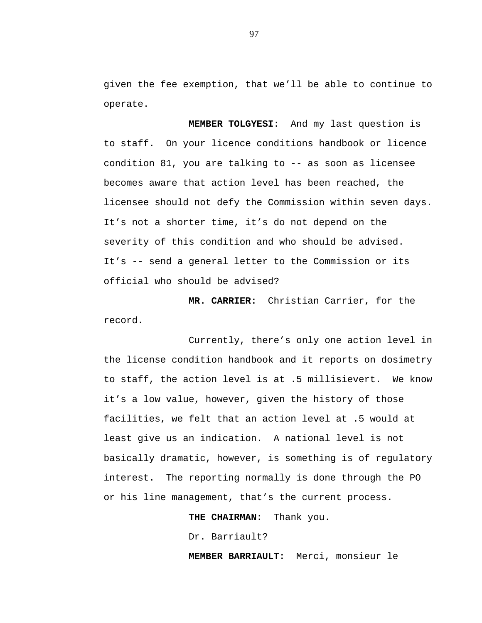given the fee exemption, that we'll be able to continue to operate.

 **MEMBER TOLGYESI:** And my last question is to staff. On your licence conditions handbook or licence condition 81, you are talking to -- as soon as licensee becomes aware that action level has been reached, the licensee should not defy the Commission within seven days. It's not a shorter time, it's do not depend on the severity of this condition and who should be advised. It's -- send a general letter to the Commission or its official who should be advised?

**MR. CARRIER:** Christian Carrier, for the record.

Currently, there's only one action level in the license condition handbook and it reports on dosimetry to staff, the action level is at .5 millisievert. We know it's a low value, however, given the history of those facilities, we felt that an action level at .5 would at least give us an indication. A national level is not basically dramatic, however, is something is of regulatory interest. The reporting normally is done through the PO or his line management, that's the current process.

**THE CHAIRMAN:** Thank you.

Dr. Barriault?

**MEMBER BARRIAULT:** Merci, monsieur le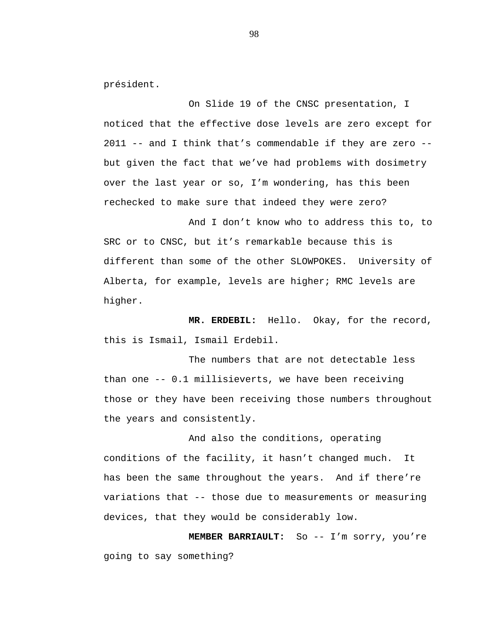président.

On Slide 19 of the CNSC presentation, I noticed that the effective dose levels are zero except for  $2011$  -- and I think that's commendable if they are zero -but given the fact that we've had problems with dosimetry over the last year or so, I'm wondering, has this been rechecked to make sure that indeed they were zero?

And I don't know who to address this to, to SRC or to CNSC, but it's remarkable because this is different than some of the other SLOWPOKES. University of Alberta, for example, levels are higher; RMC levels are higher.

 **MR. ERDEBIL:** Hello. Okay, for the record, this is Ismail, Ismail Erdebil.

The numbers that are not detectable less than one -- 0.1 millisieverts, we have been receiving those or they have been receiving those numbers throughout the years and consistently.

And also the conditions, operating conditions of the facility, it hasn't changed much. It has been the same throughout the years. And if there're variations that -- those due to measurements or measuring devices, that they would be considerably low.

**MEMBER BARRIAULT:** So -- I'm sorry, you're going to say something?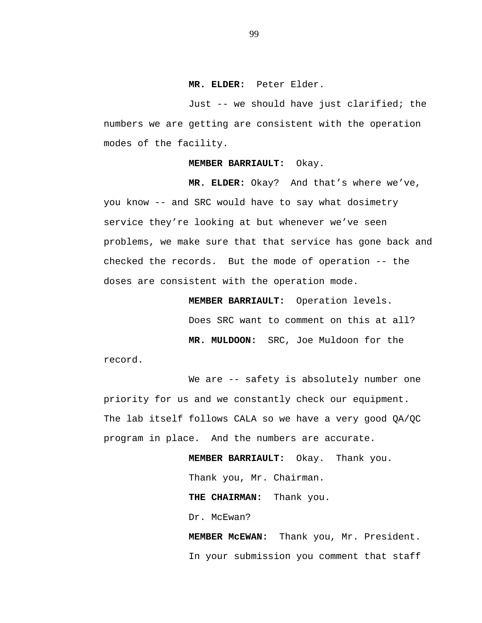### **MR. ELDER:** Peter Elder.

Just -- we should have just clarified; the numbers we are getting are consistent with the operation modes of the facility.

#### **MEMBER BARRIAULT:** Okay.

 **MR. ELDER:** Okay? And that's where we've, you know -- and SRC would have to say what dosimetry service they're looking at but whenever we've seen problems, we make sure that that service has gone back and checked the records. But the mode of operation -- the doses are consistent with the operation mode.

**MEMBER BARRIAULT:** Operation levels.

Does SRC want to comment on this at all?

**MR. MULDOON:** SRC, Joe Muldoon for the

record.

We are -- safety is absolutely number one priority for us and we constantly check our equipment. The lab itself follows CALA so we have a very good QA/QC program in place. And the numbers are accurate.

> **MEMBER BARRIAULT:** Okay. Thank you. Thank you, Mr. Chairman. **THE CHAIRMAN:** Thank you. Dr. McEwan?

 **MEMBER McEWAN:** Thank you, Mr. President. In your submission you comment that staff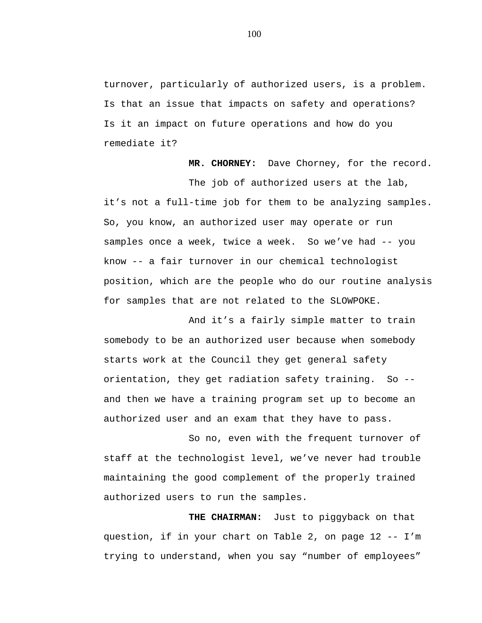turnover, particularly of authorized users, is a problem. Is that an issue that impacts on safety and operations? Is it an impact on future operations and how do you remediate it?

 **MR. CHORNEY:** Dave Chorney, for the record. The job of authorized users at the lab, it's not a full-time job for them to be analyzing samples. So, you know, an authorized user may operate or run samples once a week, twice a week. So we've had -- you know -- a fair turnover in our chemical technologist position, which are the people who do our routine analysis for samples that are not related to the SLOWPOKE.

And it's a fairly simple matter to train somebody to be an authorized user because when somebody starts work at the Council they get general safety orientation, they get radiation safety training. So - and then we have a training program set up to become an authorized user and an exam that they have to pass.

So no, even with the frequent turnover of staff at the technologist level, we've never had trouble maintaining the good complement of the properly trained authorized users to run the samples.

**THE CHAIRMAN:** Just to piggyback on that question, if in your chart on Table 2, on page 12 -- I'm trying to understand, when you say "number of employees"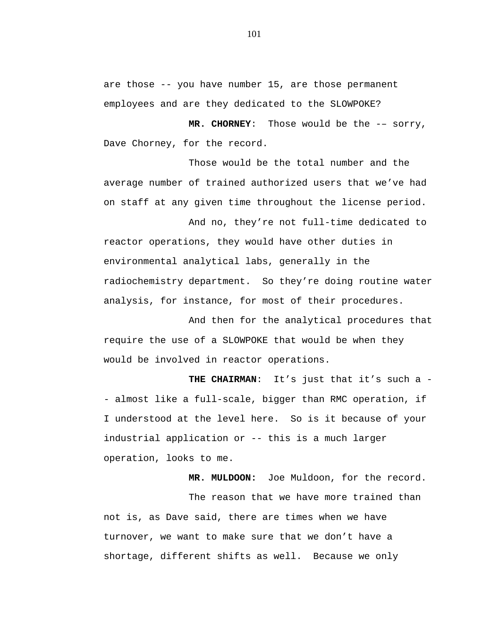are those -- you have number 15, are those permanent employees and are they dedicated to the SLOWPOKE?

 **MR. CHORNEY**: Those would be the -– sorry, Dave Chorney, for the record.

Those would be the total number and the average number of trained authorized users that we've had on staff at any given time throughout the license period.

And no, they're not full-time dedicated to reactor operations, they would have other duties in environmental analytical labs, generally in the radiochemistry department. So they're doing routine water analysis, for instance, for most of their procedures.

And then for the analytical procedures that require the use of a SLOWPOKE that would be when they would be involved in reactor operations.

 **THE CHAIRMAN**: It's just that it's such a - almost like a full-scale, bigger than RMC operation, if I understood at the level here. So is it because of your industrial application or -- this is a much larger operation, looks to me.

 **MR. MULDOON:** Joe Muldoon, for the record. The reason that we have more trained than not is, as Dave said, there are times when we have turnover, we want to make sure that we don't have a shortage, different shifts as well. Because we only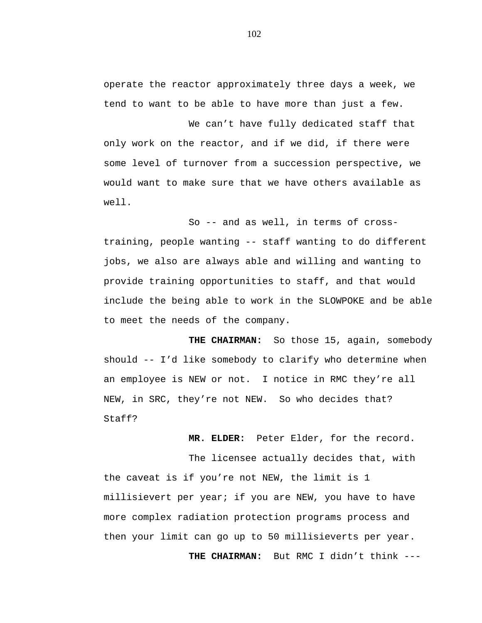operate the reactor approximately three days a week, we tend to want to be able to have more than just a few.

We can't have fully dedicated staff that only work on the reactor, and if we did, if there were some level of turnover from a succession perspective, we would want to make sure that we have others available as well.

So -- and as well, in terms of crosstraining, people wanting -- staff wanting to do different jobs, we also are always able and willing and wanting to provide training opportunities to staff, and that would include the being able to work in the SLOWPOKE and be able to meet the needs of the company.

**THE CHAIRMAN:** So those 15, again, somebody should -- I'd like somebody to clarify who determine when an employee is NEW or not. I notice in RMC they're all NEW, in SRC, they're not NEW. So who decides that? Staff?

 **MR. ELDER:** Peter Elder, for the record.

The licensee actually decides that, with the caveat is if you're not NEW, the limit is 1 millisievert per year; if you are NEW, you have to have more complex radiation protection programs process and then your limit can go up to 50 millisieverts per year.

 **THE CHAIRMAN:** But RMC I didn't think ---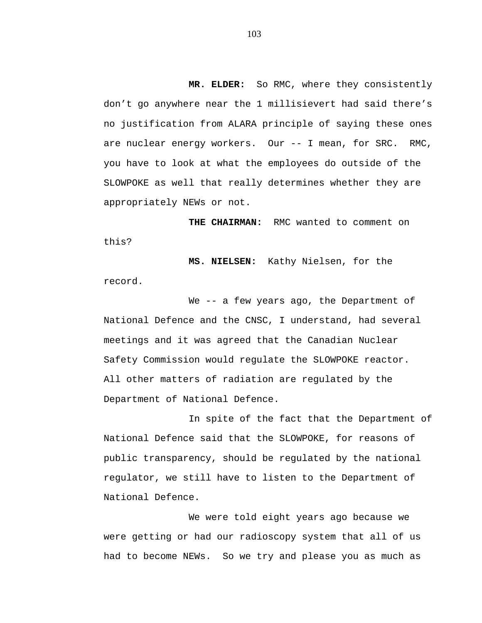**MR. ELDER:** So RMC, where they consistently don't go anywhere near the 1 millisievert had said there's no justification from ALARA principle of saying these ones are nuclear energy workers. Our -- I mean, for SRC. RMC, you have to look at what the employees do outside of the SLOWPOKE as well that really determines whether they are appropriately NEWs or not.

**THE CHAIRMAN:** RMC wanted to comment on this?

**MS. NIELSEN:** Kathy Nielsen, for the record.

We -- a few years ago, the Department of National Defence and the CNSC, I understand, had several meetings and it was agreed that the Canadian Nuclear Safety Commission would regulate the SLOWPOKE reactor. All other matters of radiation are regulated by the Department of National Defence.

In spite of the fact that the Department of National Defence said that the SLOWPOKE, for reasons of public transparency, should be regulated by the national regulator, we still have to listen to the Department of National Defence.

We were told eight years ago because we were getting or had our radioscopy system that all of us had to become NEWs. So we try and please you as much as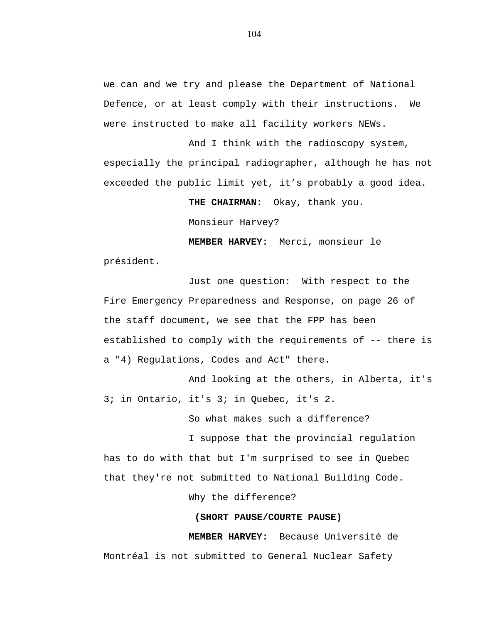we can and we try and please the Department of National Defence, or at least comply with their instructions. We were instructed to make all facility workers NEWs.

And I think with the radioscopy system, especially the principal radiographer, although he has not exceeded the public limit yet, it's probably a good idea.

**THE CHAIRMAN:** Okay, thank you.

Monsieur Harvey?

**MEMBER HARVEY:** Merci, monsieur le président.

Just one question: With respect to the Fire Emergency Preparedness and Response, on page 26 of the staff document, we see that the FPP has been established to comply with the requirements of -- there is a "4) Regulations, Codes and Act" there.

And looking at the others, in Alberta, it's 3; in Ontario, it's 3; in Quebec, it's 2.

So what makes such a difference?

I suppose that the provincial regulation has to do with that but I'm surprised to see in Quebec that they're not submitted to National Building Code.

Why the difference?

### **(SHORT PAUSE/COURTE PAUSE)**

**MEMBER HARVEY:** Because Université de Montréal is not submitted to General Nuclear Safety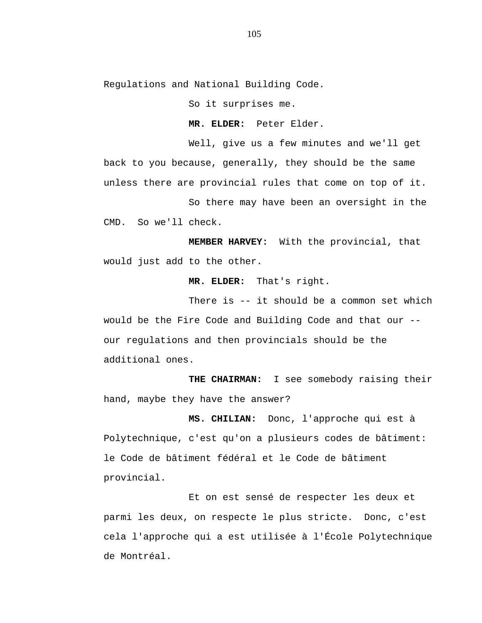Regulations and National Building Code.

So it surprises me.

**MR. ELDER:** Peter Elder.

Well, give us a few minutes and we'll get back to you because, generally, they should be the same unless there are provincial rules that come on top of it.

So there may have been an oversight in the CMD. So we'll check.

**MEMBER HARVEY:** With the provincial, that would just add to the other.

**MR. ELDER:** That's right.

There is -- it should be a common set which would be the Fire Code and Building Code and that our - our regulations and then provincials should be the additional ones.

**THE CHAIRMAN:** I see somebody raising their hand, maybe they have the answer?

**MS. CHILIAN:** Donc, l'approche qui est à Polytechnique, c'est qu'on a plusieurs codes de bâtiment: le Code de bâtiment fédéral et le Code de bâtiment provincial.

Et on est sensé de respecter les deux et parmi les deux, on respecte le plus stricte. Donc, c'est cela l'approche qui a est utilisée à l'École Polytechnique de Montréal.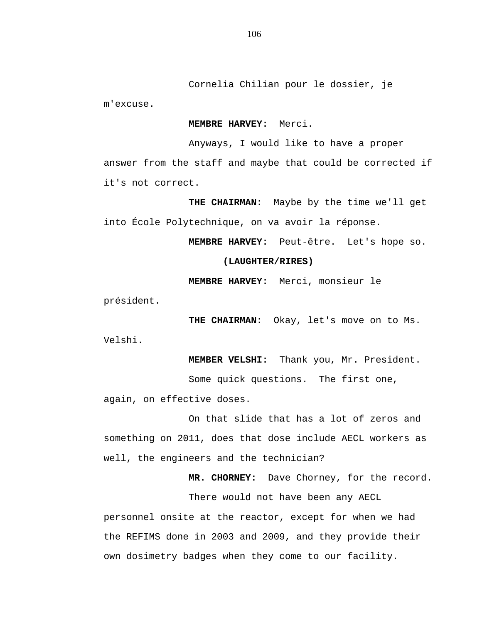Cornelia Chilian pour le dossier, je m'excuse.

#### **MEMBRE HARVEY:** Merci.

Anyways, I would like to have a proper

answer from the staff and maybe that could be corrected if it's not correct.

**THE CHAIRMAN:** Maybe by the time we'll get into École Polytechnique, on va avoir la réponse.

**MEMBRE HARVEY:** Peut-être. Let's hope so.

## **(LAUGHTER/RIRES)**

**MEMBRE HARVEY:** Merci, monsieur le

président.

**THE CHAIRMAN:** Okay, let's move on to Ms. Velshi.

**MEMBER VELSHI:** Thank you, Mr. President.

Some quick questions. The first one,

again, on effective doses.

On that slide that has a lot of zeros and something on 2011, does that dose include AECL workers as well, the engineers and the technician?

**MR. CHORNEY:** Dave Chorney, for the record.

There would not have been any AECL

personnel onsite at the reactor, except for when we had the REFIMS done in 2003 and 2009, and they provide their own dosimetry badges when they come to our facility.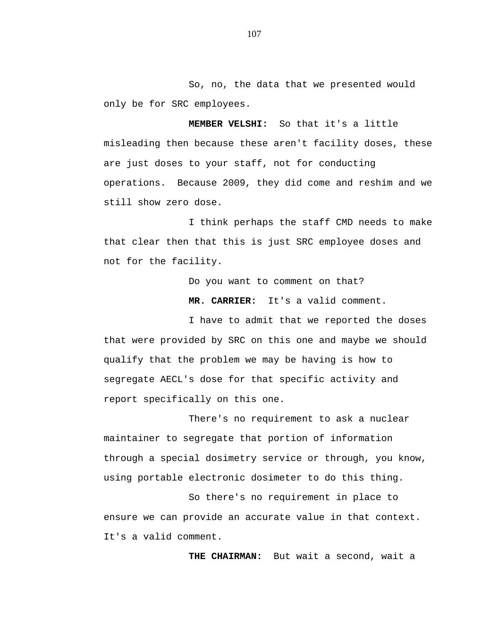So, no, the data that we presented would only be for SRC employees.

**MEMBER VELSHI:** So that it's a little misleading then because these aren't facility doses, these are just doses to your staff, not for conducting operations. Because 2009, they did come and reshim and we still show zero dose.

I think perhaps the staff CMD needs to make that clear then that this is just SRC employee doses and not for the facility.

Do you want to comment on that?

**MR. CARRIER:** It's a valid comment.

I have to admit that we reported the doses that were provided by SRC on this one and maybe we should qualify that the problem we may be having is how to segregate AECL's dose for that specific activity and report specifically on this one.

There's no requirement to ask a nuclear maintainer to segregate that portion of information through a special dosimetry service or through, you know, using portable electronic dosimeter to do this thing.

So there's no requirement in place to ensure we can provide an accurate value in that context. It's a valid comment.

**THE CHAIRMAN:** But wait a second, wait a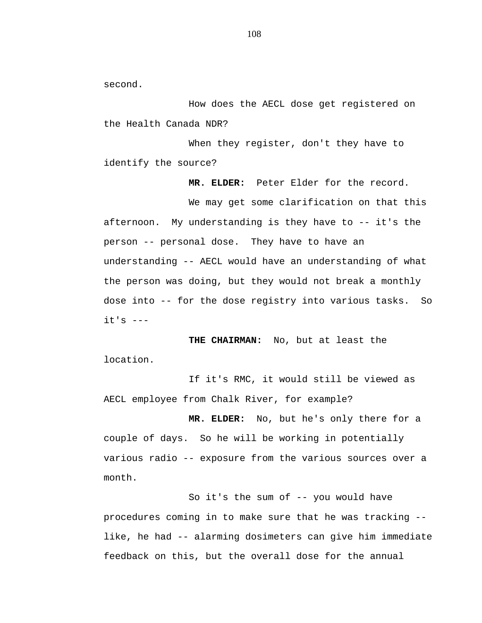second.

How does the AECL dose get registered on the Health Canada NDR?

When they register, don't they have to identify the source?

**MR. ELDER:** Peter Elder for the record.

We may get some clarification on that this afternoon. My understanding is they have to -- it's the person -- personal dose. They have to have an understanding -- AECL would have an understanding of what the person was doing, but they would not break a monthly dose into -- for the dose registry into various tasks. So it's ---

**THE CHAIRMAN:** No, but at least the location.

If it's RMC, it would still be viewed as AECL employee from Chalk River, for example?

**MR. ELDER:** No, but he's only there for a couple of days. So he will be working in potentially various radio -- exposure from the various sources over a month.

So it's the sum of -- you would have procedures coming in to make sure that he was tracking - like, he had -- alarming dosimeters can give him immediate feedback on this, but the overall dose for the annual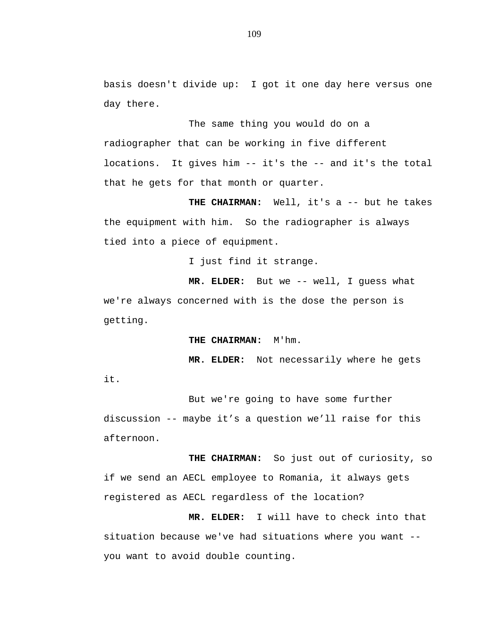basis doesn't divide up: I got it one day here versus one day there.

The same thing you would do on a radiographer that can be working in five different locations. It gives him -- it's the -- and it's the total that he gets for that month or quarter.

**THE CHAIRMAN:** Well, it's a -- but he takes the equipment with him. So the radiographer is always tied into a piece of equipment.

I just find it strange.

**MR. ELDER:** But we -- well, I guess what we're always concerned with is the dose the person is getting.

**THE CHAIRMAN:** M'hm.

**MR. ELDER:** Not necessarily where he gets it.

But we're going to have some further discussion -- maybe it's a question we'll raise for this afternoon.

**THE CHAIRMAN:** So just out of curiosity, so if we send an AECL employee to Romania, it always gets registered as AECL regardless of the location?

**MR. ELDER:** I will have to check into that situation because we've had situations where you want - you want to avoid double counting.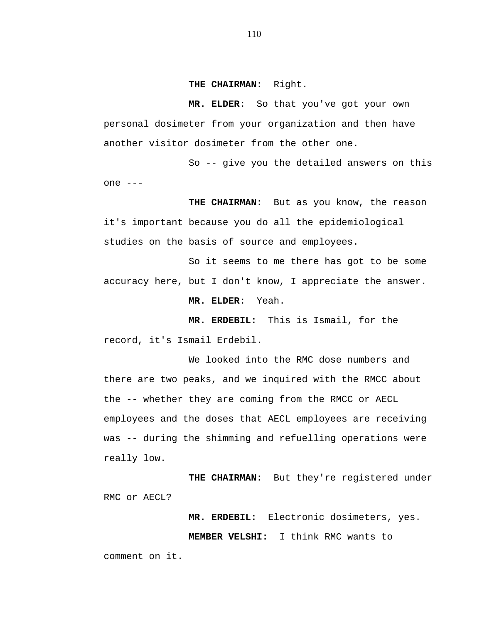**THE CHAIRMAN:** Right.

**MR. ELDER:** So that you've got your own personal dosimeter from your organization and then have another visitor dosimeter from the other one.

So -- give you the detailed answers on this one ---

**THE CHAIRMAN:** But as you know, the reason it's important because you do all the epidemiological studies on the basis of source and employees.

So it seems to me there has got to be some accuracy here, but I don't know, I appreciate the answer.

**MR. ELDER:** Yeah.

**MR. ERDEBIL:** This is Ismail, for the record, it's Ismail Erdebil.

We looked into the RMC dose numbers and there are two peaks, and we inquired with the RMCC about the -- whether they are coming from the RMCC or AECL employees and the doses that AECL employees are receiving was -- during the shimming and refuelling operations were really low.

**THE CHAIRMAN:** But they're registered under RMC or AECL?

> **MR. ERDEBIL:** Electronic dosimeters, yes. **MEMBER VELSHI:** I think RMC wants to

comment on it.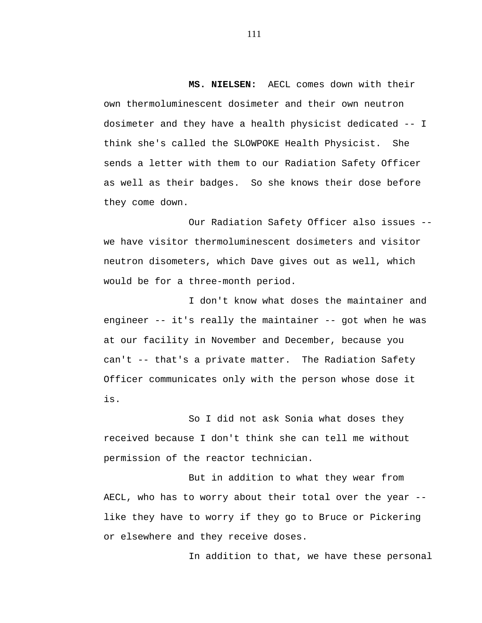**MS. NIELSEN:** AECL comes down with their own thermoluminescent dosimeter and their own neutron dosimeter and they have a health physicist dedicated -- I think she's called the SLOWPOKE Health Physicist. She sends a letter with them to our Radiation Safety Officer as well as their badges. So she knows their dose before they come down.

Our Radiation Safety Officer also issues - we have visitor thermoluminescent dosimeters and visitor neutron disometers, which Dave gives out as well, which would be for a three-month period.

I don't know what doses the maintainer and engineer -- it's really the maintainer -- got when he was at our facility in November and December, because you can't -- that's a private matter. The Radiation Safety Officer communicates only with the person whose dose it is.

So I did not ask Sonia what doses they received because I don't think she can tell me without permission of the reactor technician.

But in addition to what they wear from AECL, who has to worry about their total over the year - like they have to worry if they go to Bruce or Pickering or elsewhere and they receive doses.

In addition to that, we have these personal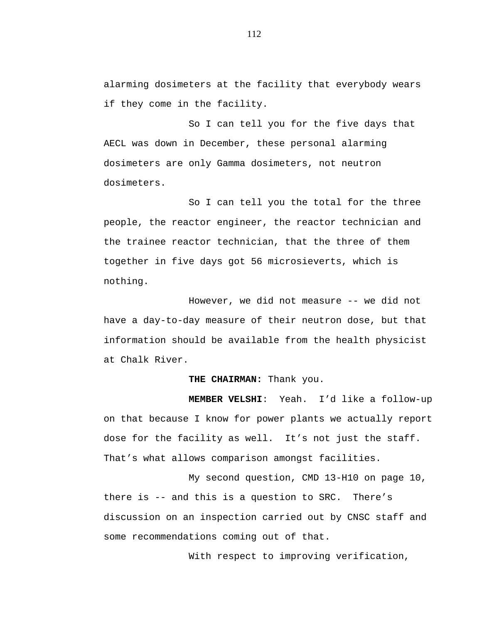alarming dosimeters at the facility that everybody wears if they come in the facility.

So I can tell you for the five days that AECL was down in December, these personal alarming dosimeters are only Gamma dosimeters, not neutron dosimeters.

So I can tell you the total for the three people, the reactor engineer, the reactor technician and the trainee reactor technician, that the three of them together in five days got 56 microsieverts, which is nothing.

However, we did not measure -- we did not have a day-to-day measure of their neutron dose, but that information should be available from the health physicist at Chalk River.

## **THE CHAIRMAN:** Thank you.

**MEMBER VELSHI**: Yeah. I'd like a follow-up on that because I know for power plants we actually report dose for the facility as well. It's not just the staff. That's what allows comparison amongst facilities.

My second question, CMD 13-H10 on page 10, there is -- and this is a question to SRC. There's discussion on an inspection carried out by CNSC staff and some recommendations coming out of that.

With respect to improving verification,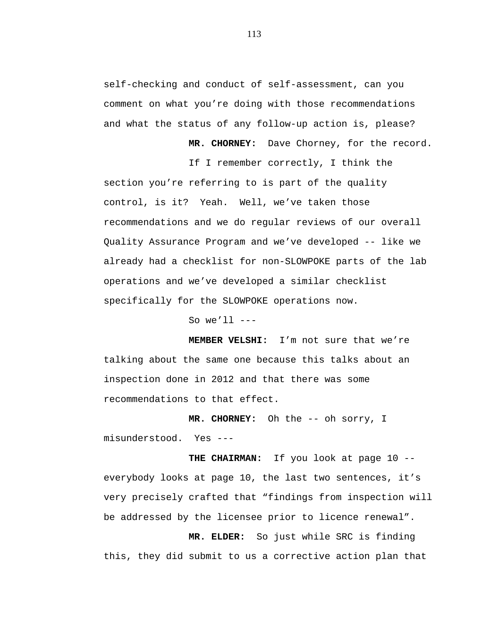self-checking and conduct of self-assessment, can you comment on what you're doing with those recommendations and what the status of any follow-up action is, please?

**MR. CHORNEY:** Dave Chorney, for the record.

If I remember correctly, I think the section you're referring to is part of the quality control, is it? Yeah. Well, we've taken those recommendations and we do regular reviews of our overall Quality Assurance Program and we've developed -- like we already had a checklist for non-SLOWPOKE parts of the lab operations and we've developed a similar checklist specifically for the SLOWPOKE operations now.

So we'll  $---$ 

**MEMBER VELSHI:** I'm not sure that we're talking about the same one because this talks about an inspection done in 2012 and that there was some recommendations to that effect.

**MR. CHORNEY:** Oh the -- oh sorry, I misunderstood. Yes ---

**THE CHAIRMAN:** If you look at page 10 - everybody looks at page 10, the last two sentences, it's very precisely crafted that "findings from inspection will be addressed by the licensee prior to licence renewal".

**MR. ELDER:** So just while SRC is finding this, they did submit to us a corrective action plan that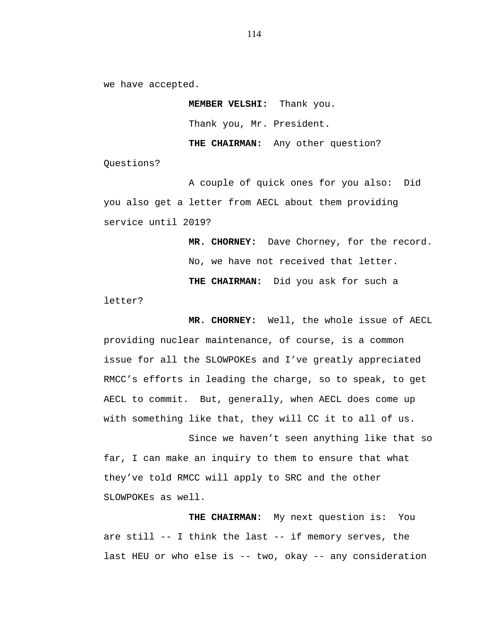we have accepted.

**MEMBER VELSHI:** Thank you. Thank you, Mr. President. **THE CHAIRMAN:** Any other question?

Questions?

A couple of quick ones for you also: Did you also get a letter from AECL about them providing service until 2019?

> **MR. CHORNEY:** Dave Chorney, for the record. No, we have not received that letter. **THE CHAIRMAN:** Did you ask for such a

letter?

**MR. CHORNEY:** Well, the whole issue of AECL providing nuclear maintenance, of course, is a common issue for all the SLOWPOKEs and I've greatly appreciated RMCC's efforts in leading the charge, so to speak, to get AECL to commit. But, generally, when AECL does come up with something like that, they will CC it to all of us.

Since we haven't seen anything like that so far, I can make an inquiry to them to ensure that what they've told RMCC will apply to SRC and the other SLOWPOKEs as well.

**THE CHAIRMAN:** My next question is: You are still -- I think the last -- if memory serves, the last HEU or who else is -- two, okay -- any consideration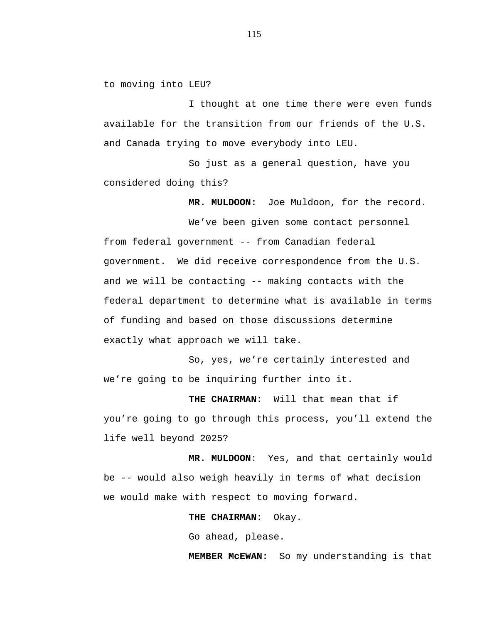to moving into LEU?

I thought at one time there were even funds available for the transition from our friends of the U.S. and Canada trying to move everybody into LEU.

So just as a general question, have you considered doing this?

**MR. MULDOON:** Joe Muldoon, for the record.

We've been given some contact personnel from federal government -- from Canadian federal government. We did receive correspondence from the U.S. and we will be contacting -- making contacts with the federal department to determine what is available in terms of funding and based on those discussions determine exactly what approach we will take.

So, yes, we're certainly interested and we're going to be inquiring further into it.

**THE CHAIRMAN:** Will that mean that if you're going to go through this process, you'll extend the life well beyond 2025?

**MR. MULDOON**: Yes, and that certainly would be -- would also weigh heavily in terms of what decision we would make with respect to moving forward.

**THE CHAIRMAN:** Okay.

Go ahead, please.

**MEMBER McEWAN:** So my understanding is that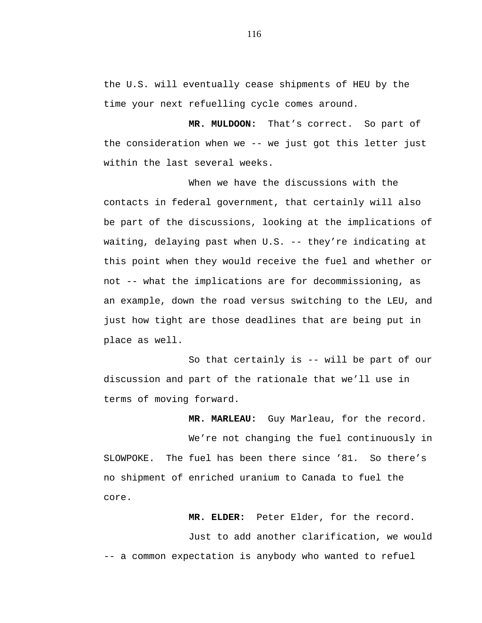the U.S. will eventually cease shipments of HEU by the time your next refuelling cycle comes around.

**MR. MULDOON:** That's correct. So part of the consideration when we -- we just got this letter just within the last several weeks.

When we have the discussions with the contacts in federal government, that certainly will also be part of the discussions, looking at the implications of waiting, delaying past when U.S. -- they're indicating at this point when they would receive the fuel and whether or not -- what the implications are for decommissioning, as an example, down the road versus switching to the LEU, and just how tight are those deadlines that are being put in place as well.

So that certainly is -- will be part of our discussion and part of the rationale that we'll use in terms of moving forward.

**MR. MARLEAU:** Guy Marleau, for the record.

We're not changing the fuel continuously in SLOWPOKE. The fuel has been there since '81. So there's no shipment of enriched uranium to Canada to fuel the core.

**MR. ELDER:** Peter Elder, for the record. Just to add another clarification, we would -- a common expectation is anybody who wanted to refuel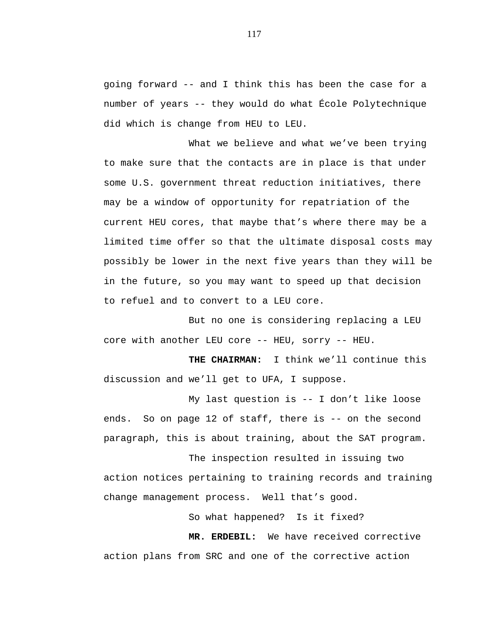going forward -- and I think this has been the case for a number of years -- they would do what École Polytechnique did which is change from HEU to LEU.

What we believe and what we've been trying to make sure that the contacts are in place is that under some U.S. government threat reduction initiatives, there may be a window of opportunity for repatriation of the current HEU cores, that maybe that's where there may be a limited time offer so that the ultimate disposal costs may possibly be lower in the next five years than they will be in the future, so you may want to speed up that decision to refuel and to convert to a LEU core.

But no one is considering replacing a LEU core with another LEU core -- HEU, sorry -- HEU.

**THE CHAIRMAN:** I think we'll continue this discussion and we'll get to UFA, I suppose.

My last question is -- I don't like loose ends. So on page 12 of staff, there is -- on the second paragraph, this is about training, about the SAT program.

The inspection resulted in issuing two action notices pertaining to training records and training change management process. Well that's good.

So what happened? Is it fixed?

**MR. ERDEBIL:** We have received corrective action plans from SRC and one of the corrective action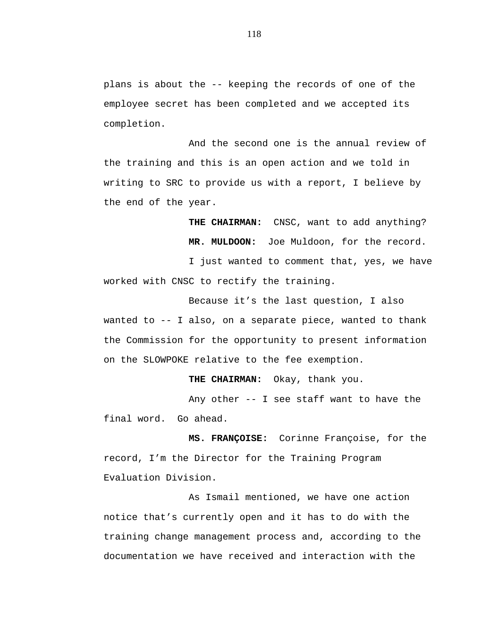plans is about the -- keeping the records of one of the employee secret has been completed and we accepted its completion.

And the second one is the annual review of the training and this is an open action and we told in writing to SRC to provide us with a report, I believe by the end of the year.

> **THE CHAIRMAN:** CNSC, want to add anything? **MR. MULDOON:** Joe Muldoon, for the record.

I just wanted to comment that, yes, we have worked with CNSC to rectify the training.

Because it's the last question, I also wanted to -- I also, on a separate piece, wanted to thank the Commission for the opportunity to present information on the SLOWPOKE relative to the fee exemption.

 **THE CHAIRMAN:** Okay, thank you.

Any other -- I see staff want to have the final word. Go ahead.

**MS. FRANÇOISE:** Corinne Françoise, for the record, I'm the Director for the Training Program Evaluation Division.

As Ismail mentioned, we have one action notice that's currently open and it has to do with the training change management process and, according to the documentation we have received and interaction with the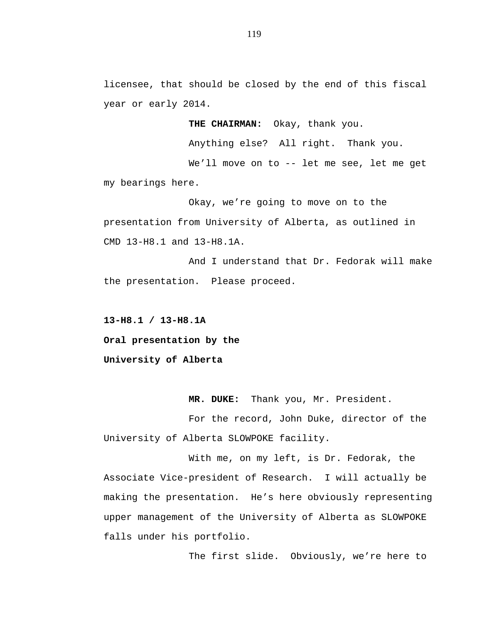licensee, that should be closed by the end of this fiscal year or early 2014.

**THE CHAIRMAN:** Okay, thank you.

Anything else? All right. Thank you.

We'll move on to -- let me see, let me get my bearings here.

Okay, we're going to move on to the presentation from University of Alberta, as outlined in CMD 13-H8.1 and 13-H8.1A.

And I understand that Dr. Fedorak will make the presentation. Please proceed.

**13-H8.1 / 13-H8.1A Oral presentation by the University of Alberta** 

 **MR. DUKE:** Thank you, Mr. President.

For the record, John Duke, director of the University of Alberta SLOWPOKE facility.

With me, on my left, is Dr. Fedorak, the Associate Vice-president of Research. I will actually be making the presentation. He's here obviously representing upper management of the University of Alberta as SLOWPOKE falls under his portfolio.

The first slide. Obviously, we're here to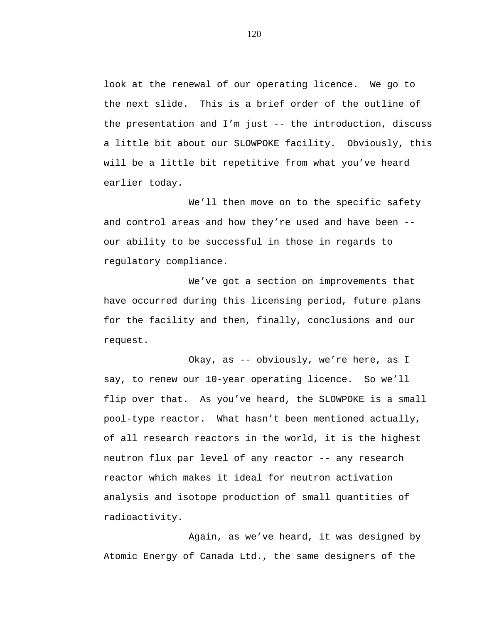look at the renewal of our operating licence. We go to the next slide. This is a brief order of the outline of the presentation and I'm just -- the introduction, discuss a little bit about our SLOWPOKE facility. Obviously, this will be a little bit repetitive from what you've heard earlier today.

We'll then move on to the specific safety and control areas and how they're used and have been - our ability to be successful in those in regards to regulatory compliance.

We've got a section on improvements that have occurred during this licensing period, future plans for the facility and then, finally, conclusions and our request.

Okay, as -- obviously, we're here, as I say, to renew our 10-year operating licence. So we'll flip over that. As you've heard, the SLOWPOKE is a small pool-type reactor. What hasn't been mentioned actually, of all research reactors in the world, it is the highest neutron flux par level of any reactor -- any research reactor which makes it ideal for neutron activation analysis and isotope production of small quantities of radioactivity.

Again, as we've heard, it was designed by Atomic Energy of Canada Ltd., the same designers of the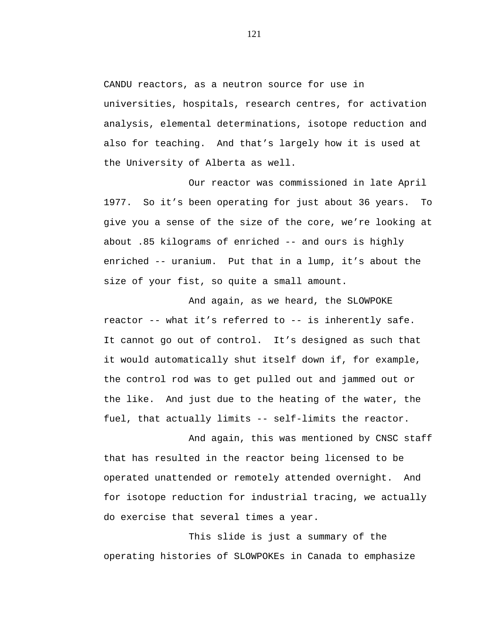CANDU reactors, as a neutron source for use in universities, hospitals, research centres, for activation analysis, elemental determinations, isotope reduction and also for teaching. And that's largely how it is used at the University of Alberta as well.

Our reactor was commissioned in late April 1977. So it's been operating for just about 36 years. To give you a sense of the size of the core, we're looking at about .85 kilograms of enriched -- and ours is highly enriched -- uranium. Put that in a lump, it's about the size of your fist, so quite a small amount.

And again, as we heard, the SLOWPOKE reactor -- what it's referred to -- is inherently safe. It cannot go out of control. It's designed as such that it would automatically shut itself down if, for example, the control rod was to get pulled out and jammed out or the like. And just due to the heating of the water, the fuel, that actually limits -- self-limits the reactor.

And again, this was mentioned by CNSC staff that has resulted in the reactor being licensed to be operated unattended or remotely attended overnight. And for isotope reduction for industrial tracing, we actually do exercise that several times a year.

This slide is just a summary of the operating histories of SLOWPOKEs in Canada to emphasize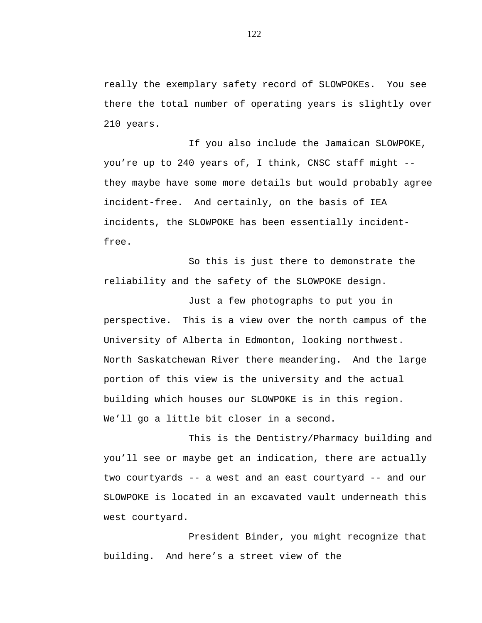really the exemplary safety record of SLOWPOKEs. You see there the total number of operating years is slightly over 210 years.

If you also include the Jamaican SLOWPOKE, you're up to 240 years of, I think, CNSC staff might - they maybe have some more details but would probably agree incident-free. And certainly, on the basis of IEA incidents, the SLOWPOKE has been essentially incidentfree.

So this is just there to demonstrate the reliability and the safety of the SLOWPOKE design.

Just a few photographs to put you in perspective. This is a view over the north campus of the University of Alberta in Edmonton, looking northwest. North Saskatchewan River there meandering. And the large portion of this view is the university and the actual building which houses our SLOWPOKE is in this region. We'll go a little bit closer in a second.

This is the Dentistry/Pharmacy building and you'll see or maybe get an indication, there are actually two courtyards -- a west and an east courtyard -- and our SLOWPOKE is located in an excavated vault underneath this west courtyard.

President Binder, you might recognize that building. And here's a street view of the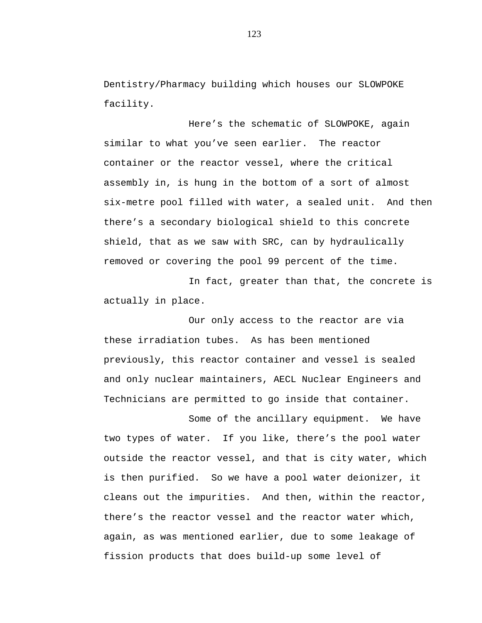Dentistry/Pharmacy building which houses our SLOWPOKE facility.

Here's the schematic of SLOWPOKE, again similar to what you've seen earlier. The reactor container or the reactor vessel, where the critical assembly in, is hung in the bottom of a sort of almost six-metre pool filled with water, a sealed unit. And then there's a secondary biological shield to this concrete shield, that as we saw with SRC, can by hydraulically removed or covering the pool 99 percent of the time.

In fact, greater than that, the concrete is actually in place.

Our only access to the reactor are via these irradiation tubes. As has been mentioned previously, this reactor container and vessel is sealed and only nuclear maintainers, AECL Nuclear Engineers and Technicians are permitted to go inside that container.

Some of the ancillary equipment. We have two types of water. If you like, there's the pool water outside the reactor vessel, and that is city water, which is then purified. So we have a pool water deionizer, it cleans out the impurities. And then, within the reactor, there's the reactor vessel and the reactor water which, again, as was mentioned earlier, due to some leakage of fission products that does build-up some level of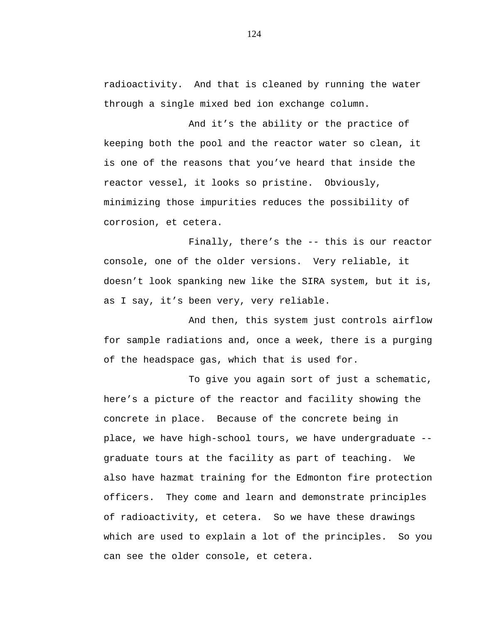radioactivity. And that is cleaned by running the water through a single mixed bed ion exchange column.

And it's the ability or the practice of keeping both the pool and the reactor water so clean, it is one of the reasons that you've heard that inside the reactor vessel, it looks so pristine. Obviously, minimizing those impurities reduces the possibility of corrosion, et cetera.

Finally, there's the -- this is our reactor console, one of the older versions. Very reliable, it doesn't look spanking new like the SIRA system, but it is, as I say, it's been very, very reliable.

And then, this system just controls airflow for sample radiations and, once a week, there is a purging of the headspace gas, which that is used for.

To give you again sort of just a schematic, here's a picture of the reactor and facility showing the concrete in place. Because of the concrete being in place, we have high-school tours, we have undergraduate - graduate tours at the facility as part of teaching. We also have hazmat training for the Edmonton fire protection officers. They come and learn and demonstrate principles of radioactivity, et cetera. So we have these drawings which are used to explain a lot of the principles. So you can see the older console, et cetera.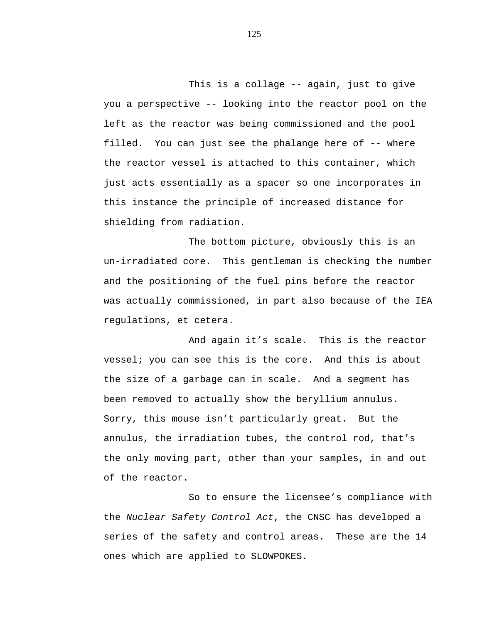This is a collage -- again, just to give you a perspective -- looking into the reactor pool on the left as the reactor was being commissioned and the pool filled. You can just see the phalange here of -- where the reactor vessel is attached to this container, which just acts essentially as a spacer so one incorporates in this instance the principle of increased distance for shielding from radiation.

The bottom picture, obviously this is an un-irradiated core. This gentleman is checking the number and the positioning of the fuel pins before the reactor was actually commissioned, in part also because of the IEA regulations, et cetera.

And again it's scale. This is the reactor vessel; you can see this is the core. And this is about the size of a garbage can in scale. And a segment has been removed to actually show the beryllium annulus. Sorry, this mouse isn't particularly great. But the annulus, the irradiation tubes, the control rod, that's the only moving part, other than your samples, in and out of the reactor.

So to ensure the licensee's compliance with the *Nuclear Safety Control Act*, the CNSC has developed a series of the safety and control areas. These are the 14 ones which are applied to SLOWPOKES.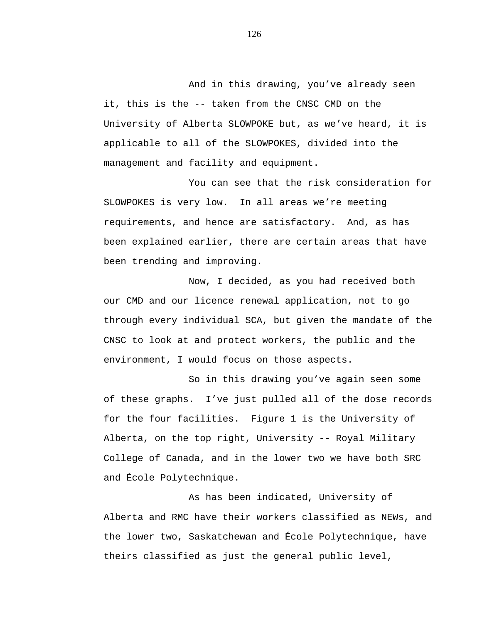And in this drawing, you've already seen it, this is the -- taken from the CNSC CMD on the University of Alberta SLOWPOKE but, as we've heard, it is applicable to all of the SLOWPOKES, divided into the management and facility and equipment.

You can see that the risk consideration for SLOWPOKES is very low. In all areas we're meeting requirements, and hence are satisfactory. And, as has been explained earlier, there are certain areas that have been trending and improving.

Now, I decided, as you had received both our CMD and our licence renewal application, not to go through every individual SCA, but given the mandate of the CNSC to look at and protect workers, the public and the environment, I would focus on those aspects.

So in this drawing you've again seen some of these graphs. I've just pulled all of the dose records for the four facilities. Figure 1 is the University of Alberta, on the top right, University -- Royal Military College of Canada, and in the lower two we have both SRC and École Polytechnique.

As has been indicated, University of Alberta and RMC have their workers classified as NEWs, and the lower two, Saskatchewan and École Polytechnique, have theirs classified as just the general public level,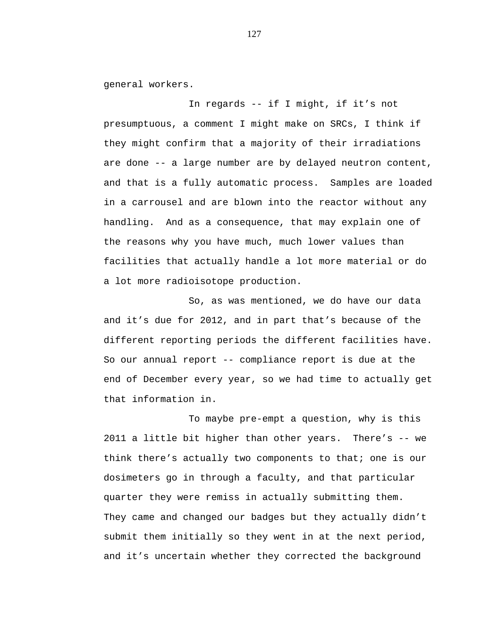general workers.

In regards -- if I might, if it's not presumptuous, a comment I might make on SRCs, I think if they might confirm that a majority of their irradiations are done -- a large number are by delayed neutron content, and that is a fully automatic process. Samples are loaded in a carrousel and are blown into the reactor without any handling. And as a consequence, that may explain one of the reasons why you have much, much lower values than facilities that actually handle a lot more material or do a lot more radioisotope production.

So, as was mentioned, we do have our data and it's due for 2012, and in part that's because of the different reporting periods the different facilities have. So our annual report -- compliance report is due at the end of December every year, so we had time to actually get that information in.

To maybe pre-empt a question, why is this 2011 a little bit higher than other years. There's -- we think there's actually two components to that; one is our dosimeters go in through a faculty, and that particular quarter they were remiss in actually submitting them. They came and changed our badges but they actually didn't submit them initially so they went in at the next period, and it's uncertain whether they corrected the background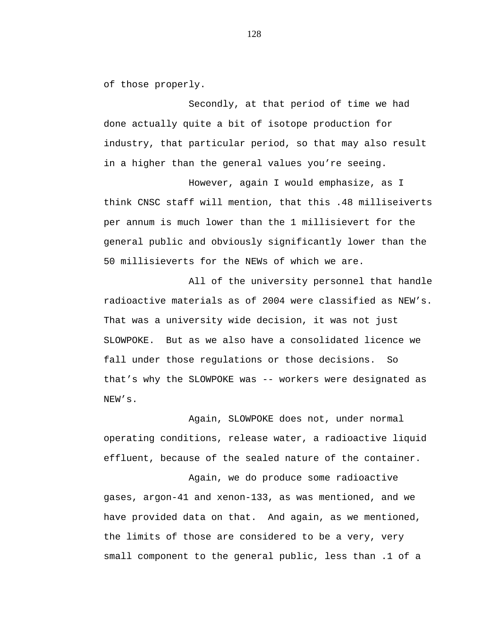of those properly.

Secondly, at that period of time we had done actually quite a bit of isotope production for industry, that particular period, so that may also result in a higher than the general values you're seeing.

However, again I would emphasize, as I think CNSC staff will mention, that this .48 milliseiverts per annum is much lower than the 1 millisievert for the general public and obviously significantly lower than the 50 millisieverts for the NEWs of which we are.

All of the university personnel that handle radioactive materials as of 2004 were classified as NEW's. That was a university wide decision, it was not just SLOWPOKE. But as we also have a consolidated licence we fall under those regulations or those decisions. So that's why the SLOWPOKE was -- workers were designated as NEW's.

Again, SLOWPOKE does not, under normal operating conditions, release water, a radioactive liquid effluent, because of the sealed nature of the container.

Again, we do produce some radioactive gases, argon-41 and xenon-133, as was mentioned, and we have provided data on that. And again, as we mentioned, the limits of those are considered to be a very, very small component to the general public, less than .1 of a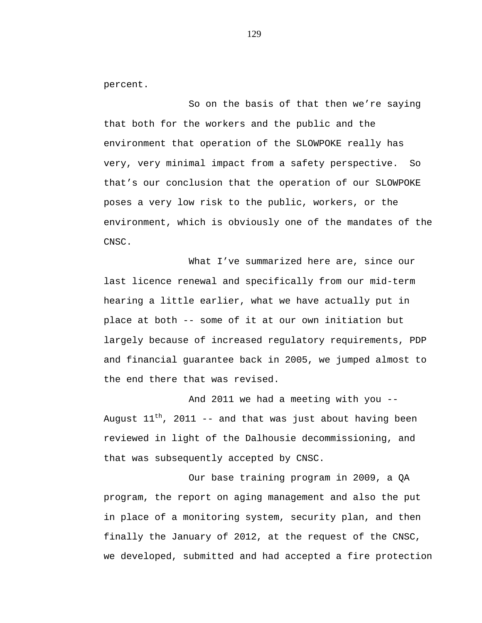percent.

So on the basis of that then we're saying that both for the workers and the public and the environment that operation of the SLOWPOKE really has very, very minimal impact from a safety perspective. So that's our conclusion that the operation of our SLOWPOKE poses a very low risk to the public, workers, or the environment, which is obviously one of the mandates of the CNSC.

What I've summarized here are, since our last licence renewal and specifically from our mid-term hearing a little earlier, what we have actually put in place at both -- some of it at our own initiation but largely because of increased regulatory requirements, PDP and financial guarantee back in 2005, we jumped almost to the end there that was revised.

And 2011 we had a meeting with you -- August  $11^{th}$ , 2011 -- and that was just about having been reviewed in light of the Dalhousie decommissioning, and that was subsequently accepted by CNSC.

Our base training program in 2009, a QA program, the report on aging management and also the put in place of a monitoring system, security plan, and then finally the January of 2012, at the request of the CNSC, we developed, submitted and had accepted a fire protection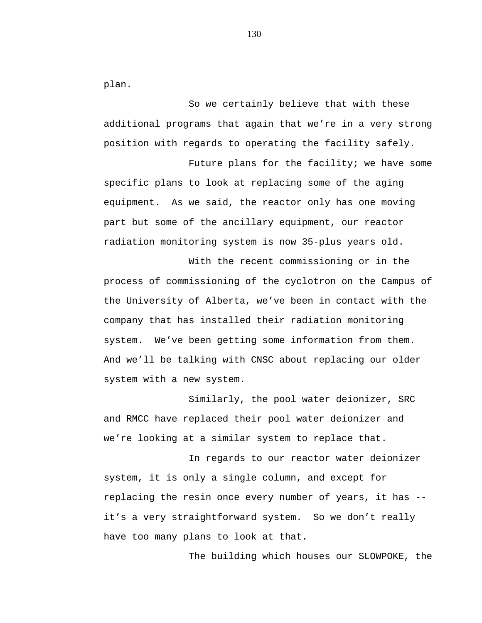plan.

So we certainly believe that with these additional programs that again that we're in a very strong position with regards to operating the facility safely.

Future plans for the facility; we have some specific plans to look at replacing some of the aging equipment. As we said, the reactor only has one moving part but some of the ancillary equipment, our reactor radiation monitoring system is now 35-plus years old.

With the recent commissioning or in the process of commissioning of the cyclotron on the Campus of the University of Alberta, we've been in contact with the company that has installed their radiation monitoring system. We've been getting some information from them. And we'll be talking with CNSC about replacing our older system with a new system.

Similarly, the pool water deionizer, SRC and RMCC have replaced their pool water deionizer and we're looking at a similar system to replace that.

In regards to our reactor water deionizer system, it is only a single column, and except for replacing the resin once every number of years, it has - it's a very straightforward system. So we don't really have too many plans to look at that.

The building which houses our SLOWPOKE, the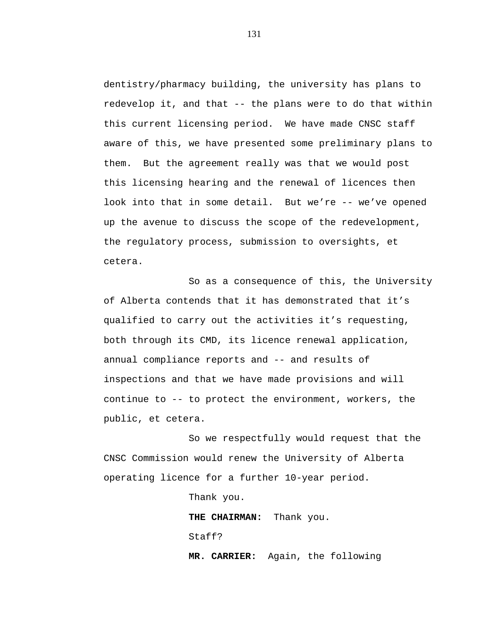dentistry/pharmacy building, the university has plans to redevelop it, and that -- the plans were to do that within this current licensing period. We have made CNSC staff aware of this, we have presented some preliminary plans to them. But the agreement really was that we would post this licensing hearing and the renewal of licences then look into that in some detail. But we're -- we've opened up the avenue to discuss the scope of the redevelopment, the regulatory process, submission to oversights, et cetera.

So as a consequence of this, the University of Alberta contends that it has demonstrated that it's qualified to carry out the activities it's requesting, both through its CMD, its licence renewal application, annual compliance reports and -- and results of inspections and that we have made provisions and will continue to -- to protect the environment, workers, the public, et cetera.

So we respectfully would request that the CNSC Commission would renew the University of Alberta operating licence for a further 10-year period.

Thank you.

**THE CHAIRMAN:** Thank you. Staff? **MR. CARRIER:** Again, the following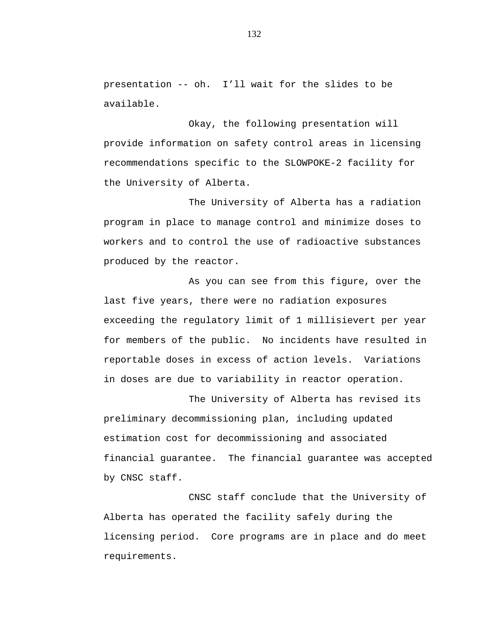presentation -- oh. I'll wait for the slides to be available.

Okay, the following presentation will provide information on safety control areas in licensing recommendations specific to the SLOWPOKE-2 facility for the University of Alberta.

The University of Alberta has a radiation program in place to manage control and minimize doses to workers and to control the use of radioactive substances produced by the reactor.

As you can see from this figure, over the last five years, there were no radiation exposures exceeding the regulatory limit of 1 millisievert per year for members of the public. No incidents have resulted in reportable doses in excess of action levels. Variations in doses are due to variability in reactor operation.

The University of Alberta has revised its preliminary decommissioning plan, including updated estimation cost for decommissioning and associated financial guarantee. The financial guarantee was accepted by CNSC staff.

CNSC staff conclude that the University of Alberta has operated the facility safely during the licensing period. Core programs are in place and do meet requirements.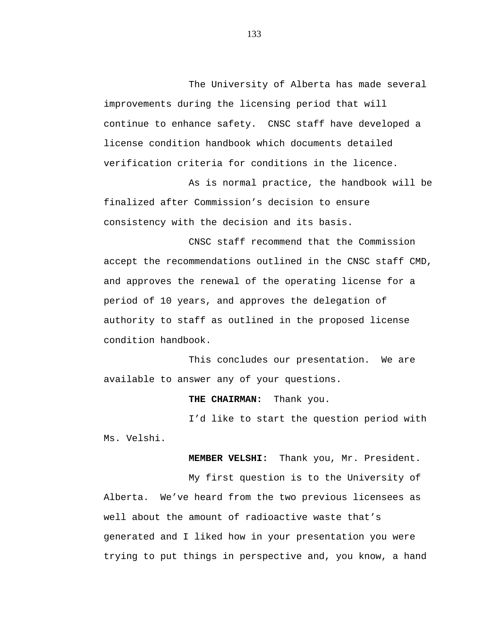The University of Alberta has made several improvements during the licensing period that will continue to enhance safety. CNSC staff have developed a license condition handbook which documents detailed verification criteria for conditions in the licence.

As is normal practice, the handbook will be finalized after Commission's decision to ensure consistency with the decision and its basis.

CNSC staff recommend that the Commission accept the recommendations outlined in the CNSC staff CMD, and approves the renewal of the operating license for a period of 10 years, and approves the delegation of authority to staff as outlined in the proposed license condition handbook.

This concludes our presentation. We are available to answer any of your questions.

**THE CHAIRMAN:** Thank you.

I'd like to start the question period with Ms. Velshi.

 **MEMBER VELSHI:** Thank you, Mr. President.

My first question is to the University of Alberta. We've heard from the two previous licensees as well about the amount of radioactive waste that's generated and I liked how in your presentation you were trying to put things in perspective and, you know, a hand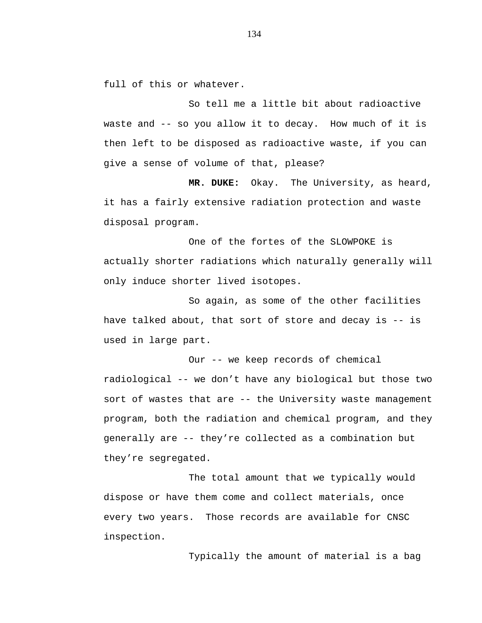full of this or whatever.

So tell me a little bit about radioactive waste and -- so you allow it to decay. How much of it is then left to be disposed as radioactive waste, if you can give a sense of volume of that, please?

**MR. DUKE:** Okay. The University, as heard, it has a fairly extensive radiation protection and waste disposal program.

One of the fortes of the SLOWPOKE is actually shorter radiations which naturally generally will only induce shorter lived isotopes.

So again, as some of the other facilities have talked about, that sort of store and decay is -- is used in large part.

Our -- we keep records of chemical radiological -- we don't have any biological but those two sort of wastes that are -- the University waste management program, both the radiation and chemical program, and they generally are -- they're collected as a combination but they're segregated.

The total amount that we typically would dispose or have them come and collect materials, once every two years. Those records are available for CNSC inspection.

Typically the amount of material is a bag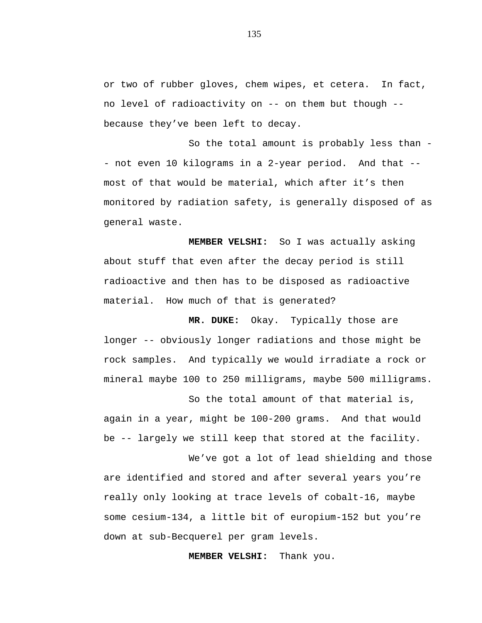or two of rubber gloves, chem wipes, et cetera. In fact, no level of radioactivity on -- on them but though - because they've been left to decay.

So the total amount is probably less than - not even 10 kilograms in a 2-year period. And that - most of that would be material, which after it's then monitored by radiation safety, is generally disposed of as general waste.

**MEMBER VELSHI:** So I was actually asking about stuff that even after the decay period is still radioactive and then has to be disposed as radioactive material. How much of that is generated?

 **MR. DUKE:** Okay. Typically those are longer -- obviously longer radiations and those might be rock samples. And typically we would irradiate a rock or mineral maybe 100 to 250 milligrams, maybe 500 milligrams.

So the total amount of that material is, again in a year, might be 100-200 grams. And that would be -- largely we still keep that stored at the facility.

We've got a lot of lead shielding and those are identified and stored and after several years you're really only looking at trace levels of cobalt-16, maybe some cesium-134, a little bit of europium-152 but you're down at sub-Becquerel per gram levels.

 **MEMBER VELSHI:** Thank you.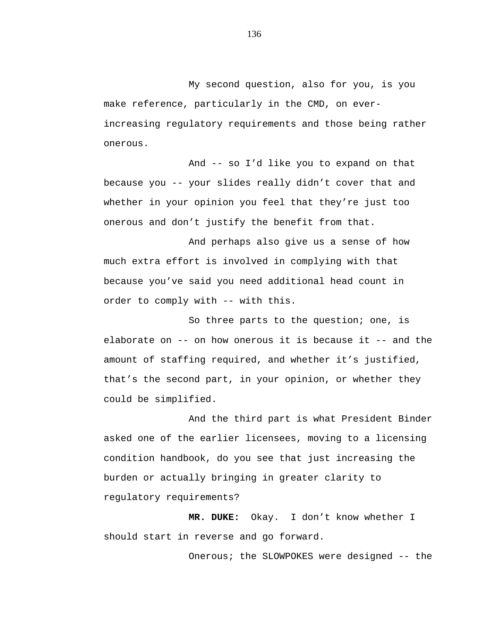My second question, also for you, is you make reference, particularly in the CMD, on everincreasing regulatory requirements and those being rather onerous.

And -- so I'd like you to expand on that because you -- your slides really didn't cover that and whether in your opinion you feel that they're just too onerous and don't justify the benefit from that.

And perhaps also give us a sense of how much extra effort is involved in complying with that because you've said you need additional head count in order to comply with -- with this.

So three parts to the question; one, is elaborate on -- on how onerous it is because it -- and the amount of staffing required, and whether it's justified, that's the second part, in your opinion, or whether they could be simplified.

And the third part is what President Binder asked one of the earlier licensees, moving to a licensing condition handbook, do you see that just increasing the burden or actually bringing in greater clarity to regulatory requirements?

**MR. DUKE:** Okay. I don't know whether I should start in reverse and go forward.

Onerous; the SLOWPOKES were designed -- the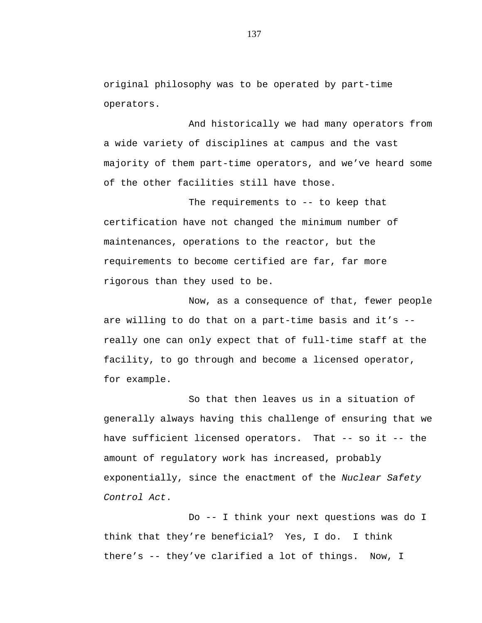original philosophy was to be operated by part-time operators.

And historically we had many operators from a wide variety of disciplines at campus and the vast majority of them part-time operators, and we've heard some of the other facilities still have those.

The requirements to -- to keep that certification have not changed the minimum number of maintenances, operations to the reactor, but the requirements to become certified are far, far more rigorous than they used to be.

Now, as a consequence of that, fewer people are willing to do that on a part-time basis and it's - really one can only expect that of full-time staff at the facility, to go through and become a licensed operator, for example.

So that then leaves us in a situation of generally always having this challenge of ensuring that we have sufficient licensed operators. That -- so it -- the amount of regulatory work has increased, probably exponentially, since the enactment of the *Nuclear Safety Control Act*.

Do -- I think your next questions was do I think that they're beneficial? Yes, I do. I think there's -- they've clarified a lot of things. Now, I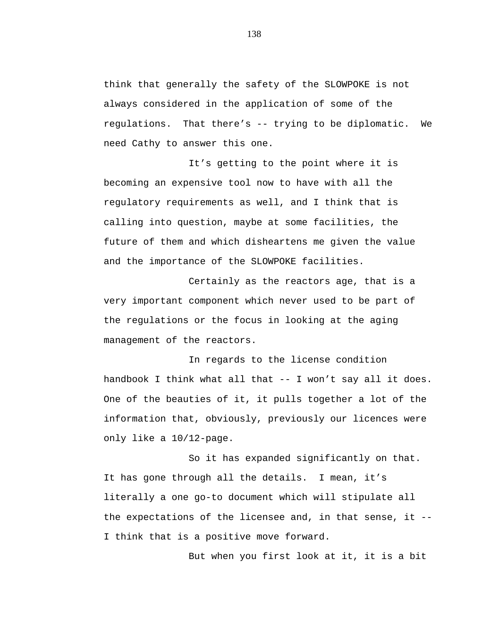think that generally the safety of the SLOWPOKE is not always considered in the application of some of the regulations. That there's -- trying to be diplomatic. We need Cathy to answer this one.

It's getting to the point where it is becoming an expensive tool now to have with all the regulatory requirements as well, and I think that is calling into question, maybe at some facilities, the future of them and which disheartens me given the value and the importance of the SLOWPOKE facilities.

Certainly as the reactors age, that is a very important component which never used to be part of the regulations or the focus in looking at the aging management of the reactors.

In regards to the license condition handbook I think what all that -- I won't say all it does. One of the beauties of it, it pulls together a lot of the information that, obviously, previously our licences were only like a 10/12-page.

So it has expanded significantly on that. It has gone through all the details. I mean, it's literally a one go-to document which will stipulate all the expectations of the licensee and, in that sense, it -- I think that is a positive move forward.

But when you first look at it, it is a bit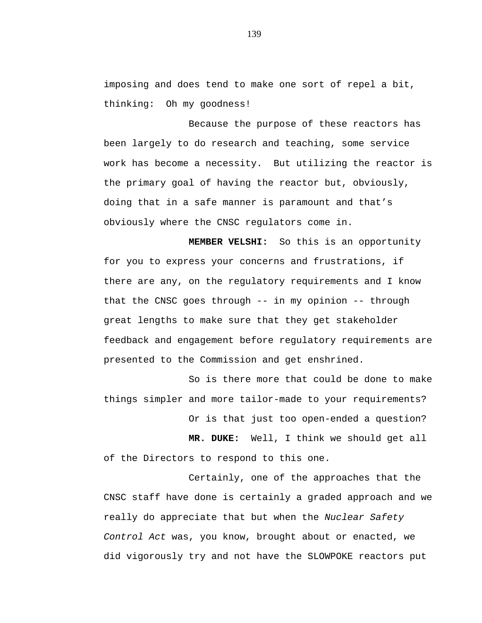imposing and does tend to make one sort of repel a bit, thinking: Oh my goodness!

Because the purpose of these reactors has been largely to do research and teaching, some service work has become a necessity. But utilizing the reactor is the primary goal of having the reactor but, obviously, doing that in a safe manner is paramount and that's obviously where the CNSC regulators come in.

**MEMBER VELSHI:** So this is an opportunity for you to express your concerns and frustrations, if there are any, on the regulatory requirements and I know that the CNSC goes through -- in my opinion -- through great lengths to make sure that they get stakeholder feedback and engagement before regulatory requirements are presented to the Commission and get enshrined.

So is there more that could be done to make things simpler and more tailor-made to your requirements?

Or is that just too open-ended a question?

**MR. DUKE:** Well, I think we should get all of the Directors to respond to this one.

Certainly, one of the approaches that the CNSC staff have done is certainly a graded approach and we really do appreciate that but when the *Nuclear Safety Control Act* was, you know, brought about or enacted, we did vigorously try and not have the SLOWPOKE reactors put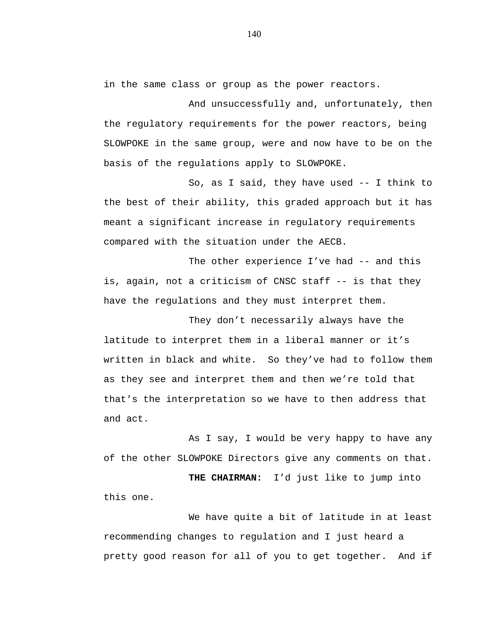in the same class or group as the power reactors.

And unsuccessfully and, unfortunately, then the regulatory requirements for the power reactors, being SLOWPOKE in the same group, were and now have to be on the basis of the regulations apply to SLOWPOKE.

So, as I said, they have used -- I think to the best of their ability, this graded approach but it has meant a significant increase in regulatory requirements compared with the situation under the AECB.

The other experience I've had -- and this is, again, not a criticism of CNSC staff -- is that they have the regulations and they must interpret them.

They don't necessarily always have the latitude to interpret them in a liberal manner or it's written in black and white. So they've had to follow them as they see and interpret them and then we're told that that's the interpretation so we have to then address that and act.

As I say, I would be very happy to have any of the other SLOWPOKE Directors give any comments on that.

**THE CHAIRMAN:** I'd just like to jump into this one.

We have quite a bit of latitude in at least recommending changes to regulation and I just heard a pretty good reason for all of you to get together. And if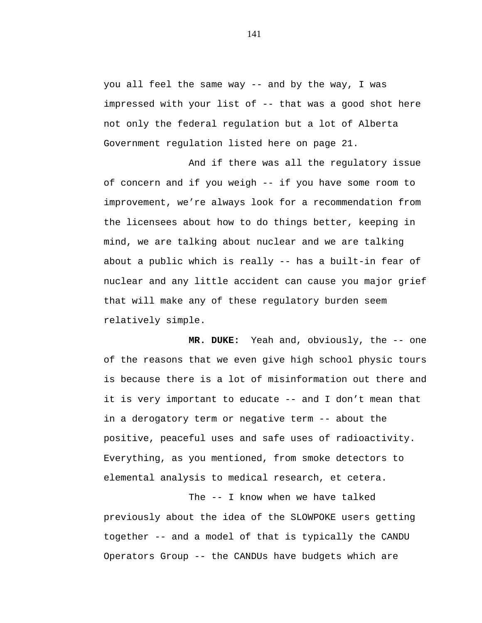you all feel the same way -- and by the way, I was impressed with your list of -- that was a good shot here not only the federal regulation but a lot of Alberta Government regulation listed here on page 21.

And if there was all the regulatory issue of concern and if you weigh -- if you have some room to improvement, we're always look for a recommendation from the licensees about how to do things better, keeping in mind, we are talking about nuclear and we are talking about a public which is really -- has a built-in fear of nuclear and any little accident can cause you major grief that will make any of these regulatory burden seem relatively simple.

**MR. DUKE:** Yeah and, obviously, the -- one of the reasons that we even give high school physic tours is because there is a lot of misinformation out there and it is very important to educate -- and I don't mean that in a derogatory term or negative term -- about the positive, peaceful uses and safe uses of radioactivity. Everything, as you mentioned, from smoke detectors to elemental analysis to medical research, et cetera.

The -- I know when we have talked previously about the idea of the SLOWPOKE users getting together -- and a model of that is typically the CANDU Operators Group -- the CANDUs have budgets which are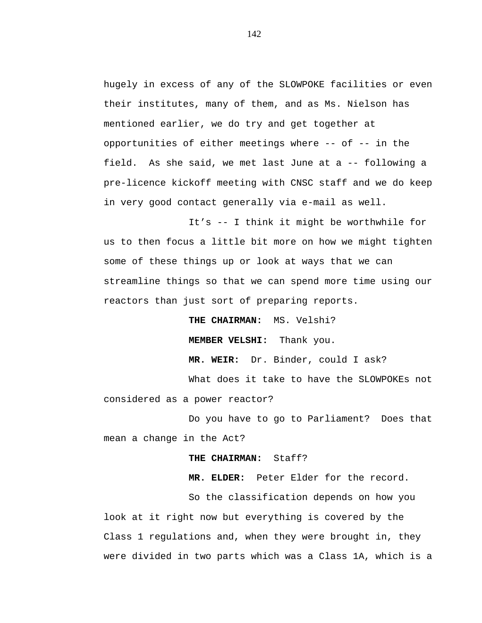hugely in excess of any of the SLOWPOKE facilities or even their institutes, many of them, and as Ms. Nielson has mentioned earlier, we do try and get together at opportunities of either meetings where -- of -- in the field. As she said, we met last June at a -- following a pre-licence kickoff meeting with CNSC staff and we do keep in very good contact generally via e-mail as well.

It's -- I think it might be worthwhile for us to then focus a little bit more on how we might tighten some of these things up or look at ways that we can streamline things so that we can spend more time using our reactors than just sort of preparing reports.

> **THE CHAIRMAN:** MS. Velshi? **MEMBER VELSHI:** Thank you.

**MR. WEIR:** Dr. Binder, could I ask?

What does it take to have the SLOWPOKEs not considered as a power reactor?

Do you have to go to Parliament? Does that mean a change in the Act?

## **THE CHAIRMAN:** Staff?

**MR. ELDER:** Peter Elder for the record.

So the classification depends on how you look at it right now but everything is covered by the Class 1 regulations and, when they were brought in, they were divided in two parts which was a Class 1A, which is a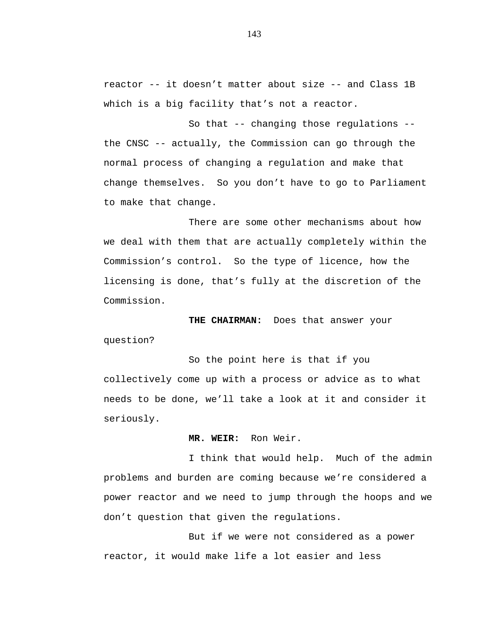reactor -- it doesn't matter about size -- and Class 1B which is a big facility that's not a reactor.

So that -- changing those regulations - the CNSC -- actually, the Commission can go through the normal process of changing a regulation and make that change themselves. So you don't have to go to Parliament to make that change.

There are some other mechanisms about how we deal with them that are actually completely within the Commission's control. So the type of licence, how the licensing is done, that's fully at the discretion of the Commission.

**THE CHAIRMAN:** Does that answer your question?

So the point here is that if you collectively come up with a process or advice as to what needs to be done, we'll take a look at it and consider it seriously.

## **MR. WEIR:** Ron Weir.

I think that would help. Much of the admin problems and burden are coming because we're considered a power reactor and we need to jump through the hoops and we don't question that given the regulations.

But if we were not considered as a power reactor, it would make life a lot easier and less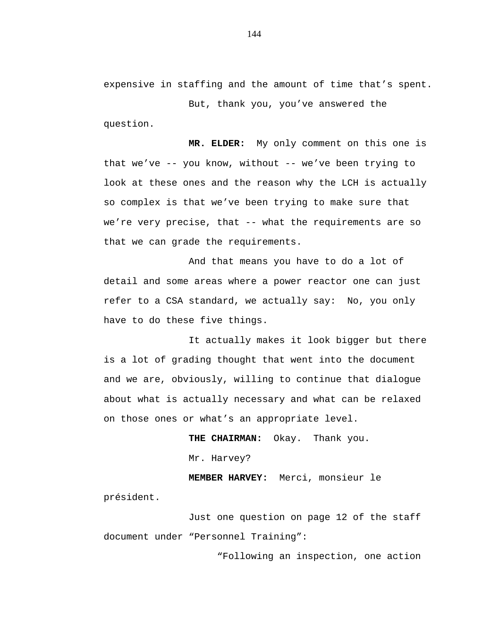expensive in staffing and the amount of time that's spent.

But, thank you, you've answered the question.

**MR. ELDER:** My only comment on this one is that we've -- you know, without -- we've been trying to look at these ones and the reason why the LCH is actually so complex is that we've been trying to make sure that we're very precise, that -- what the requirements are so that we can grade the requirements.

And that means you have to do a lot of detail and some areas where a power reactor one can just refer to a CSA standard, we actually say: No, you only have to do these five things.

It actually makes it look bigger but there is a lot of grading thought that went into the document and we are, obviously, willing to continue that dialogue about what is actually necessary and what can be relaxed on those ones or what's an appropriate level.

> **THE CHAIRMAN:** Okay. Thank you. Mr. Harvey?

**MEMBER HARVEY:** Merci, monsieur le président.

Just one question on page 12 of the staff document under "Personnel Training":

"Following an inspection, one action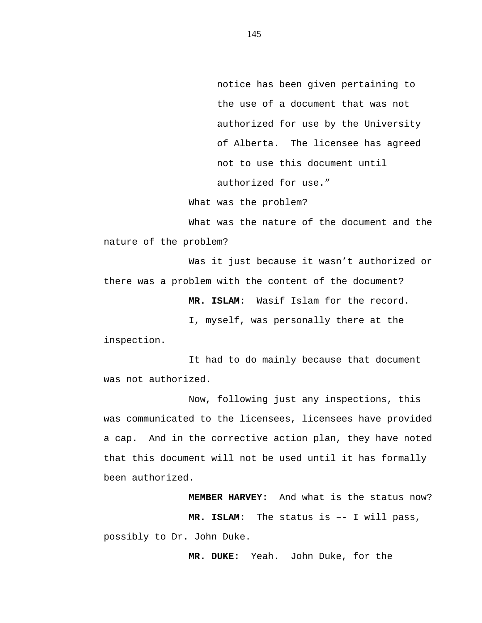notice has been given pertaining to the use of a document that was not authorized for use by the University of Alberta. The licensee has agreed not to use this document until authorized for use."

What was the problem?

What was the nature of the document and the nature of the problem?

Was it just because it wasn't authorized or there was a problem with the content of the document?

**MR. ISLAM:** Wasif Islam for the record.

I, myself, was personally there at the

inspection.

It had to do mainly because that document was not authorized.

Now, following just any inspections, this was communicated to the licensees, licensees have provided a cap. And in the corrective action plan, they have noted that this document will not be used until it has formally been authorized.

> **MEMBER HARVEY:** And what is the status now? **MR. ISLAM:** The status is –- I will pass,

possibly to Dr. John Duke.

**MR. DUKE:** Yeah. John Duke, for the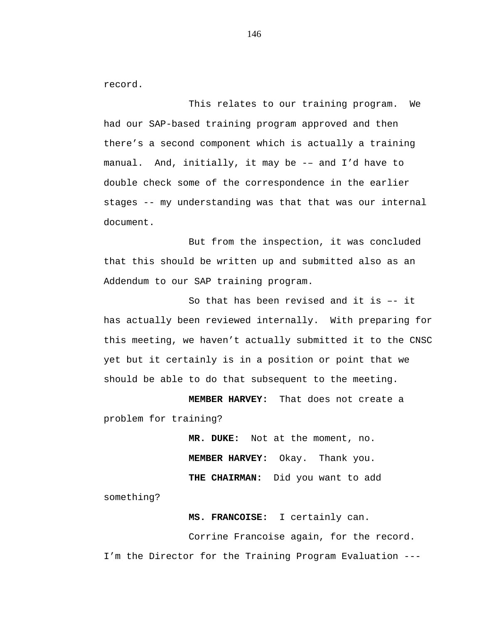record.

This relates to our training program. We had our SAP-based training program approved and then there's a second component which is actually a training manual. And, initially, it may be -– and I'd have to double check some of the correspondence in the earlier stages -- my understanding was that that was our internal document.

But from the inspection, it was concluded that this should be written up and submitted also as an Addendum to our SAP training program.

So that has been revised and it is –- it has actually been reviewed internally. With preparing for this meeting, we haven't actually submitted it to the CNSC yet but it certainly is in a position or point that we should be able to do that subsequent to the meeting.

 **MEMBER HARVEY:** That does not create a problem for training?

> **MR. DUKE:** Not at the moment, no. **MEMBER HARVEY:** Okay. Thank you. **THE CHAIRMAN:** Did you want to add

something?

 **MS. FRANCOISE:** I certainly can.

Corrine Francoise again, for the record. I'm the Director for the Training Program Evaluation ---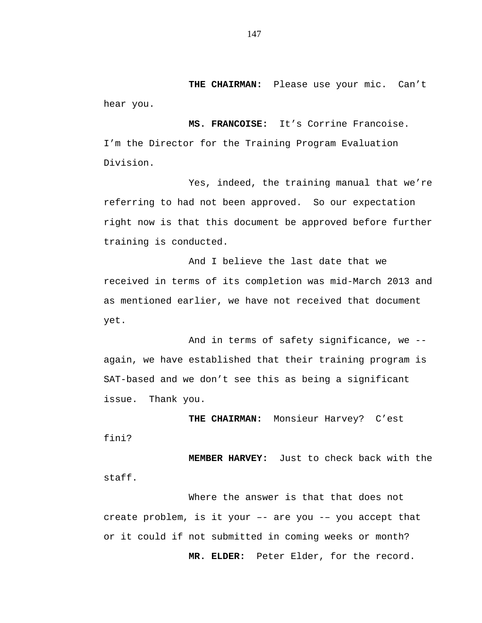**THE CHAIRMAN:** Please use your mic. Can't hear you.

 **MS. FRANCOISE:** It's Corrine Francoise. I'm the Director for the Training Program Evaluation Division.

Yes, indeed, the training manual that we're referring to had not been approved. So our expectation right now is that this document be approved before further training is conducted.

And I believe the last date that we received in terms of its completion was mid-March 2013 and as mentioned earlier, we have not received that document yet.

And in terms of safety significance, we - again, we have established that their training program is SAT-based and we don't see this as being a significant issue. Thank you.

**THE CHAIRMAN:** Monsieur Harvey? C'est fini?

**MEMBER HARVEY:** Just to check back with the staff.

Where the answer is that that does not create problem, is it your –- are you -– you accept that or it could if not submitted in coming weeks or month?  **MR. ELDER:** Peter Elder, for the record.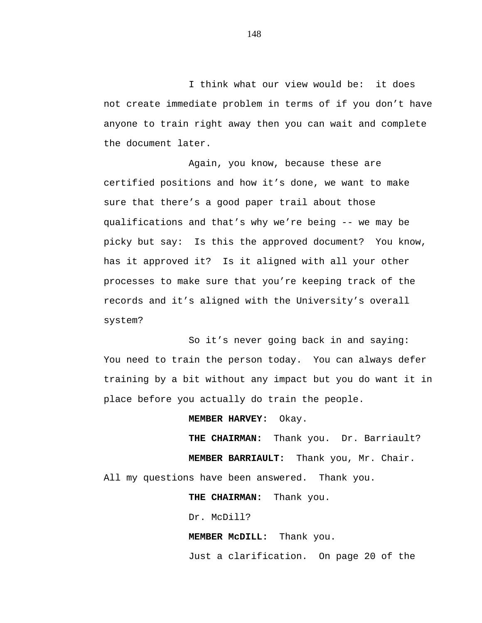I think what our view would be: it does not create immediate problem in terms of if you don't have anyone to train right away then you can wait and complete the document later.

Again, you know, because these are certified positions and how it's done, we want to make sure that there's a good paper trail about those qualifications and that's why we're being -- we may be picky but say: Is this the approved document? You know, has it approved it? Is it aligned with all your other processes to make sure that you're keeping track of the records and it's aligned with the University's overall system?

So it's never going back in and saying: You need to train the person today. You can always defer training by a bit without any impact but you do want it in place before you actually do train the people.

**MEMBER HARVEY:** Okay.

 **THE CHAIRMAN:** Thank you. Dr. Barriault?  **MEMBER BARRIAULT:** Thank you, Mr. Chair. All my questions have been answered. Thank you.

 **THE CHAIRMAN:** Thank you.

Dr. McDill?

 **MEMBER McDILL:** Thank you.

Just a clarification. On page 20 of the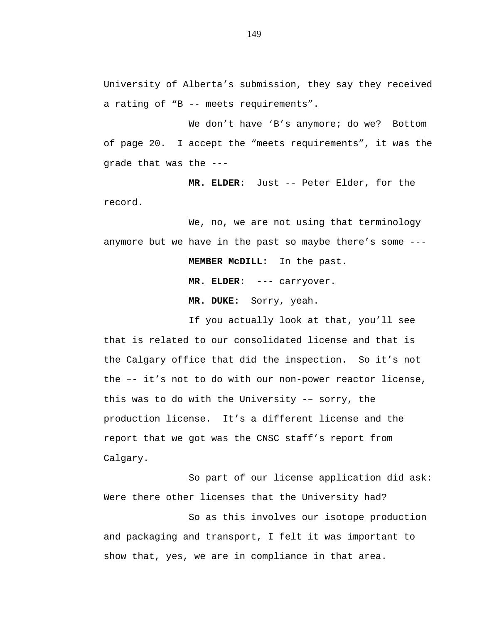University of Alberta's submission, they say they received a rating of "B -- meets requirements".

We don't have 'B's anymore; do we? Bottom of page 20. I accept the "meets requirements", it was the grade that was the ---

 **MR. ELDER:** Just -- Peter Elder, for the record.

We, no, we are not using that terminology anymore but we have in the past so maybe there's some ---  **MEMBER McDILL:** In the past.  **MR. ELDER:** --- carryover.

 **MR. DUKE:** Sorry, yeah.

If you actually look at that, you'll see that is related to our consolidated license and that is the Calgary office that did the inspection. So it's not the –- it's not to do with our non-power reactor license, this was to do with the University -– sorry, the production license. It's a different license and the report that we got was the CNSC staff's report from Calgary.

So part of our license application did ask: Were there other licenses that the University had?

So as this involves our isotope production and packaging and transport, I felt it was important to show that, yes, we are in compliance in that area.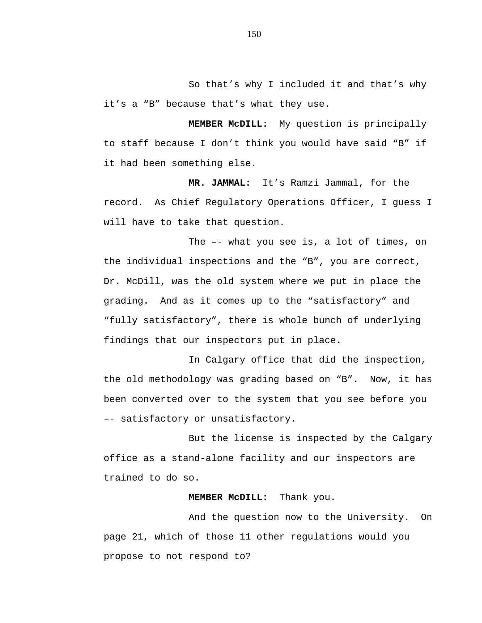So that's why I included it and that's why it's a "B" because that's what they use.

 **MEMBER McDILL:** My question is principally to staff because I don't think you would have said "B" if it had been something else.

**MR. JAMMAL:** It's Ramzi Jammal, for the record. As Chief Regulatory Operations Officer, I guess I will have to take that question.

The –- what you see is, a lot of times, on the individual inspections and the "B", you are correct, Dr. McDill, was the old system where we put in place the grading. And as it comes up to the "satisfactory" and "fully satisfactory", there is whole bunch of underlying findings that our inspectors put in place.

In Calgary office that did the inspection, the old methodology was grading based on "B". Now, it has been converted over to the system that you see before you –- satisfactory or unsatisfactory.

But the license is inspected by the Calgary office as a stand-alone facility and our inspectors are trained to do so.

## **MEMBER McDILL:** Thank you.

And the question now to the University. On page 21, which of those 11 other regulations would you propose to not respond to?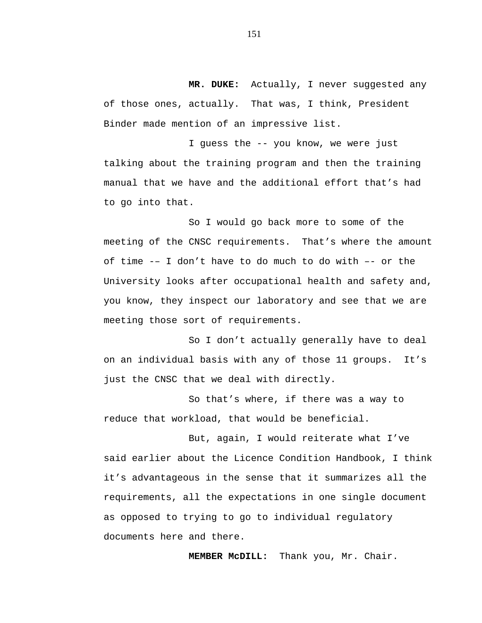**MR. DUKE:** Actually, I never suggested any of those ones, actually. That was, I think, President Binder made mention of an impressive list.

I guess the -- you know, we were just talking about the training program and then the training manual that we have and the additional effort that's had to go into that.

So I would go back more to some of the meeting of the CNSC requirements. That's where the amount of time -– I don't have to do much to do with –- or the University looks after occupational health and safety and, you know, they inspect our laboratory and see that we are meeting those sort of requirements.

So I don't actually generally have to deal on an individual basis with any of those 11 groups. It's just the CNSC that we deal with directly.

So that's where, if there was a way to reduce that workload, that would be beneficial.

But, again, I would reiterate what I've said earlier about the Licence Condition Handbook, I think it's advantageous in the sense that it summarizes all the requirements, all the expectations in one single document as opposed to trying to go to individual regulatory documents here and there.

**MEMBER McDILL:** Thank you, Mr. Chair.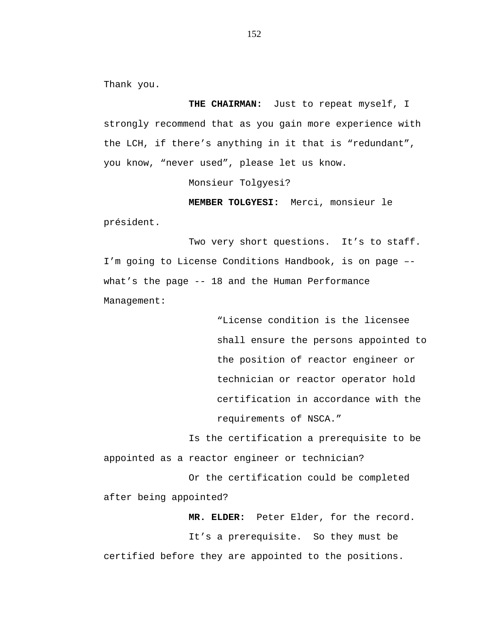Thank you.

**THE CHAIRMAN:** Just to repeat myself, I strongly recommend that as you gain more experience with the LCH, if there's anything in it that is "redundant", you know, "never used", please let us know.

Monsieur Tolgyesi?

**MEMBER TOLGYESI:** Merci, monsieur le président.

Two very short questions. It's to staff. I'm going to License Conditions Handbook, is on page – what's the page -- 18 and the Human Performance Management:

> "License condition is the licensee shall ensure the persons appointed to the position of reactor engineer or technician or reactor operator hold certification in accordance with the requirements of NSCA."

Is the certification a prerequisite to be appointed as a reactor engineer or technician? Or the certification could be completed

after being appointed?

**MR. ELDER:** Peter Elder, for the record. It's a prerequisite. So they must be certified before they are appointed to the positions.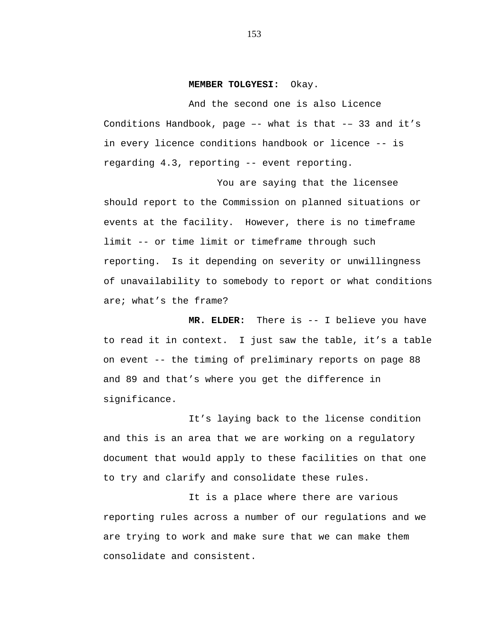## **MEMBER TOLGYESI:** Okay.

And the second one is also Licence Conditions Handbook, page –- what is that -– 33 and it's in every licence conditions handbook or licence -- is regarding 4.3, reporting -- event reporting.

You are saying that the licensee should report to the Commission on planned situations or events at the facility. However, there is no timeframe limit -- or time limit or timeframe through such reporting. Is it depending on severity or unwillingness of unavailability to somebody to report or what conditions are; what's the frame?

**MR. ELDER:** There is -- I believe you have to read it in context. I just saw the table, it's a table on event -- the timing of preliminary reports on page 88 and 89 and that's where you get the difference in significance.

It's laying back to the license condition and this is an area that we are working on a regulatory document that would apply to these facilities on that one to try and clarify and consolidate these rules.

It is a place where there are various reporting rules across a number of our regulations and we are trying to work and make sure that we can make them consolidate and consistent.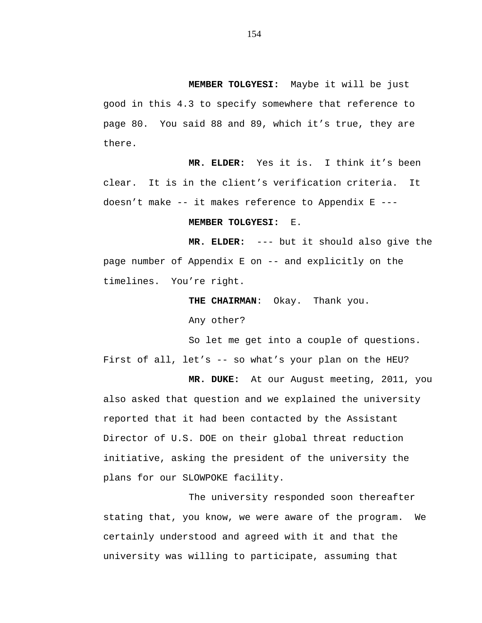**MEMBER TOLGYESI:** Maybe it will be just

good in this 4.3 to specify somewhere that reference to page 80. You said 88 and 89, which it's true, they are there.

**MR. ELDER:** Yes it is. I think it's been clear. It is in the client's verification criteria. It doesn't make -- it makes reference to Appendix E ---

## **MEMBER TOLGYESI:** E.

**MR. ELDER:** --- but it should also give the page number of Appendix E on -- and explicitly on the timelines. You're right.

> **THE CHAIRMAN**: Okay. Thank you. Any other?

So let me get into a couple of questions. First of all, let's -- so what's your plan on the HEU?

**MR. DUKE:** At our August meeting, 2011, you also asked that question and we explained the university reported that it had been contacted by the Assistant Director of U.S. DOE on their global threat reduction initiative, asking the president of the university the plans for our SLOWPOKE facility.

The university responded soon thereafter stating that, you know, we were aware of the program. We certainly understood and agreed with it and that the university was willing to participate, assuming that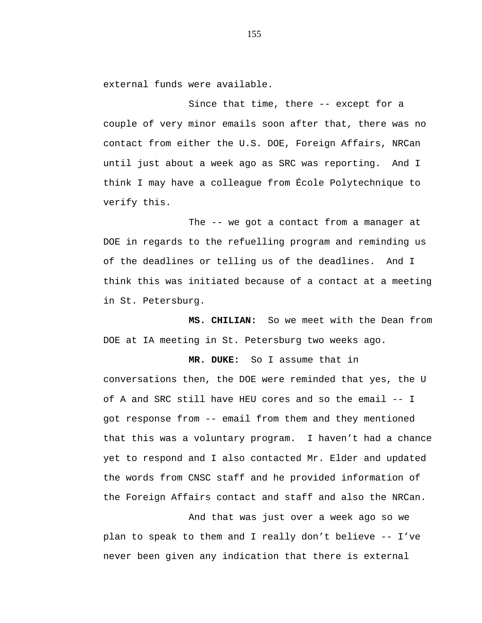external funds were available.

Since that time, there -- except for a couple of very minor emails soon after that, there was no contact from either the U.S. DOE, Foreign Affairs, NRCan until just about a week ago as SRC was reporting. And I think I may have a colleague from École Polytechnique to verify this.

The -- we got a contact from a manager at DOE in regards to the refuelling program and reminding us of the deadlines or telling us of the deadlines. And I think this was initiated because of a contact at a meeting in St. Petersburg.

**MS. CHILIAN:** So we meet with the Dean from DOE at IA meeting in St. Petersburg two weeks ago.

**MR. DUKE:** So I assume that in conversations then, the DOE were reminded that yes, the U of A and SRC still have HEU cores and so the email -- I got response from -- email from them and they mentioned that this was a voluntary program. I haven't had a chance yet to respond and I also contacted Mr. Elder and updated the words from CNSC staff and he provided information of the Foreign Affairs contact and staff and also the NRCan.

And that was just over a week ago so we plan to speak to them and I really don't believe -- I've never been given any indication that there is external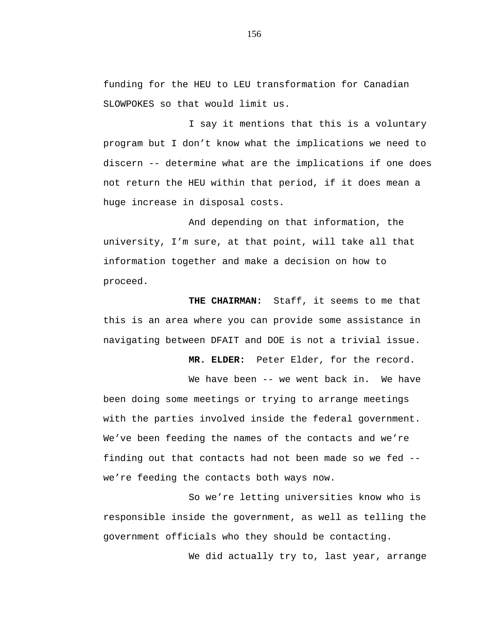funding for the HEU to LEU transformation for Canadian SLOWPOKES so that would limit us.

I say it mentions that this is a voluntary program but I don't know what the implications we need to discern -- determine what are the implications if one does not return the HEU within that period, if it does mean a huge increase in disposal costs.

And depending on that information, the university, I'm sure, at that point, will take all that information together and make a decision on how to proceed.

**THE CHAIRMAN:** Staff, it seems to me that this is an area where you can provide some assistance in navigating between DFAIT and DOE is not a trivial issue.

**MR. ELDER:** Peter Elder, for the record.

We have been -- we went back in. We have been doing some meetings or trying to arrange meetings with the parties involved inside the federal government. We've been feeding the names of the contacts and we're finding out that contacts had not been made so we fed - we're feeding the contacts both ways now.

So we're letting universities know who is responsible inside the government, as well as telling the government officials who they should be contacting.

We did actually try to, last year, arrange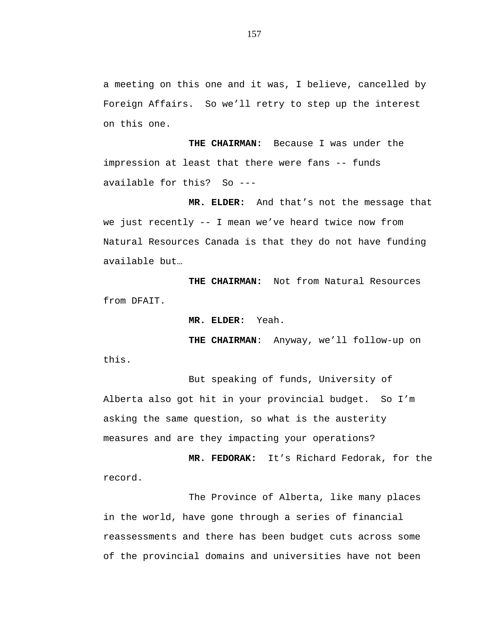a meeting on this one and it was, I believe, cancelled by Foreign Affairs. So we'll retry to step up the interest on this one.

**THE CHAIRMAN:** Because I was under the impression at least that there were fans -- funds available for this? So ---

**MR. ELDER:** And that's not the message that we just recently -- I mean we've heard twice now from Natural Resources Canada is that they do not have funding available but…

**THE CHAIRMAN:** Not from Natural Resources from DFAIT.

**MR. ELDER:** Yeah.

**THE CHAIRMAN**: Anyway, we'll follow-up on this.

But speaking of funds, University of Alberta also got hit in your provincial budget. So I'm asking the same question, so what is the austerity measures and are they impacting your operations?

**MR. FEDORAK:** It's Richard Fedorak, for the record.

The Province of Alberta, like many places in the world, have gone through a series of financial reassessments and there has been budget cuts across some of the provincial domains and universities have not been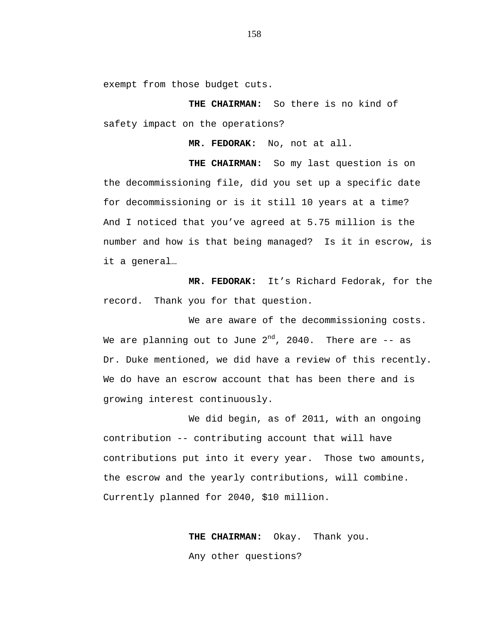exempt from those budget cuts.

**THE CHAIRMAN:** So there is no kind of safety impact on the operations?

**MR. FEDORAK:** No, not at all.

**THE CHAIRMAN:** So my last question is on the decommissioning file, did you set up a specific date for decommissioning or is it still 10 years at a time? And I noticed that you've agreed at 5.75 million is the number and how is that being managed? Is it in escrow, is it a general…

**MR. FEDORAK:** It's Richard Fedorak, for the record. Thank you for that question.

We are aware of the decommissioning costs. We are planning out to June  $2^{nd}$ , 2040. There are  $-$  as Dr. Duke mentioned, we did have a review of this recently. We do have an escrow account that has been there and is growing interest continuously.

We did begin, as of 2011, with an ongoing contribution -- contributing account that will have contributions put into it every year. Those two amounts, the escrow and the yearly contributions, will combine. Currently planned for 2040, \$10 million.

> **THE CHAIRMAN:** Okay. Thank you. Any other questions?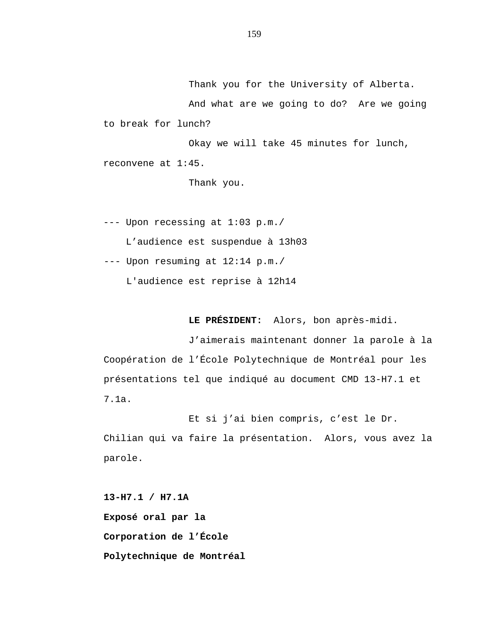Thank you for the University of Alberta.

And what are we going to do? Are we going to break for lunch?

Okay we will take 45 minutes for lunch, reconvene at 1:45.

Thank you.

--- Upon recessing at 1:03 p.m./

L'audience est suspendue à 13h03

--- Upon resuming at 12:14 p.m./

L'audience est reprise à 12h14

**LE PRÉSIDENT:** Alors, bon après-midi.

J'aimerais maintenant donner la parole à la Coopération de l'École Polytechnique de Montréal pour les présentations tel que indiqué au document CMD 13-H7.1 et 7.1a.

Et si j'ai bien compris, c'est le Dr. Chilian qui va faire la présentation. Alors, vous avez la parole.

**13-H7.1 / H7.1A Exposé oral par la Corporation de l'École Polytechnique de Montréal**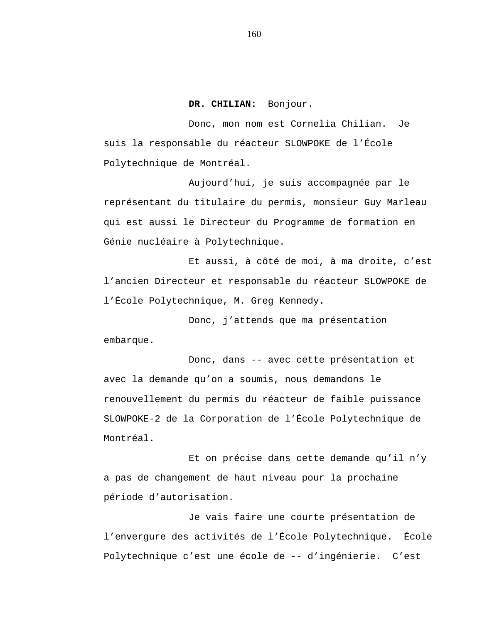**DR. CHILIAN:** Bonjour.

Donc, mon nom est Cornelia Chilian. Je suis la responsable du réacteur SLOWPOKE de l'École Polytechnique de Montréal.

Aujourd'hui, je suis accompagnée par le représentant du titulaire du permis, monsieur Guy Marleau qui est aussi le Directeur du Programme de formation en Génie nucléaire à Polytechnique.

Et aussi, à côté de moi, à ma droite, c'est l'ancien Directeur et responsable du réacteur SLOWPOKE de l'École Polytechnique, M. Greg Kennedy.

Donc, j'attends que ma présentation embarque.

Donc, dans -- avec cette présentation et avec la demande qu'on a soumis, nous demandons le renouvellement du permis du réacteur de faible puissance SLOWPOKE-2 de la Corporation de l'École Polytechnique de Montréal.

Et on précise dans cette demande qu'il n'y a pas de changement de haut niveau pour la prochaine période d'autorisation.

Je vais faire une courte présentation de l'envergure des activités de l'École Polytechnique. École Polytechnique c'est une école de -- d'ingénierie. C'est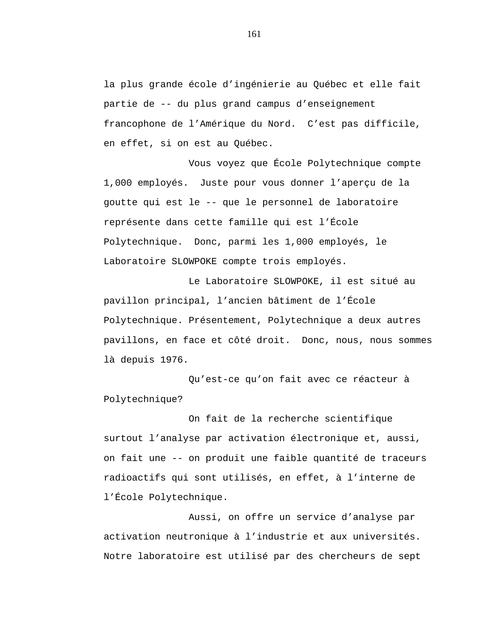la plus grande école d'ingénierie au Québec et elle fait partie de -- du plus grand campus d'enseignement francophone de l'Amérique du Nord. C'est pas difficile, en effet, si on est au Québec.

Vous voyez que École Polytechnique compte 1,000 employés. Juste pour vous donner l'aperçu de la goutte qui est le -- que le personnel de laboratoire représente dans cette famille qui est l'École Polytechnique. Donc, parmi les 1,000 employés, le Laboratoire SLOWPOKE compte trois employés.

Le Laboratoire SLOWPOKE, il est situé au pavillon principal, l'ancien bâtiment de l'École Polytechnique. Présentement, Polytechnique a deux autres pavillons, en face et côté droit. Donc, nous, nous sommes là depuis 1976.

Qu'est-ce qu'on fait avec ce réacteur à Polytechnique?

On fait de la recherche scientifique surtout l'analyse par activation électronique et, aussi, on fait une -- on produit une faible quantité de traceurs radioactifs qui sont utilisés, en effet, à l'interne de l'École Polytechnique.

Aussi, on offre un service d'analyse par activation neutronique à l'industrie et aux universités. Notre laboratoire est utilisé par des chercheurs de sept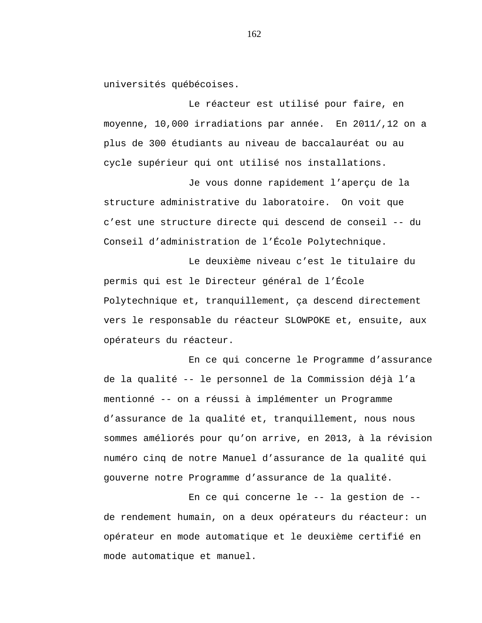universités québécoises.

Le réacteur est utilisé pour faire, en moyenne, 10,000 irradiations par année. En 2011/,12 on a plus de 300 étudiants au niveau de baccalauréat ou au cycle supérieur qui ont utilisé nos installations.

Je vous donne rapidement l'aperçu de la structure administrative du laboratoire. On voit que c'est une structure directe qui descend de conseil -- du Conseil d'administration de l'École Polytechnique.

Le deuxième niveau c'est le titulaire du permis qui est le Directeur général de l'École Polytechnique et, tranquillement, ça descend directement vers le responsable du réacteur SLOWPOKE et, ensuite, aux opérateurs du réacteur.

En ce qui concerne le Programme d'assurance de la qualité -- le personnel de la Commission déjà l'a mentionné -- on a réussi à implémenter un Programme d'assurance de la qualité et, tranquillement, nous nous sommes améliorés pour qu'on arrive, en 2013, à la révision numéro cinq de notre Manuel d'assurance de la qualité qui gouverne notre Programme d'assurance de la qualité.

En ce qui concerne le -- la gestion de - de rendement humain, on a deux opérateurs du réacteur: un opérateur en mode automatique et le deuxième certifié en mode automatique et manuel.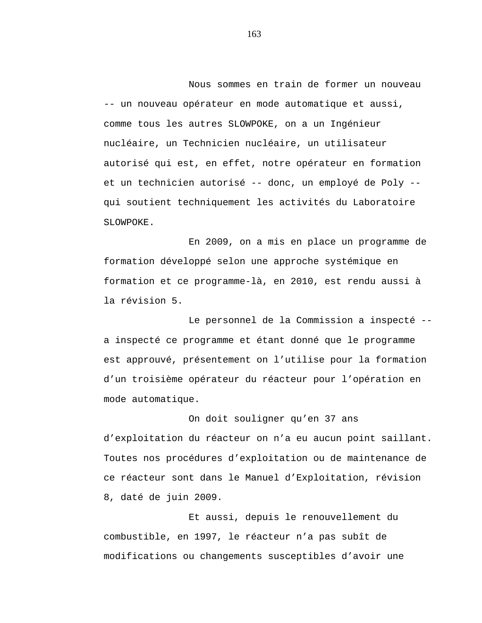Nous sommes en train de former un nouveau -- un nouveau opérateur en mode automatique et aussi, comme tous les autres SLOWPOKE, on a un Ingénieur nucléaire, un Technicien nucléaire, un utilisateur autorisé qui est, en effet, notre opérateur en formation et un technicien autorisé -- donc, un employé de Poly - qui soutient techniquement les activités du Laboratoire SLOWPOKE.

En 2009, on a mis en place un programme de formation développé selon une approche systémique en formation et ce programme-là, en 2010, est rendu aussi à la révision 5.

Le personnel de la Commission a inspecté - a inspecté ce programme et étant donné que le programme est approuvé, présentement on l'utilise pour la formation d'un troisième opérateur du réacteur pour l'opération en mode automatique.

On doit souligner qu'en 37 ans d'exploitation du réacteur on n'a eu aucun point saillant. Toutes nos procédures d'exploitation ou de maintenance de ce réacteur sont dans le Manuel d'Exploitation, révision 8, daté de juin 2009.

Et aussi, depuis le renouvellement du combustible, en 1997, le réacteur n'a pas subît de modifications ou changements susceptibles d'avoir une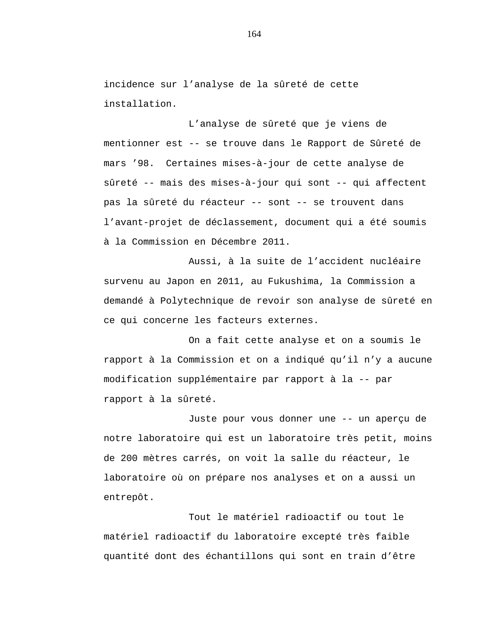incidence sur l'analyse de la sûreté de cette installation.

L'analyse de sûreté que je viens de mentionner est -- se trouve dans le Rapport de Sûreté de mars '98. Certaines mises-à-jour de cette analyse de sûreté -- mais des mises-à-jour qui sont -- qui affectent pas la sûreté du réacteur -- sont -- se trouvent dans l'avant-projet de déclassement, document qui a été soumis à la Commission en Décembre 2011.

Aussi, à la suite de l'accident nucléaire survenu au Japon en 2011, au Fukushima, la Commission a demandé à Polytechnique de revoir son analyse de sûreté en ce qui concerne les facteurs externes.

On a fait cette analyse et on a soumis le rapport à la Commission et on a indiqué qu'il n'y a aucune modification supplémentaire par rapport à la -- par rapport à la sûreté.

Juste pour vous donner une -- un aperçu de notre laboratoire qui est un laboratoire très petit, moins de 200 mètres carrés, on voit la salle du réacteur, le laboratoire où on prépare nos analyses et on a aussi un entrepôt.

Tout le matériel radioactif ou tout le matériel radioactif du laboratoire excepté très faible quantité dont des échantillons qui sont en train d'être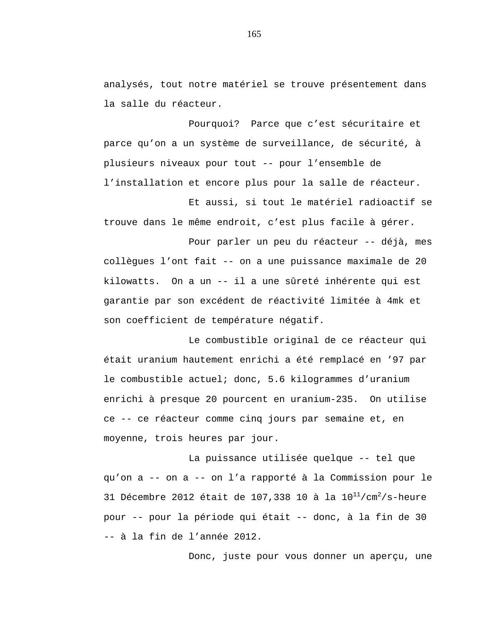analysés, tout notre matériel se trouve présentement dans la salle du réacteur.

Pourquoi? Parce que c'est sécuritaire et parce qu'on a un système de surveillance, de sécurité, à plusieurs niveaux pour tout -- pour l'ensemble de l'installation et encore plus pour la salle de réacteur.

Et aussi, si tout le matériel radioactif se trouve dans le même endroit, c'est plus facile à gérer.

Pour parler un peu du réacteur -- déjà, mes collègues l'ont fait -- on a une puissance maximale de 20 kilowatts. On a un -- il a une sûreté inhérente qui est garantie par son excédent de réactivité limitée à 4mk et son coefficient de température négatif.

Le combustible original de ce réacteur qui était uranium hautement enrichi a été remplacé en '97 par le combustible actuel; donc, 5.6 kilogrammes d'uranium enrichi à presque 20 pourcent en uranium-235. On utilise ce -- ce réacteur comme cinq jours par semaine et, en moyenne, trois heures par jour.

La puissance utilisée quelque -- tel que qu'on a -- on a -- on l'a rapporté à la Commission pour le 31 Décembre 2012 était de 107,338 10 à la  $10^{11}/cm^2/s$ -heure pour -- pour la période qui était -- donc, à la fin de 30 -- à la fin de l'année 2012.

Donc, juste pour vous donner un aperçu, une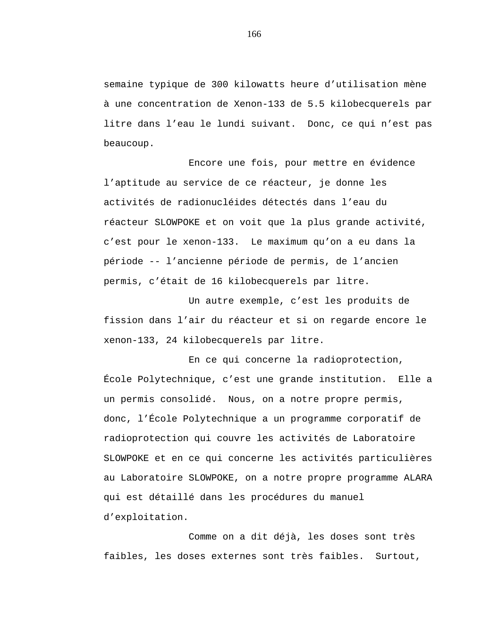semaine typique de 300 kilowatts heure d'utilisation mène à une concentration de Xenon-133 de 5.5 kilobecquerels par litre dans l'eau le lundi suivant. Donc, ce qui n'est pas beaucoup.

Encore une fois, pour mettre en évidence l'aptitude au service de ce réacteur, je donne les activités de radionucléides détectés dans l'eau du réacteur SLOWPOKE et on voit que la plus grande activité, c'est pour le xenon-133. Le maximum qu'on a eu dans la période -- l'ancienne période de permis, de l'ancien permis, c'était de 16 kilobecquerels par litre.

Un autre exemple, c'est les produits de fission dans l'air du réacteur et si on regarde encore le xenon-133, 24 kilobecquerels par litre.

En ce qui concerne la radioprotection, École Polytechnique, c'est une grande institution. Elle a un permis consolidé. Nous, on a notre propre permis, donc, l'École Polytechnique a un programme corporatif de radioprotection qui couvre les activités de Laboratoire SLOWPOKE et en ce qui concerne les activités particulières au Laboratoire SLOWPOKE, on a notre propre programme ALARA qui est détaillé dans les procédures du manuel d'exploitation.

Comme on a dit déjà, les doses sont très faibles, les doses externes sont très faibles. Surtout,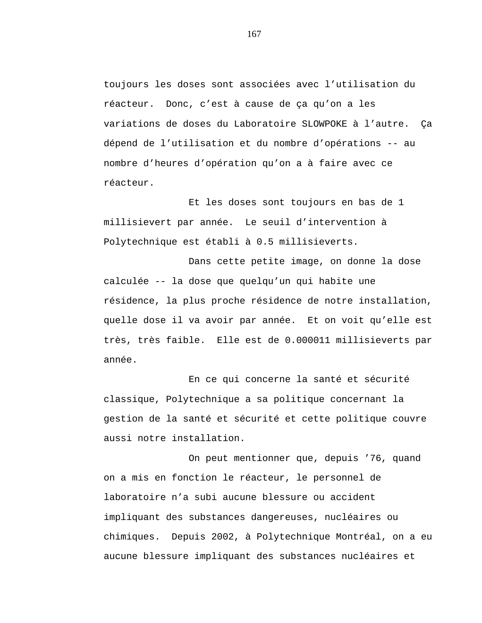toujours les doses sont associées avec l'utilisation du réacteur. Donc, c'est à cause de ça qu'on a les variations de doses du Laboratoire SLOWPOKE à l'autre. Ça dépend de l'utilisation et du nombre d'opérations -- au nombre d'heures d'opération qu'on a à faire avec ce réacteur.

Et les doses sont toujours en bas de 1 millisievert par année. Le seuil d'intervention à Polytechnique est établi à 0.5 millisieverts.

Dans cette petite image, on donne la dose calculée -- la dose que quelqu'un qui habite une résidence, la plus proche résidence de notre installation, quelle dose il va avoir par année. Et on voit qu'elle est très, très faible. Elle est de 0.000011 millisieverts par année.

En ce qui concerne la santé et sécurité classique, Polytechnique a sa politique concernant la gestion de la santé et sécurité et cette politique couvre aussi notre installation.

On peut mentionner que, depuis '76, quand on a mis en fonction le réacteur, le personnel de laboratoire n'a subi aucune blessure ou accident impliquant des substances dangereuses, nucléaires ou chimiques. Depuis 2002, à Polytechnique Montréal, on a eu aucune blessure impliquant des substances nucléaires et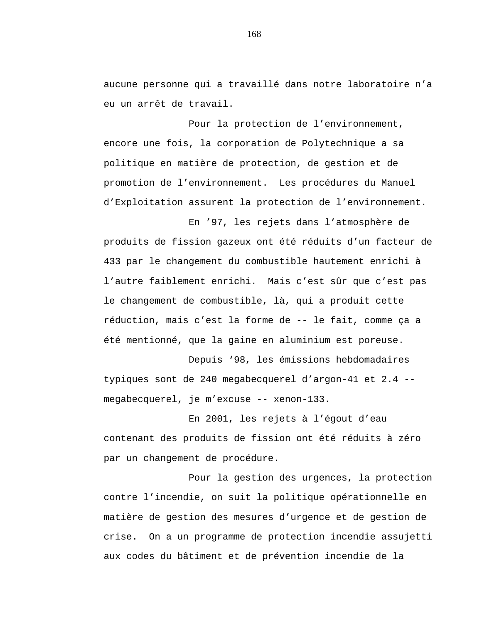aucune personne qui a travaillé dans notre laboratoire n'a eu un arrêt de travail.

Pour la protection de l'environnement, encore une fois, la corporation de Polytechnique a sa politique en matière de protection, de gestion et de promotion de l'environnement. Les procédures du Manuel d'Exploitation assurent la protection de l'environnement.

En '97, les rejets dans l'atmosphère de produits de fission gazeux ont été réduits d'un facteur de 433 par le changement du combustible hautement enrichi à l'autre faiblement enrichi. Mais c'est sûr que c'est pas le changement de combustible, là, qui a produit cette réduction, mais c'est la forme de -- le fait, comme ça a été mentionné, que la gaine en aluminium est poreuse.

Depuis '98, les émissions hebdomadaires typiques sont de 240 megabecquerel d'argon-41 et 2.4 megabecquerel, je m'excuse -- xenon-133.

En 2001, les rejets à l'égout d'eau contenant des produits de fission ont été réduits à zéro par un changement de procédure.

Pour la gestion des urgences, la protection contre l'incendie, on suit la politique opérationnelle en matière de gestion des mesures d'urgence et de gestion de crise. On a un programme de protection incendie assujetti aux codes du bâtiment et de prévention incendie de la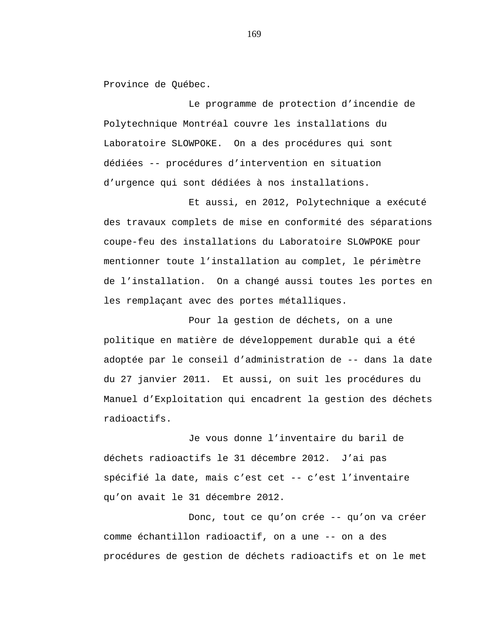Province de Québec.

Le programme de protection d'incendie de Polytechnique Montréal couvre les installations du Laboratoire SLOWPOKE. On a des procédures qui sont dédiées -- procédures d'intervention en situation d'urgence qui sont dédiées à nos installations.

Et aussi, en 2012, Polytechnique a exécuté des travaux complets de mise en conformité des séparations coupe-feu des installations du Laboratoire SLOWPOKE pour mentionner toute l'installation au complet, le périmètre de l'installation. On a changé aussi toutes les portes en les remplaçant avec des portes métalliques.

Pour la gestion de déchets, on a une politique en matière de développement durable qui a été adoptée par le conseil d'administration de -- dans la date du 27 janvier 2011. Et aussi, on suit les procédures du Manuel d'Exploitation qui encadrent la gestion des déchets radioactifs.

Je vous donne l'inventaire du baril de déchets radioactifs le 31 décembre 2012. J'ai pas spécifié la date, mais c'est cet -- c'est l'inventaire qu'on avait le 31 décembre 2012.

Donc, tout ce qu'on crée -- qu'on va créer comme échantillon radioactif, on a une -- on a des procédures de gestion de déchets radioactifs et on le met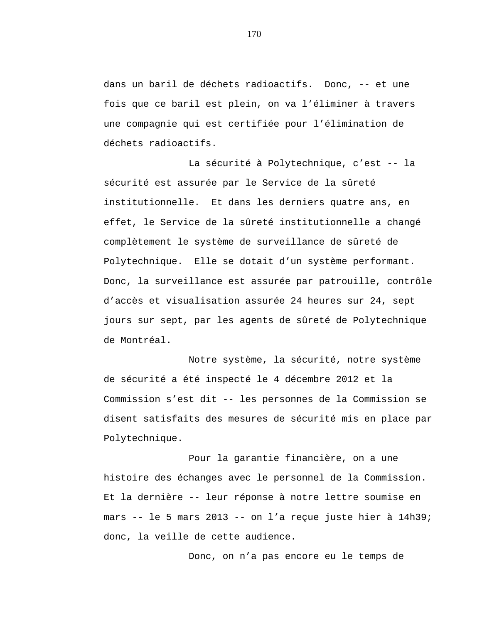dans un baril de déchets radioactifs. Donc, -- et une fois que ce baril est plein, on va l'éliminer à travers une compagnie qui est certifiée pour l'élimination de déchets radioactifs.

La sécurité à Polytechnique, c'est -- la sécurité est assurée par le Service de la sûreté institutionnelle. Et dans les derniers quatre ans, en effet, le Service de la sûreté institutionnelle a changé complètement le système de surveillance de sûreté de Polytechnique. Elle se dotait d'un système performant. Donc, la surveillance est assurée par patrouille, contrôle d'accès et visualisation assurée 24 heures sur 24, sept jours sur sept, par les agents de sûreté de Polytechnique de Montréal.

Notre système, la sécurité, notre système de sécurité a été inspecté le 4 décembre 2012 et la Commission s'est dit -- les personnes de la Commission se disent satisfaits des mesures de sécurité mis en place par Polytechnique.

Pour la garantie financière, on a une histoire des échanges avec le personnel de la Commission. Et la dernière -- leur réponse à notre lettre soumise en mars -- le 5 mars 2013 -- on l'a reçue juste hier à 14h39; donc, la veille de cette audience.

Donc, on n'a pas encore eu le temps de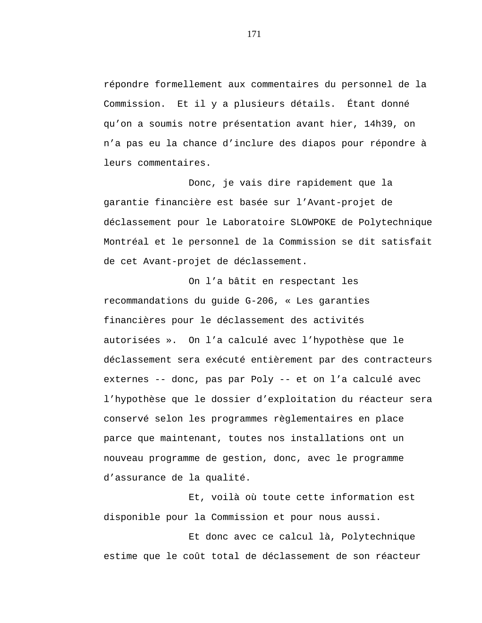répondre formellement aux commentaires du personnel de la Commission. Et il y a plusieurs détails. Étant donné qu'on a soumis notre présentation avant hier, 14h39, on n'a pas eu la chance d'inclure des diapos pour répondre à leurs commentaires.

Donc, je vais dire rapidement que la garantie financière est basée sur l'Avant-projet de déclassement pour le Laboratoire SLOWPOKE de Polytechnique Montréal et le personnel de la Commission se dit satisfait de cet Avant-projet de déclassement.

On l'a bâtit en respectant les recommandations du guide G-206, « Les garanties financières pour le déclassement des activités autorisées ». On l'a calculé avec l'hypothèse que le déclassement sera exécuté entièrement par des contracteurs externes -- donc, pas par Poly -- et on l'a calculé avec l'hypothèse que le dossier d'exploitation du réacteur sera conservé selon les programmes règlementaires en place parce que maintenant, toutes nos installations ont un nouveau programme de gestion, donc, avec le programme d'assurance de la qualité.

Et, voilà où toute cette information est disponible pour la Commission et pour nous aussi.

Et donc avec ce calcul là, Polytechnique estime que le coût total de déclassement de son réacteur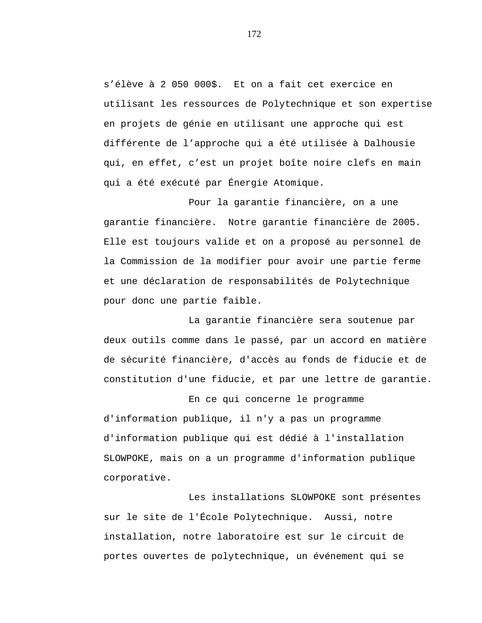s'élève à 2 050 000\$. Et on a fait cet exercice en utilisant les ressources de Polytechnique et son expertise en projets de génie en utilisant une approche qui est différente de l'approche qui a été utilisée à Dalhousie qui, en effet, c'est un projet boîte noire clefs en main qui a été exécuté par Énergie Atomique.

Pour la garantie financière, on a une garantie financière. Notre garantie financière de 2005. Elle est toujours valide et on a proposé au personnel de la Commission de la modifier pour avoir une partie ferme et une déclaration de responsabilités de Polytechnique pour donc une partie faible.

La garantie financière sera soutenue par deux outils comme dans le passé, par un accord en matière de sécurité financière, d'accès au fonds de fiducie et de constitution d'une fiducie, et par une lettre de garantie.

En ce qui concerne le programme d'information publique, il n'y a pas un programme d'information publique qui est dédié à l'installation SLOWPOKE, mais on a un programme d'information publique corporative.

Les installations SLOWPOKE sont présentes sur le site de l'École Polytechnique. Aussi, notre installation, notre laboratoire est sur le circuit de portes ouvertes de polytechnique, un événement qui se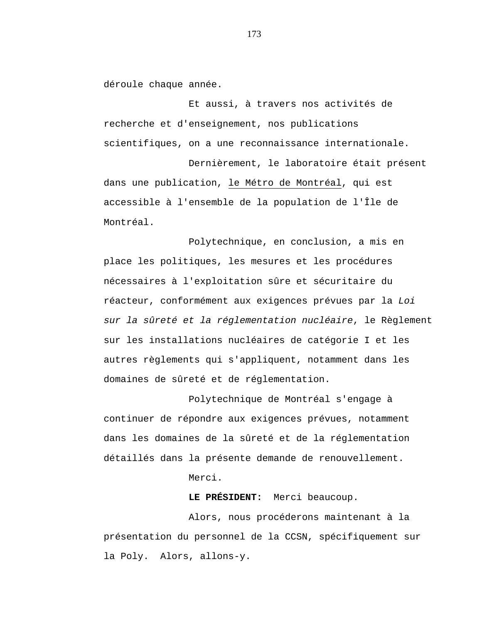déroule chaque année.

Et aussi, à travers nos activités de recherche et d'enseignement, nos publications scientifiques, on a une reconnaissance internationale.

Dernièrement, le laboratoire était présent dans une publication, le Métro de Montréal, qui est accessible à l'ensemble de la population de l'Île de Montréal.

Polytechnique, en conclusion, a mis en place les politiques, les mesures et les procédures nécessaires à l'exploitation sûre et sécuritaire du réacteur, conformément aux exigences prévues par la *Loi sur la sûreté et la réglementation nucléaire*, le Règlement sur les installations nucléaires de catégorie I et les autres règlements qui s'appliquent, notamment dans les domaines de sûreté et de réglementation.

Polytechnique de Montréal s'engage à continuer de répondre aux exigences prévues, notamment dans les domaines de la sûreté et de la réglementation détaillés dans la présente demande de renouvellement.

Merci.

**LE PRÉSIDENT:** Merci beaucoup.

Alors, nous procéderons maintenant à la présentation du personnel de la CCSN, spécifiquement sur la Poly. Alors, allons-y.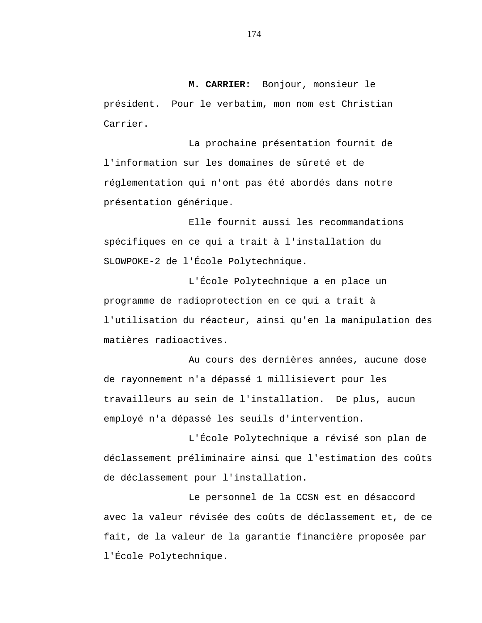**M. CARRIER:** Bonjour, monsieur le président. Pour le verbatim, mon nom est Christian Carrier.

La prochaine présentation fournit de l'information sur les domaines de sûreté et de réglementation qui n'ont pas été abordés dans notre présentation générique.

Elle fournit aussi les recommandations spécifiques en ce qui a trait à l'installation du SLOWPOKE-2 de l'École Polytechnique.

L'École Polytechnique a en place un programme de radioprotection en ce qui a trait à l'utilisation du réacteur, ainsi qu'en la manipulation des matières radioactives.

Au cours des dernières années, aucune dose de rayonnement n'a dépassé 1 millisievert pour les travailleurs au sein de l'installation. De plus, aucun employé n'a dépassé les seuils d'intervention.

L'École Polytechnique a révisé son plan de déclassement préliminaire ainsi que l'estimation des coûts de déclassement pour l'installation.

Le personnel de la CCSN est en désaccord avec la valeur révisée des coûts de déclassement et, de ce fait, de la valeur de la garantie financière proposée par l'École Polytechnique.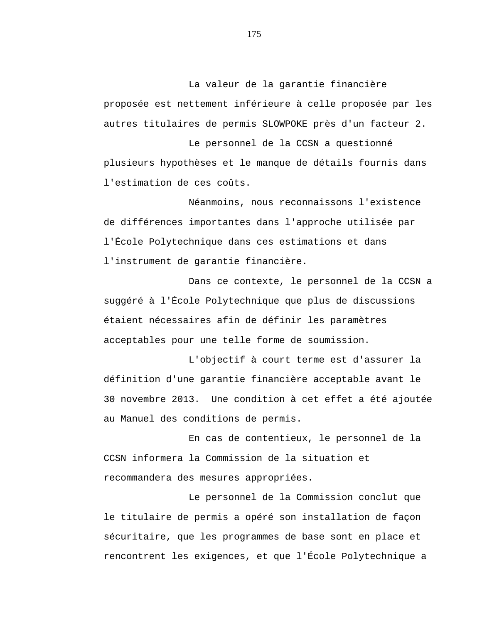La valeur de la garantie financière proposée est nettement inférieure à celle proposée par les autres titulaires de permis SLOWPOKE près d'un facteur 2.

Le personnel de la CCSN a questionné plusieurs hypothèses et le manque de détails fournis dans l'estimation de ces coûts.

Néanmoins, nous reconnaissons l'existence de différences importantes dans l'approche utilisée par l'École Polytechnique dans ces estimations et dans l'instrument de garantie financière.

Dans ce contexte, le personnel de la CCSN a suggéré à l'École Polytechnique que plus de discussions étaient nécessaires afin de définir les paramètres acceptables pour une telle forme de soumission.

L'objectif à court terme est d'assurer la définition d'une garantie financière acceptable avant le 30 novembre 2013. Une condition à cet effet a été ajoutée au Manuel des conditions de permis.

En cas de contentieux, le personnel de la CCSN informera la Commission de la situation et recommandera des mesures appropriées.

Le personnel de la Commission conclut que le titulaire de permis a opéré son installation de façon sécuritaire, que les programmes de base sont en place et rencontrent les exigences, et que l'École Polytechnique a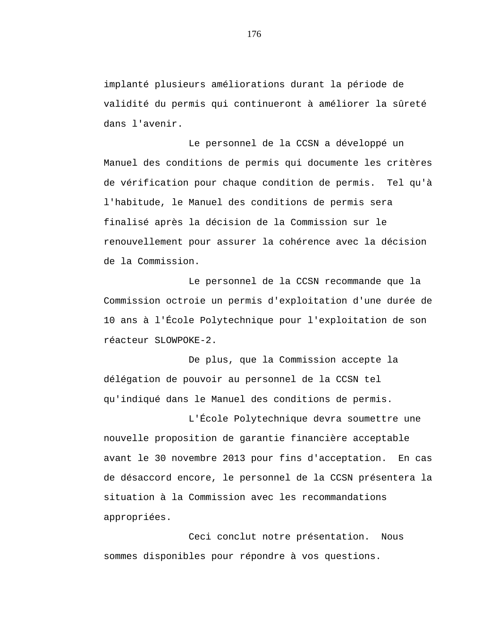implanté plusieurs améliorations durant la période de validité du permis qui continueront à améliorer la sûreté dans l'avenir.

Le personnel de la CCSN a développé un Manuel des conditions de permis qui documente les critères de vérification pour chaque condition de permis. Tel qu'à l'habitude, le Manuel des conditions de permis sera finalisé après la décision de la Commission sur le renouvellement pour assurer la cohérence avec la décision de la Commission.

Le personnel de la CCSN recommande que la Commission octroie un permis d'exploitation d'une durée de 10 ans à l'École Polytechnique pour l'exploitation de son réacteur SLOWPOKE-2.

De plus, que la Commission accepte la délégation de pouvoir au personnel de la CCSN tel qu'indiqué dans le Manuel des conditions de permis.

L'École Polytechnique devra soumettre une nouvelle proposition de garantie financière acceptable avant le 30 novembre 2013 pour fins d'acceptation. En cas de désaccord encore, le personnel de la CCSN présentera la situation à la Commission avec les recommandations appropriées.

Ceci conclut notre présentation. Nous sommes disponibles pour répondre à vos questions.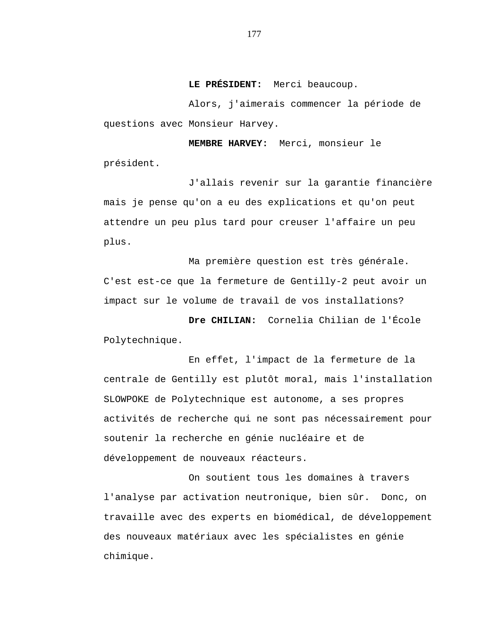**LE PRÉSIDENT:** Merci beaucoup.

Alors, j'aimerais commencer la période de questions avec Monsieur Harvey.

**MEMBRE HARVEY:** Merci, monsieur le président.

J'allais revenir sur la garantie financière mais je pense qu'on a eu des explications et qu'on peut attendre un peu plus tard pour creuser l'affaire un peu plus.

Ma première question est très générale. C'est est-ce que la fermeture de Gentilly-2 peut avoir un impact sur le volume de travail de vos installations?

**Dre CHILIAN:** Cornelia Chilian de l'École Polytechnique.

En effet, l'impact de la fermeture de la centrale de Gentilly est plutôt moral, mais l'installation SLOWPOKE de Polytechnique est autonome, a ses propres activités de recherche qui ne sont pas nécessairement pour soutenir la recherche en génie nucléaire et de développement de nouveaux réacteurs.

On soutient tous les domaines à travers l'analyse par activation neutronique, bien sûr. Donc, on travaille avec des experts en biomédical, de développement des nouveaux matériaux avec les spécialistes en génie chimique.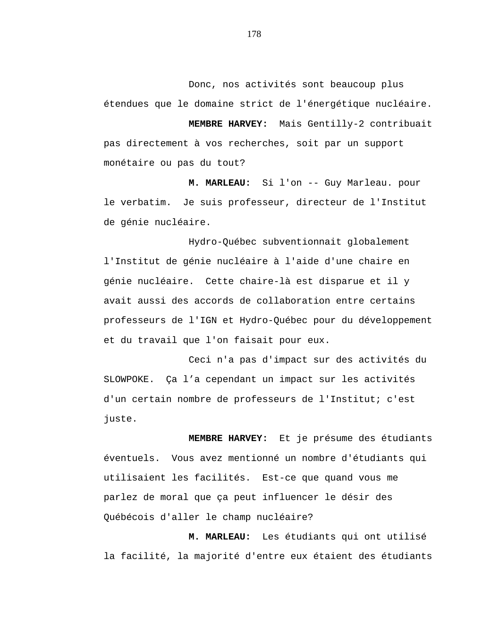Donc, nos activités sont beaucoup plus étendues que le domaine strict de l'énergétique nucléaire.

**MEMBRE HARVEY:** Mais Gentilly-2 contribuait pas directement à vos recherches, soit par un support monétaire ou pas du tout?

**M. MARLEAU:** Si l'on -- Guy Marleau. pour le verbatim. Je suis professeur, directeur de l'Institut de génie nucléaire.

Hydro-Québec subventionnait globalement l'Institut de génie nucléaire à l'aide d'une chaire en génie nucléaire. Cette chaire-là est disparue et il y avait aussi des accords de collaboration entre certains professeurs de l'IGN et Hydro-Québec pour du développement et du travail que l'on faisait pour eux.

Ceci n'a pas d'impact sur des activités du SLOWPOKE. Ça l'a cependant un impact sur les activités d'un certain nombre de professeurs de l'Institut; c'est juste.

**MEMBRE HARVEY:** Et je présume des étudiants éventuels. Vous avez mentionné un nombre d'étudiants qui utilisaient les facilités. Est-ce que quand vous me parlez de moral que ça peut influencer le désir des Québécois d'aller le champ nucléaire?

**M. MARLEAU:** Les étudiants qui ont utilisé la facilité, la majorité d'entre eux étaient des étudiants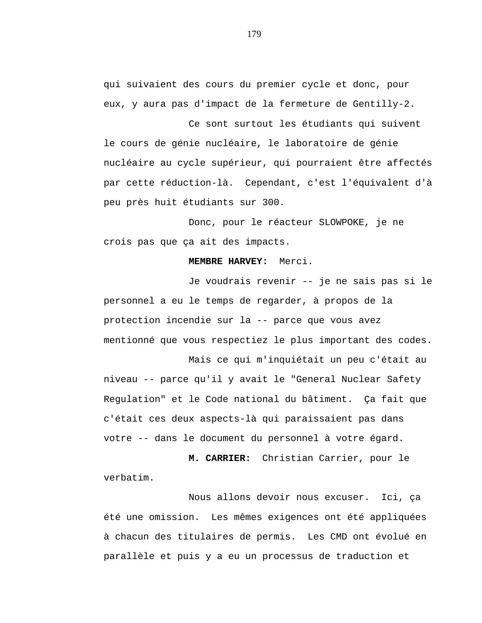qui suivaient des cours du premier cycle et donc, pour eux, y aura pas d'impact de la fermeture de Gentilly-2.

Ce sont surtout les étudiants qui suivent le cours de génie nucléaire, le laboratoire de génie nucléaire au cycle supérieur, qui pourraient être affectés par cette réduction-là. Cependant, c'est l'équivalent d'à peu près huit étudiants sur 300.

Donc, pour le réacteur SLOWPOKE, je ne crois pas que ça ait des impacts.

### **MEMBRE HARVEY:** Merci.

Je voudrais revenir -- je ne sais pas si le personnel a eu le temps de regarder, à propos de la protection incendie sur la -- parce que vous avez mentionné que vous respectiez le plus important des codes.

Mais ce qui m'inquiétait un peu c'était au

niveau -- parce qu'il y avait le "General Nuclear Safety Regulation" et le Code national du bâtiment. Ça fait que c'était ces deux aspects-là qui paraissaient pas dans votre -- dans le document du personnel à votre égard.

**M. CARRIER:** Christian Carrier, pour le verbatim.

Nous allons devoir nous excuser. Ici, ça été une omission. Les mêmes exigences ont été appliquées à chacun des titulaires de permis. Les CMD ont évolué en parallèle et puis y a eu un processus de traduction et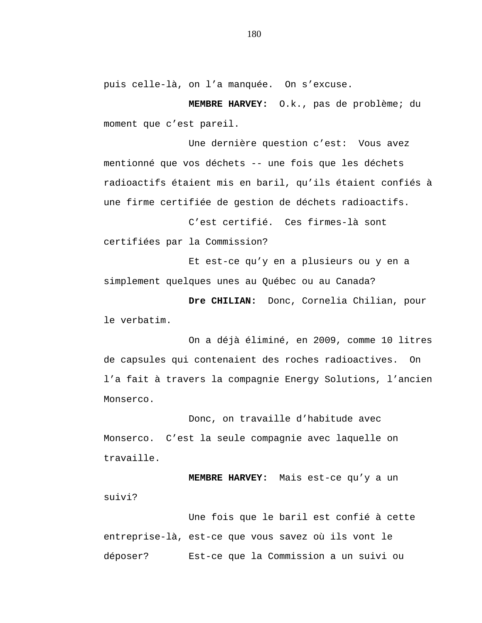puis celle-là, on l'a manquée. On s'excuse.

**MEMBRE HARVEY:** O.k., pas de problème; du moment que c'est pareil.

Une dernière question c'est: Vous avez mentionné que vos déchets -- une fois que les déchets radioactifs étaient mis en baril, qu'ils étaient confiés à une firme certifiée de gestion de déchets radioactifs.

C'est certifié. Ces firmes-là sont certifiées par la Commission?

Et est-ce qu'y en a plusieurs ou y en a simplement quelques unes au Québec ou au Canada?

**Dre CHILIAN:** Donc, Cornelia Chilian, pour le verbatim.

On a déjà éliminé, en 2009, comme 10 litres de capsules qui contenaient des roches radioactives. On l'a fait à travers la compagnie Energy Solutions, l'ancien Monserco.

Donc, on travaille d'habitude avec Monserco. C'est la seule compagnie avec laquelle on travaille.

**MEMBRE HARVEY:** Mais est-ce qu'y a un suivi?

Une fois que le baril est confié à cette entreprise-là, est-ce que vous savez où ils vont le déposer? Est-ce que la Commission a un suivi ou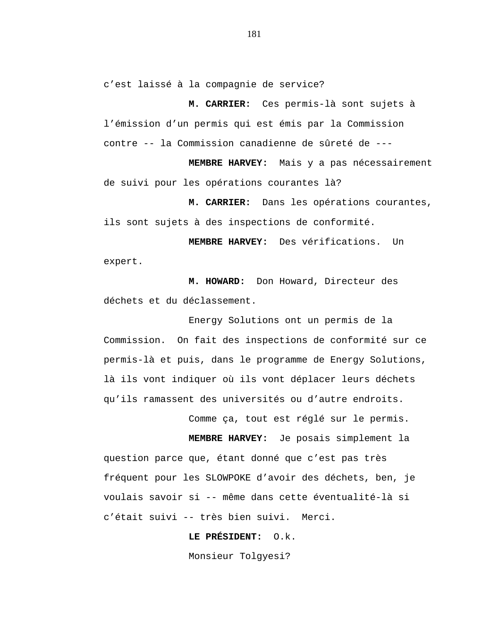c'est laissé à la compagnie de service?

**M. CARRIER:** Ces permis-là sont sujets à l'émission d'un permis qui est émis par la Commission contre -- la Commission canadienne de sûreté de ---

**MEMBRE HARVEY:** Mais y a pas nécessairement de suivi pour les opérations courantes là?

**M. CARRIER:** Dans les opérations courantes, ils sont sujets à des inspections de conformité.

**MEMBRE HARVEY:** Des vérifications. Un expert.

**M. HOWARD:** Don Howard, Directeur des déchets et du déclassement.

Energy Solutions ont un permis de la Commission. On fait des inspections de conformité sur ce permis-là et puis, dans le programme de Energy Solutions, là ils vont indiquer où ils vont déplacer leurs déchets qu'ils ramassent des universités ou d'autre endroits.

Comme ça, tout est réglé sur le permis.

**MEMBRE HARVEY:** Je posais simplement la question parce que, étant donné que c'est pas très fréquent pour les SLOWPOKE d'avoir des déchets, ben, je voulais savoir si -- même dans cette éventualité-là si c'était suivi -- très bien suivi. Merci.

**LE PRÉSIDENT:** O.k.

Monsieur Tolgyesi?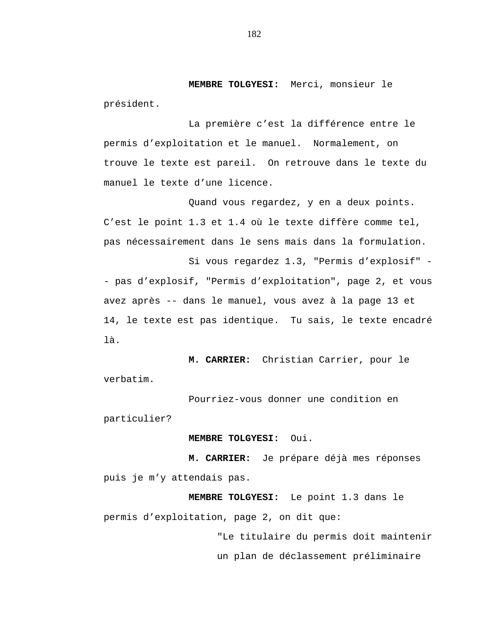**MEMBRE TOLGYESI:** Merci, monsieur le président.

La première c'est la différence entre le permis d'exploitation et le manuel. Normalement, on trouve le texte est pareil. On retrouve dans le texte du manuel le texte d'une licence.

Quand vous regardez, y en a deux points. C'est le point 1.3 et 1.4 où le texte diffère comme tel, pas nécessairement dans le sens mais dans la formulation.

Si vous regardez 1.3, "Permis d'explosif" - pas d'explosif, "Permis d'exploitation", page 2, et vous avez après -- dans le manuel, vous avez à la page 13 et 14, le texte est pas identique. Tu sais, le texte encadré là.

**M. CARRIER:** Christian Carrier, pour le verbatim.

Pourriez-vous donner une condition en particulier?

### **MEMBRE TOLGYESI:** Oui.

**M. CARRIER:** Je prépare déjà mes réponses puis je m'y attendais pas.

**MEMBRE TOLGYESI:** Le point 1.3 dans le permis d'exploitation, page 2, on dit que:

> "Le titulaire du permis doit maintenir un plan de déclassement préliminaire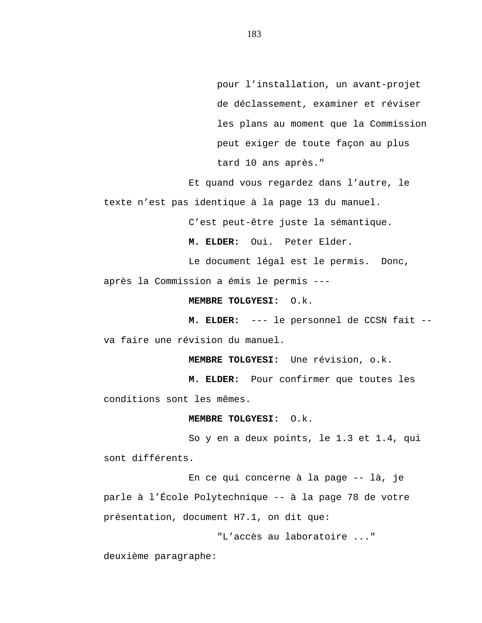pour l'installation, un avant-projet de déclassement, examiner et réviser les plans au moment que la Commission peut exiger de toute façon au plus tard 10 ans après."

Et quand vous regardez dans l'autre, le texte n'est pas identique à la page 13 du manuel.

C'est peut-être juste la sémantique.

**M. ELDER:** Oui. Peter Elder.

Le document légal est le permis. Donc,

après la Commission a émis le permis ---

**MEMBRE TOLGYESI:** O.k.

**M. ELDER:** --- le personnel de CCSN fait - va faire une révision du manuel.

**MEMBRE TOLGYESI:** Une révision, o.k.

**M. ELDER:** Pour confirmer que toutes les conditions sont les mêmes.

#### **MEMBRE TOLGYESI:** O.k.

So y en a deux points, le 1.3 et 1.4, qui sont différents.

En ce qui concerne à la page -- là, je parle à l'École Polytechnique -- à la page 78 de votre présentation, document H7.1, on dit que:

"L'accès au laboratoire ..."

deuxième paragraphe: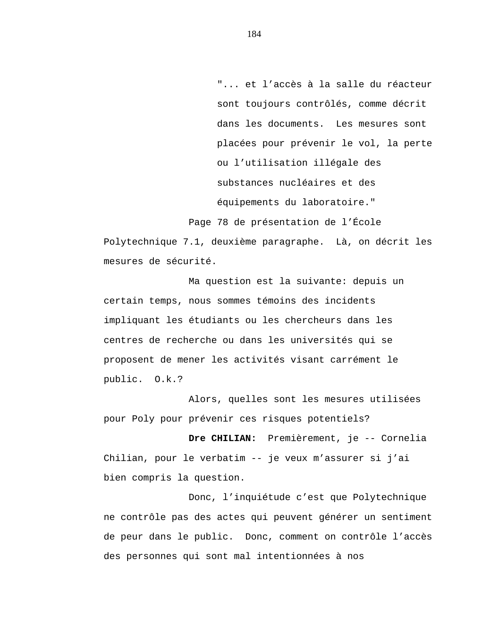"... et l'accès à la salle du réacteur sont toujours contrôlés, comme décrit dans les documents. Les mesures sont placées pour prévenir le vol, la perte ou l'utilisation illégale des substances nucléaires et des équipements du laboratoire."

Page 78 de présentation de l'École

Polytechnique 7.1, deuxième paragraphe. Là, on décrit les mesures de sécurité.

Ma question est la suivante: depuis un certain temps, nous sommes témoins des incidents impliquant les étudiants ou les chercheurs dans les centres de recherche ou dans les universités qui se proposent de mener les activités visant carrément le public. O.k.?

Alors, quelles sont les mesures utilisées pour Poly pour prévenir ces risques potentiels?

**Dre CHILIAN:** Premièrement, je -- Cornelia Chilian, pour le verbatim -- je veux m'assurer si j'ai bien compris la question.

Donc, l'inquiétude c'est que Polytechnique ne contrôle pas des actes qui peuvent générer un sentiment de peur dans le public. Donc, comment on contrôle l'accès des personnes qui sont mal intentionnées à nos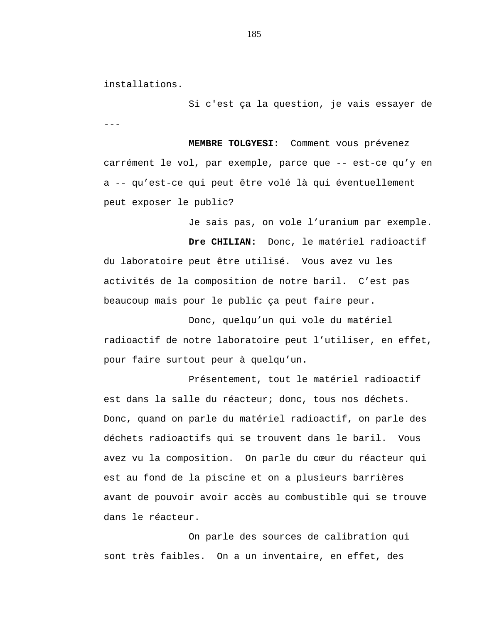installations.

--- Si c'est ça la question, je vais essayer de

**MEMBRE TOLGYESI:** Comment vous prévenez carrément le vol, par exemple, parce que -- est-ce qu'y en a -- qu'est-ce qui peut être volé là qui éventuellement peut exposer le public?

Je sais pas, on vole l'uranium par exemple.

**Dre CHILIAN:** Donc, le matériel radioactif du laboratoire peut être utilisé. Vous avez vu les activités de la composition de notre baril. C'est pas beaucoup mais pour le public ça peut faire peur.

Donc, quelqu'un qui vole du matériel radioactif de notre laboratoire peut l'utiliser, en effet, pour faire surtout peur à quelqu'un.

Présentement, tout le matériel radioactif est dans la salle du réacteur; donc, tous nos déchets. Donc, quand on parle du matériel radioactif, on parle des déchets radioactifs qui se trouvent dans le baril. Vous avez vu la composition. On parle du cœur du réacteur qui est au fond de la piscine et on a plusieurs barrières avant de pouvoir avoir accès au combustible qui se trouve dans le réacteur.

On parle des sources de calibration qui sont très faibles. On a un inventaire, en effet, des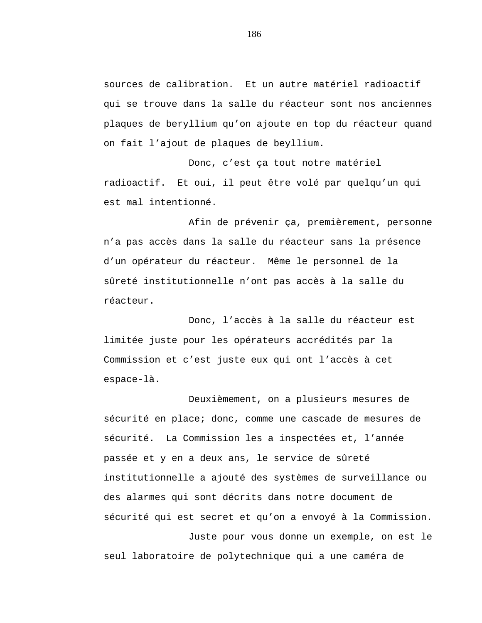sources de calibration. Et un autre matériel radioactif qui se trouve dans la salle du réacteur sont nos anciennes plaques de beryllium qu'on ajoute en top du réacteur quand on fait l'ajout de plaques de beyllium.

Donc, c'est ça tout notre matériel radioactif. Et oui, il peut être volé par quelqu'un qui est mal intentionné.

Afin de prévenir ça, premièrement, personne n'a pas accès dans la salle du réacteur sans la présence d'un opérateur du réacteur. Même le personnel de la sûreté institutionnelle n'ont pas accès à la salle du réacteur.

Donc, l'accès à la salle du réacteur est limitée juste pour les opérateurs accrédités par la Commission et c'est juste eux qui ont l'accès à cet espace-là.

Deuxièmement, on a plusieurs mesures de sécurité en place; donc, comme une cascade de mesures de sécurité. La Commission les a inspectées et, l'année passée et y en a deux ans, le service de sûreté institutionnelle a ajouté des systèmes de surveillance ou des alarmes qui sont décrits dans notre document de sécurité qui est secret et qu'on a envoyé à la Commission. Juste pour vous donne un exemple, on est le seul laboratoire de polytechnique qui a une caméra de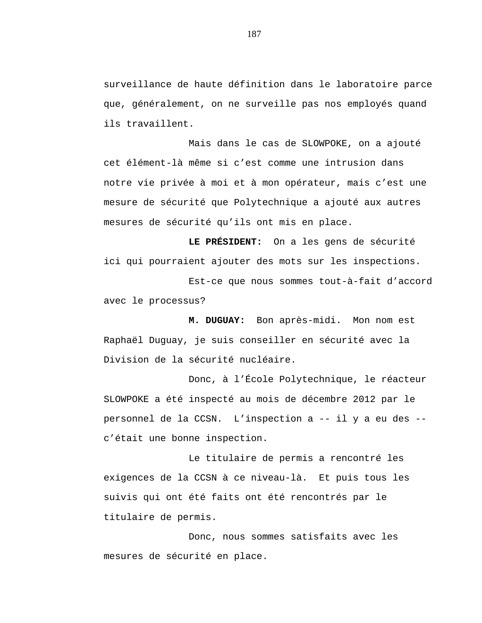surveillance de haute définition dans le laboratoire parce que, généralement, on ne surveille pas nos employés quand ils travaillent.

Mais dans le cas de SLOWPOKE, on a ajouté cet élément-là même si c'est comme une intrusion dans notre vie privée à moi et à mon opérateur, mais c'est une mesure de sécurité que Polytechnique a ajouté aux autres mesures de sécurité qu'ils ont mis en place.

**LE PRÉSIDENT:** On a les gens de sécurité ici qui pourraient ajouter des mots sur les inspections.

Est-ce que nous sommes tout-à-fait d'accord avec le processus?

**M. DUGUAY:** Bon après-midi. Mon nom est Raphaël Duguay, je suis conseiller en sécurité avec la Division de la sécurité nucléaire.

Donc, à l'École Polytechnique, le réacteur SLOWPOKE a été inspecté au mois de décembre 2012 par le personnel de la CCSN. L'inspection a -- il y a eu des - c'était une bonne inspection.

Le titulaire de permis a rencontré les exigences de la CCSN à ce niveau-là. Et puis tous les suivis qui ont été faits ont été rencontrés par le titulaire de permis.

Donc, nous sommes satisfaits avec les mesures de sécurité en place.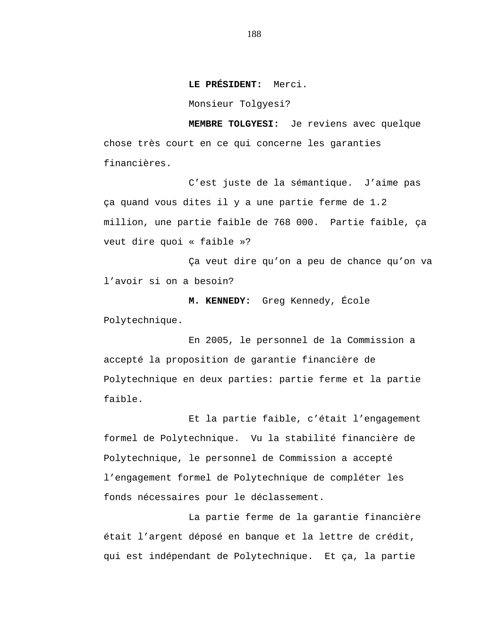**LE PRÉSIDENT:** Merci.

Monsieur Tolgyesi?

**MEMBRE TOLGYESI:** Je reviens avec quelque chose très court en ce qui concerne les garanties financières.

C'est juste de la sémantique. J'aime pas ça quand vous dites il y a une partie ferme de 1.2 million, une partie faible de 768 000. Partie faible, ça veut dire quoi « faible »?

Ça veut dire qu'on a peu de chance qu'on va l'avoir si on a besoin?

**M. KENNEDY:** Greg Kennedy, École Polytechnique.

En 2005, le personnel de la Commission a accepté la proposition de garantie financière de Polytechnique en deux parties: partie ferme et la partie faible.

Et la partie faible, c'était l'engagement formel de Polytechnique. Vu la stabilité financière de Polytechnique, le personnel de Commission a accepté l'engagement formel de Polytechnique de compléter les fonds nécessaires pour le déclassement.

La partie ferme de la garantie financière était l'argent déposé en banque et la lettre de crédit, qui est indépendant de Polytechnique. Et ça, la partie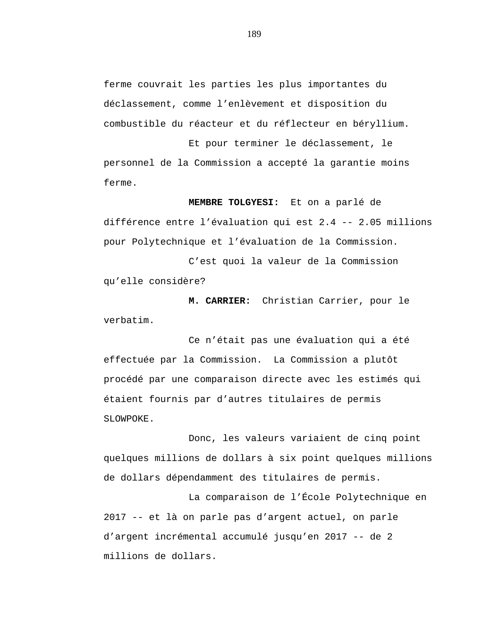ferme couvrait les parties les plus importantes du déclassement, comme l'enlèvement et disposition du combustible du réacteur et du réflecteur en béryllium.

Et pour terminer le déclassement, le personnel de la Commission a accepté la garantie moins ferme.

**MEMBRE TOLGYESI:** Et on a parlé de différence entre l'évaluation qui est 2.4 -- 2.05 millions pour Polytechnique et l'évaluation de la Commission.

C'est quoi la valeur de la Commission qu'elle considère?

**M. CARRIER:** Christian Carrier, pour le verbatim.

Ce n'était pas une évaluation qui a été effectuée par la Commission. La Commission a plutôt procédé par une comparaison directe avec les estimés qui étaient fournis par d'autres titulaires de permis SLOWPOKE.

Donc, les valeurs variaient de cinq point quelques millions de dollars à six point quelques millions de dollars dépendamment des titulaires de permis.

La comparaison de l'École Polytechnique en 2017 -- et là on parle pas d'argent actuel, on parle d'argent incrémental accumulé jusqu'en 2017 -- de 2 millions de dollars.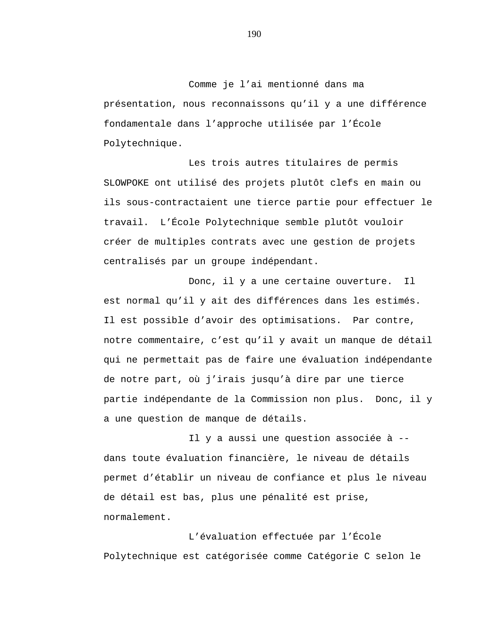Comme je l'ai mentionné dans ma présentation, nous reconnaissons qu'il y a une différence fondamentale dans l'approche utilisée par l'École Polytechnique.

Les trois autres titulaires de permis SLOWPOKE ont utilisé des projets plutôt clefs en main ou ils sous-contractaient une tierce partie pour effectuer le travail. L'École Polytechnique semble plutôt vouloir créer de multiples contrats avec une gestion de projets centralisés par un groupe indépendant.

Donc, il y a une certaine ouverture. Il est normal qu'il y ait des différences dans les estimés. Il est possible d'avoir des optimisations. Par contre, notre commentaire, c'est qu'il y avait un manque de détail qui ne permettait pas de faire une évaluation indépendante de notre part, où j'irais jusqu'à dire par une tierce partie indépendante de la Commission non plus. Donc, il y a une question de manque de détails.

Il y a aussi une question associée à - dans toute évaluation financière, le niveau de détails permet d'établir un niveau de confiance et plus le niveau de détail est bas, plus une pénalité est prise, normalement.

L'évaluation effectuée par l'École Polytechnique est catégorisée comme Catégorie C selon le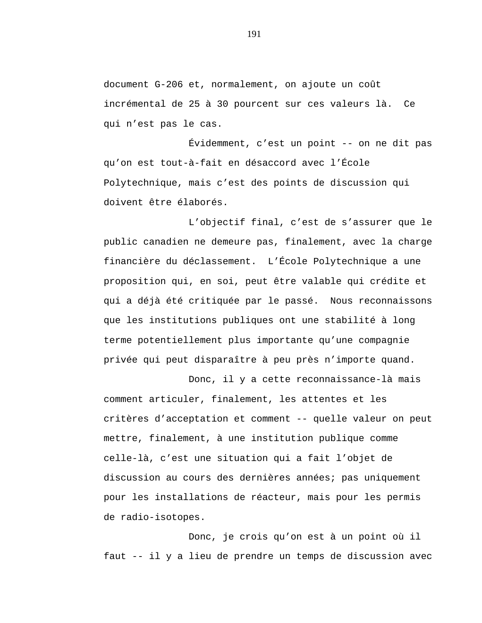document G-206 et, normalement, on ajoute un coût incrémental de 25 à 30 pourcent sur ces valeurs là. Ce qui n'est pas le cas.

Évidemment, c'est un point -- on ne dit pas qu'on est tout-à-fait en désaccord avec l'École Polytechnique, mais c'est des points de discussion qui doivent être élaborés.

L'objectif final, c'est de s'assurer que le public canadien ne demeure pas, finalement, avec la charge financière du déclassement. L'École Polytechnique a une proposition qui, en soi, peut être valable qui crédite et qui a déjà été critiquée par le passé. Nous reconnaissons que les institutions publiques ont une stabilité à long terme potentiellement plus importante qu'une compagnie privée qui peut disparaître à peu près n'importe quand.

Donc, il y a cette reconnaissance-là mais comment articuler, finalement, les attentes et les critères d'acceptation et comment -- quelle valeur on peut mettre, finalement, à une institution publique comme celle-là, c'est une situation qui a fait l'objet de discussion au cours des dernières années; pas uniquement pour les installations de réacteur, mais pour les permis de radio-isotopes.

Donc, je crois qu'on est à un point où il faut -- il y a lieu de prendre un temps de discussion avec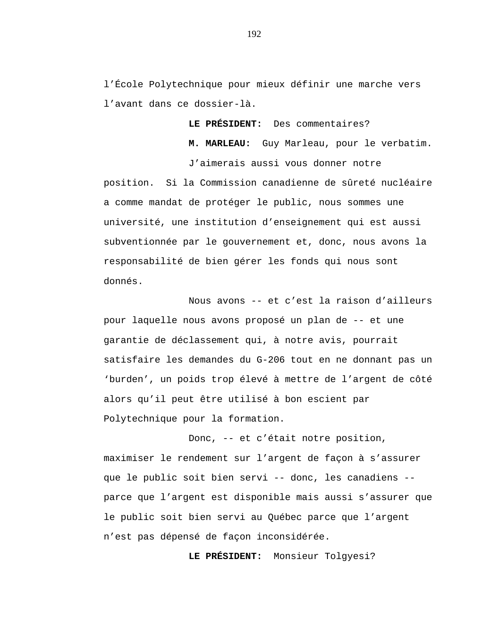l'École Polytechnique pour mieux définir une marche vers l'avant dans ce dossier-là.

**LE PRÉSIDENT:** Des commentaires?

**M. MARLEAU:** Guy Marleau, pour le verbatim.

J'aimerais aussi vous donner notre position. Si la Commission canadienne de sûreté nucléaire a comme mandat de protéger le public, nous sommes une université, une institution d'enseignement qui est aussi subventionnée par le gouvernement et, donc, nous avons la responsabilité de bien gérer les fonds qui nous sont donnés.

Nous avons -- et c'est la raison d'ailleurs pour laquelle nous avons proposé un plan de -- et une garantie de déclassement qui, à notre avis, pourrait satisfaire les demandes du G-206 tout en ne donnant pas un 'burden', un poids trop élevé à mettre de l'argent de côté alors qu'il peut être utilisé à bon escient par Polytechnique pour la formation.

Donc, -- et c'était notre position, maximiser le rendement sur l'argent de façon à s'assurer que le public soit bien servi -- donc, les canadiens - parce que l'argent est disponible mais aussi s'assurer que le public soit bien servi au Québec parce que l'argent n'est pas dépensé de façon inconsidérée.

**LE PRÉSIDENT:** Monsieur Tolgyesi?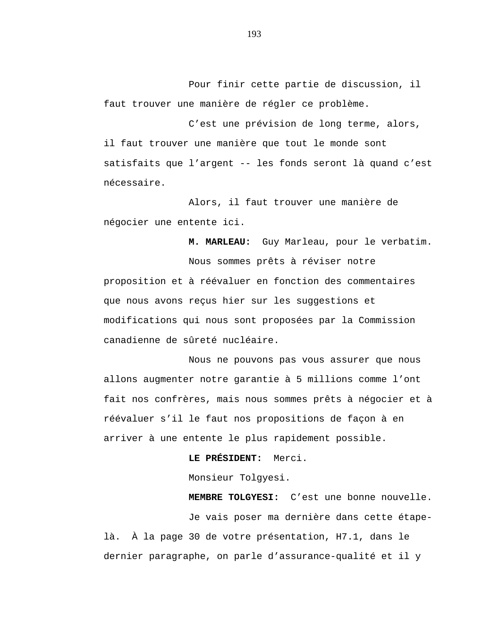Pour finir cette partie de discussion, il faut trouver une manière de régler ce problème.

C'est une prévision de long terme, alors, il faut trouver une manière que tout le monde sont satisfaits que l'argent -- les fonds seront là quand c'est nécessaire.

Alors, il faut trouver une manière de négocier une entente ici.

**M. MARLEAU:** Guy Marleau, pour le verbatim.

Nous sommes prêts à réviser notre proposition et à réévaluer en fonction des commentaires que nous avons reçus hier sur les suggestions et modifications qui nous sont proposées par la Commission canadienne de sûreté nucléaire.

Nous ne pouvons pas vous assurer que nous allons augmenter notre garantie à 5 millions comme l'ont fait nos confrères, mais nous sommes prêts à négocier et à réévaluer s'il le faut nos propositions de façon à en arriver à une entente le plus rapidement possible.

**LE PRÉSIDENT:** Merci.

Monsieur Tolgyesi.

Je vais poser ma dernière dans cette étapelà. À la page 30 de votre présentation, H7.1, dans le dernier paragraphe, on parle d'assurance-qualité et il y

**MEMBRE TOLGYESI:** C'est une bonne nouvelle.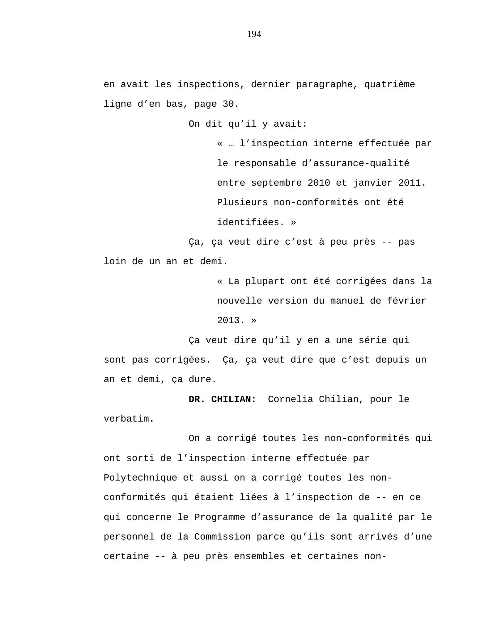en avait les inspections, dernier paragraphe, quatrième ligne d'en bas, page 30.

On dit qu'il y avait:

« … l'inspection interne effectuée par le responsable d'assurance-qualité entre septembre 2010 et janvier 2011. Plusieurs non-conformités ont été identifiées. »

Ça, ça veut dire c'est à peu près -- pas loin de un an et demi.

> « La plupart ont été corrigées dans la nouvelle version du manuel de février 2013. »

Ça veut dire qu'il y en a une série qui sont pas corrigées. Ça, ça veut dire que c'est depuis un an et demi, ça dure.

**DR. CHILIAN:** Cornelia Chilian, pour le verbatim.

On a corrigé toutes les non-conformités qui ont sorti de l'inspection interne effectuée par Polytechnique et aussi on a corrigé toutes les nonconformités qui étaient liées à l'inspection de -- en ce qui concerne le Programme d'assurance de la qualité par le personnel de la Commission parce qu'ils sont arrivés d'une certaine -- à peu près ensembles et certaines non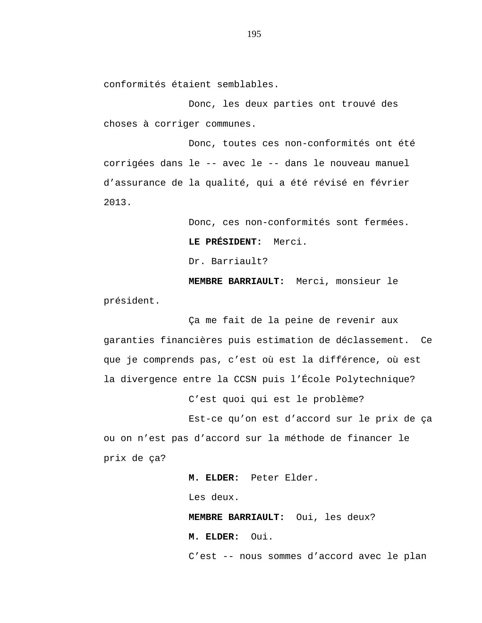conformités étaient semblables.

Donc, les deux parties ont trouvé des choses à corriger communes.

Donc, toutes ces non-conformités ont été corrigées dans le -- avec le -- dans le nouveau manuel d'assurance de la qualité, qui a été révisé en février 2013.

> Donc, ces non-conformités sont fermées. **LE PRÉSIDENT:** Merci. Dr. Barriault?

**MEMBRE BARRIAULT:** Merci, monsieur le président.

Ça me fait de la peine de revenir aux garanties financières puis estimation de déclassement. Ce que je comprends pas, c'est où est la différence, où est la divergence entre la CCSN puis l'École Polytechnique?

C'est quoi qui est le problème?

Est-ce qu'on est d'accord sur le prix de ça ou on n'est pas d'accord sur la méthode de financer le prix de ça?

> **M. ELDER:** Peter Elder. Les deux. **MEMBRE BARRIAULT:** Oui, les deux? **M. ELDER:** Oui. C'est -- nous sommes d'accord avec le plan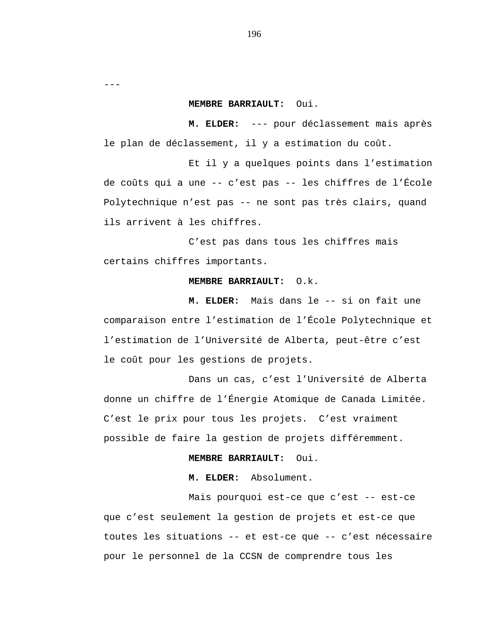---

# **MEMBRE BARRIAULT:** Oui.

**M. ELDER:** --- pour déclassement mais après le plan de déclassement, il y a estimation du coût.

Et il y a quelques points dans l'estimation de coûts qui a une -- c'est pas -- les chiffres de l'École Polytechnique n'est pas -- ne sont pas très clairs, quand ils arrivent à les chiffres.

C'est pas dans tous les chiffres mais certains chiffres importants.

# **MEMBRE BARRIAULT:** O.k.

**M. ELDER:** Mais dans le -- si on fait une comparaison entre l'estimation de l'École Polytechnique et l'estimation de l'Université de Alberta, peut-être c'est le coût pour les gestions de projets.

Dans un cas, c'est l'Université de Alberta donne un chiffre de l'Énergie Atomique de Canada Limitée. C'est le prix pour tous les projets. C'est vraiment possible de faire la gestion de projets différemment.

# **MEMBRE BARRIAULT:** Oui.

**M. ELDER:** Absolument.

Mais pourquoi est-ce que c'est -- est-ce que c'est seulement la gestion de projets et est-ce que toutes les situations -- et est-ce que -- c'est nécessaire pour le personnel de la CCSN de comprendre tous les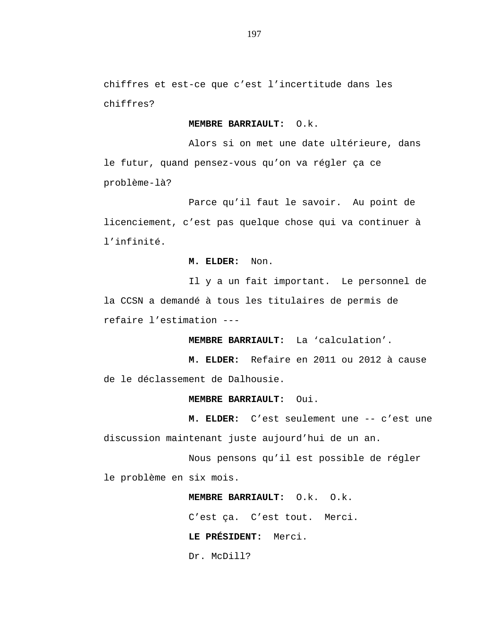chiffres et est-ce que c'est l'incertitude dans les chiffres?

# **MEMBRE BARRIAULT:** O.k.

Alors si on met une date ultérieure, dans le futur, quand pensez-vous qu'on va régler ça ce problème-là?

Parce qu'il faut le savoir. Au point de licenciement, c'est pas quelque chose qui va continuer à l'infinité.

# **M. ELDER:** Non.

Il y a un fait important. Le personnel de la CCSN a demandé à tous les titulaires de permis de refaire l'estimation ---

**MEMBRE BARRIAULT:** La 'calculation'.

**M. ELDER:** Refaire en 2011 ou 2012 à cause de le déclassement de Dalhousie.

### **MEMBRE BARRIAULT:** Oui.

**M. ELDER:** C'est seulement une -- c'est une discussion maintenant juste aujourd'hui de un an.

Nous pensons qu'il est possible de régler le problème en six mois.

> **MEMBRE BARRIAULT:** O.k. O.k. C'est ça. C'est tout. Merci. **LE PRÉSIDENT:** Merci. Dr. McDill?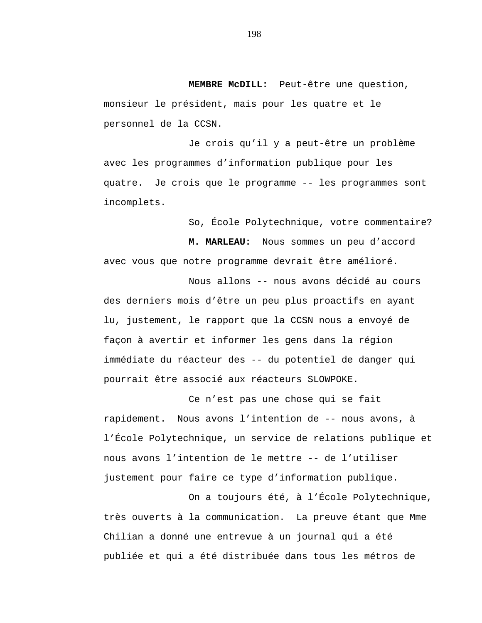**MEMBRE McDILL:** Peut-être une question, monsieur le président, mais pour les quatre et le personnel de la CCSN.

Je crois qu'il y a peut-être un problème avec les programmes d'information publique pour les quatre. Je crois que le programme -- les programmes sont incomplets.

So, École Polytechnique, votre commentaire?

**M. MARLEAU:** Nous sommes un peu d'accord avec vous que notre programme devrait être amélioré.

Nous allons -- nous avons décidé au cours des derniers mois d'être un peu plus proactifs en ayant lu, justement, le rapport que la CCSN nous a envoyé de façon à avertir et informer les gens dans la région immédiate du réacteur des -- du potentiel de danger qui pourrait être associé aux réacteurs SLOWPOKE.

Ce n'est pas une chose qui se fait rapidement. Nous avons l'intention de -- nous avons, à l'École Polytechnique, un service de relations publique et nous avons l'intention de le mettre -- de l'utiliser justement pour faire ce type d'information publique.

On a toujours été, à l'École Polytechnique, très ouverts à la communication. La preuve étant que Mme Chilian a donné une entrevue à un journal qui a été publiée et qui a été distribuée dans tous les métros de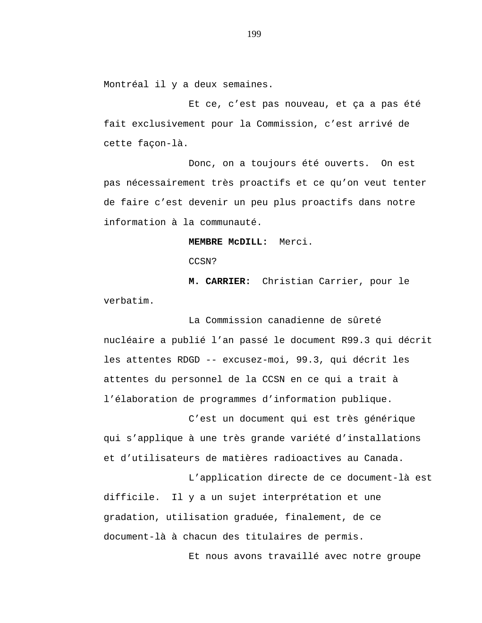Montréal il y a deux semaines.

Et ce, c'est pas nouveau, et ça a pas été fait exclusivement pour la Commission, c'est arrivé de cette façon-là.

Donc, on a toujours été ouverts. On est pas nécessairement très proactifs et ce qu'on veut tenter de faire c'est devenir un peu plus proactifs dans notre information à la communauté.

**MEMBRE McDILL:** Merci.

CCSN?

**M. CARRIER:** Christian Carrier, pour le verbatim.

La Commission canadienne de sûreté nucléaire a publié l'an passé le document R99.3 qui décrit les attentes RDGD -- excusez-moi, 99.3, qui décrit les attentes du personnel de la CCSN en ce qui a trait à l'élaboration de programmes d'information publique.

C'est un document qui est très générique qui s'applique à une très grande variété d'installations et d'utilisateurs de matières radioactives au Canada.

L'application directe de ce document-là est difficile. Il y a un sujet interprétation et une gradation, utilisation graduée, finalement, de ce document-là à chacun des titulaires de permis.

Et nous avons travaillé avec notre groupe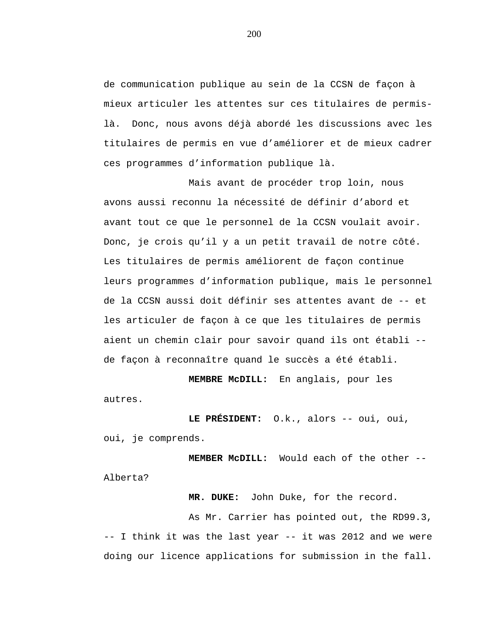de communication publique au sein de la CCSN de façon à mieux articuler les attentes sur ces titulaires de permislà. Donc, nous avons déjà abordé les discussions avec les titulaires de permis en vue d'améliorer et de mieux cadrer ces programmes d'information publique là.

Mais avant de procéder trop loin, nous avons aussi reconnu la nécessité de définir d'abord et avant tout ce que le personnel de la CCSN voulait avoir. Donc, je crois qu'il y a un petit travail de notre côté. Les titulaires de permis améliorent de façon continue leurs programmes d'information publique, mais le personnel de la CCSN aussi doit définir ses attentes avant de -- et les articuler de façon à ce que les titulaires de permis aient un chemin clair pour savoir quand ils ont établi - de façon à reconnaître quand le succès a été établi.

**MEMBRE McDILL:** En anglais, pour les

autres.

**LE PRÉSIDENT:** O.k., alors -- oui, oui, oui, je comprends.

**MEMBER McDILL:** Would each of the other -- Alberta?

**MR. DUKE:** John Duke, for the record.

As Mr. Carrier has pointed out, the RD99.3, -- I think it was the last year -- it was 2012 and we were doing our licence applications for submission in the fall.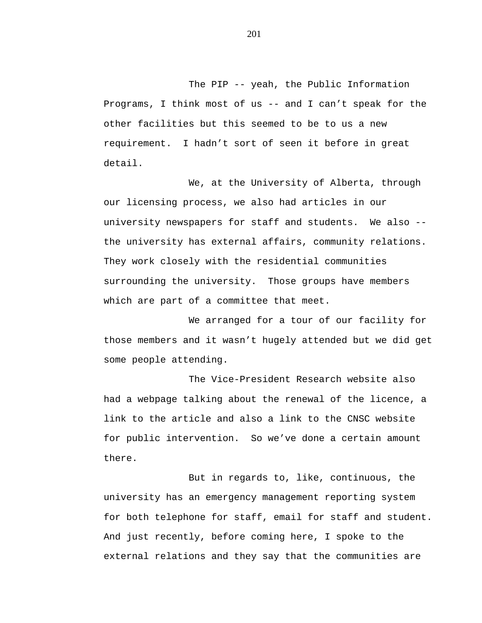The PIP -- yeah, the Public Information Programs, I think most of us -- and I can't speak for the other facilities but this seemed to be to us a new requirement. I hadn't sort of seen it before in great detail.

We, at the University of Alberta, through our licensing process, we also had articles in our university newspapers for staff and students. We also - the university has external affairs, community relations. They work closely with the residential communities surrounding the university. Those groups have members which are part of a committee that meet.

We arranged for a tour of our facility for those members and it wasn't hugely attended but we did get some people attending.

The Vice-President Research website also had a webpage talking about the renewal of the licence, a link to the article and also a link to the CNSC website for public intervention. So we've done a certain amount there.

But in regards to, like, continuous, the university has an emergency management reporting system for both telephone for staff, email for staff and student. And just recently, before coming here, I spoke to the external relations and they say that the communities are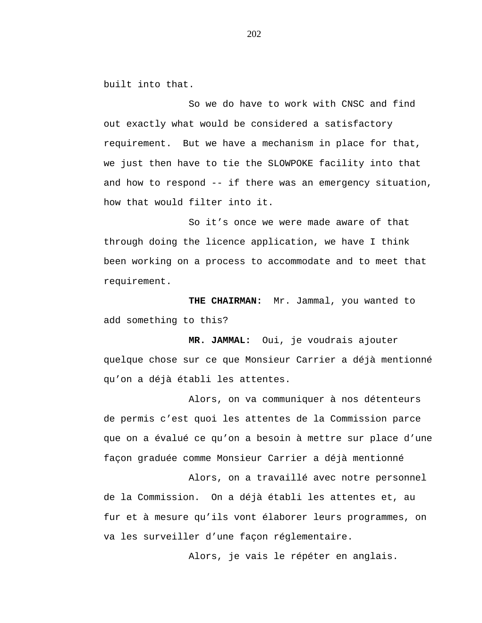built into that.

So we do have to work with CNSC and find out exactly what would be considered a satisfactory requirement. But we have a mechanism in place for that, we just then have to tie the SLOWPOKE facility into that and how to respond -- if there was an emergency situation, how that would filter into it.

So it's once we were made aware of that through doing the licence application, we have I think been working on a process to accommodate and to meet that requirement.

**THE CHAIRMAN:** Mr. Jammal, you wanted to add something to this?

**MR. JAMMAL:** Oui, je voudrais ajouter quelque chose sur ce que Monsieur Carrier a déjà mentionné qu'on a déjà établi les attentes.

Alors, on va communiquer à nos détenteurs de permis c'est quoi les attentes de la Commission parce que on a évalué ce qu'on a besoin à mettre sur place d'une façon graduée comme Monsieur Carrier a déjà mentionné

Alors, on a travaillé avec notre personnel de la Commission. On a déjà établi les attentes et, au fur et à mesure qu'ils vont élaborer leurs programmes, on va les surveiller d'une façon réglementaire.

Alors, je vais le répéter en anglais.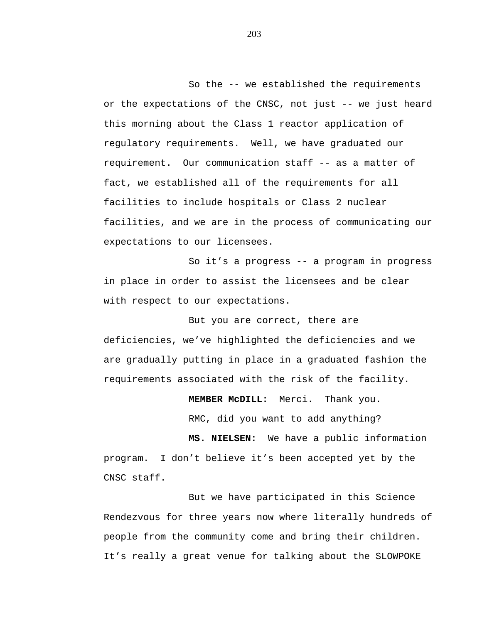So the -- we established the requirements or the expectations of the CNSC, not just -- we just heard this morning about the Class 1 reactor application of regulatory requirements. Well, we have graduated our requirement. Our communication staff -- as a matter of fact, we established all of the requirements for all facilities to include hospitals or Class 2 nuclear facilities, and we are in the process of communicating our expectations to our licensees.

So it's a progress -- a program in progress in place in order to assist the licensees and be clear with respect to our expectations.

But you are correct, there are deficiencies, we've highlighted the deficiencies and we are gradually putting in place in a graduated fashion the requirements associated with the risk of the facility.

**MEMBER McDILL:** Merci. Thank you.

RMC, did you want to add anything?

**MS. NIELSEN:** We have a public information program. I don't believe it's been accepted yet by the CNSC staff.

But we have participated in this Science Rendezvous for three years now where literally hundreds of people from the community come and bring their children. It's really a great venue for talking about the SLOWPOKE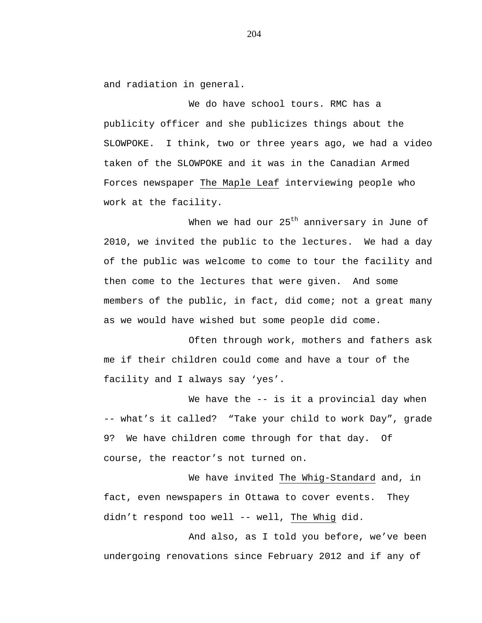and radiation in general.

We do have school tours. RMC has a publicity officer and she publicizes things about the SLOWPOKE. I think, two or three years ago, we had a video taken of the SLOWPOKE and it was in the Canadian Armed Forces newspaper The Maple Leaf interviewing people who work at the facility.

When we had our  $25<sup>th</sup>$  anniversary in June of 2010, we invited the public to the lectures. We had a day of the public was welcome to come to tour the facility and then come to the lectures that were given. And some members of the public, in fact, did come; not a great many as we would have wished but some people did come.

Often through work, mothers and fathers ask me if their children could come and have a tour of the facility and I always say 'yes'.

We have the -- is it a provincial day when -- what's it called? "Take your child to work Day", grade 9? We have children come through for that day. Of course, the reactor's not turned on.

We have invited The Whig-Standard and, in fact, even newspapers in Ottawa to cover events. They didn't respond too well -- well, The Whig did.

And also, as I told you before, we've been undergoing renovations since February 2012 and if any of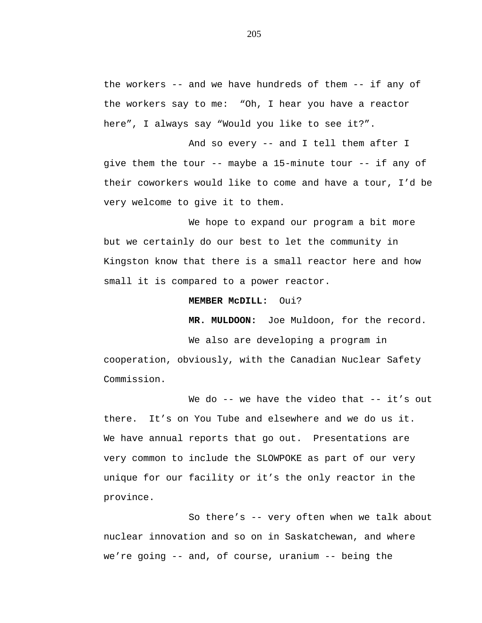the workers -- and we have hundreds of them -- if any of the workers say to me: "Oh, I hear you have a reactor here", I always say "Would you like to see it?".

And so every -- and I tell them after I give them the tour -- maybe a 15-minute tour -- if any of their coworkers would like to come and have a tour, I'd be very welcome to give it to them.

We hope to expand our program a bit more but we certainly do our best to let the community in Kingston know that there is a small reactor here and how small it is compared to a power reactor.

### **MEMBER McDILL:** Oui?

**MR. MULDOON:** Joe Muldoon, for the record.

We also are developing a program in cooperation, obviously, with the Canadian Nuclear Safety Commission.

We do -- we have the video that -- it's out there. It's on You Tube and elsewhere and we do us it. We have annual reports that go out. Presentations are very common to include the SLOWPOKE as part of our very unique for our facility or it's the only reactor in the province.

So there's -- very often when we talk about nuclear innovation and so on in Saskatchewan, and where we're going -- and, of course, uranium -- being the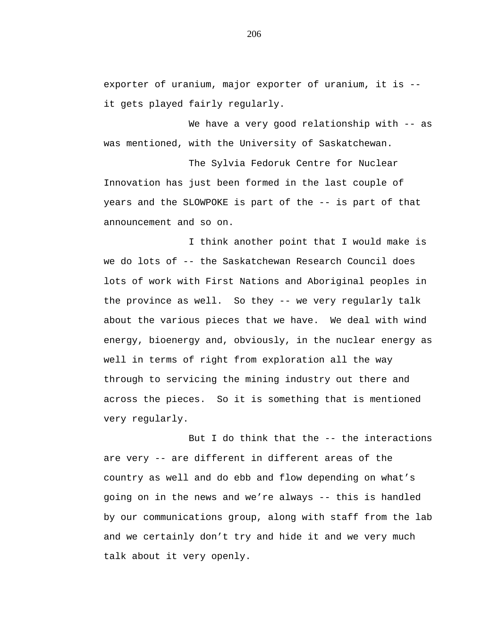exporter of uranium, major exporter of uranium, it is - it gets played fairly regularly.

We have a very good relationship with -- as was mentioned, with the University of Saskatchewan.

The Sylvia Fedoruk Centre for Nuclear Innovation has just been formed in the last couple of years and the SLOWPOKE is part of the -- is part of that announcement and so on.

I think another point that I would make is we do lots of -- the Saskatchewan Research Council does lots of work with First Nations and Aboriginal peoples in the province as well. So they -- we very regularly talk about the various pieces that we have. We deal with wind energy, bioenergy and, obviously, in the nuclear energy as well in terms of right from exploration all the way through to servicing the mining industry out there and across the pieces. So it is something that is mentioned very regularly.

But I do think that the -- the interactions are very -- are different in different areas of the country as well and do ebb and flow depending on what's going on in the news and we're always -- this is handled by our communications group, along with staff from the lab and we certainly don't try and hide it and we very much talk about it very openly.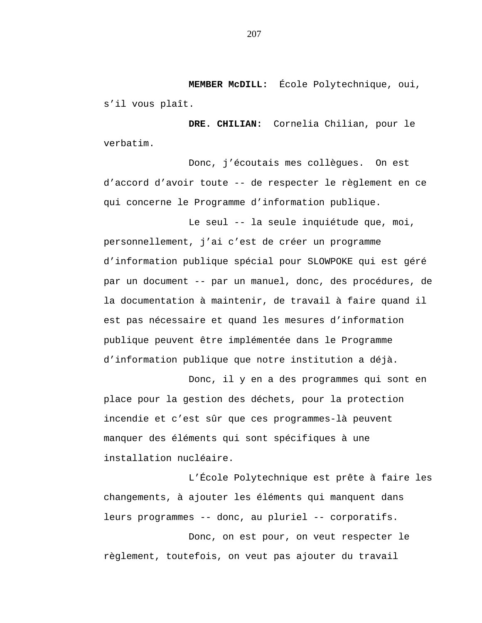**MEMBER McDILL:** École Polytechnique, oui, s'il vous plaît.

**DRE. CHILIAN:** Cornelia Chilian, pour le verbatim.

Donc, j'écoutais mes collègues. On est d'accord d'avoir toute -- de respecter le règlement en ce qui concerne le Programme d'information publique.

Le seul -- la seule inquiétude que, moi, personnellement, j'ai c'est de créer un programme d'information publique spécial pour SLOWPOKE qui est géré par un document -- par un manuel, donc, des procédures, de la documentation à maintenir, de travail à faire quand il est pas nécessaire et quand les mesures d'information publique peuvent être implémentée dans le Programme d'information publique que notre institution a déjà.

Donc, il y en a des programmes qui sont en place pour la gestion des déchets, pour la protection incendie et c'est sûr que ces programmes-là peuvent manquer des éléments qui sont spécifiques à une installation nucléaire.

L'École Polytechnique est prête à faire les changements, à ajouter les éléments qui manquent dans leurs programmes -- donc, au pluriel -- corporatifs.

Donc, on est pour, on veut respecter le règlement, toutefois, on veut pas ajouter du travail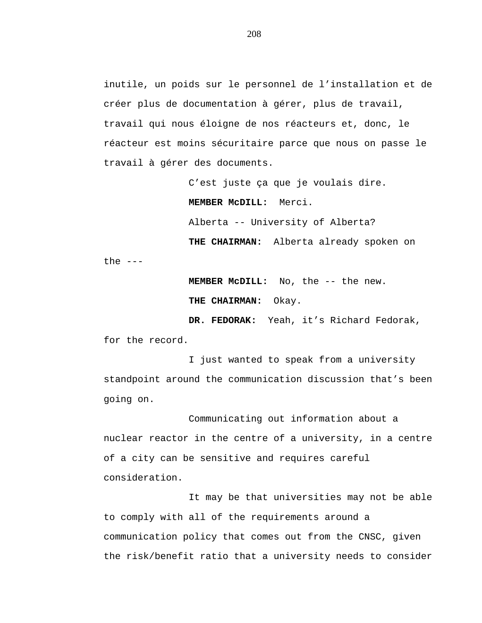inutile, un poids sur le personnel de l'installation et de créer plus de documentation à gérer, plus de travail, travail qui nous éloigne de nos réacteurs et, donc, le réacteur est moins sécuritaire parce que nous on passe le travail à gérer des documents.

> C'est juste ça que je voulais dire. **MEMBER McDILL:** Merci. Alberta -- University of Alberta?

**THE CHAIRMAN:** Alberta already spoken on the  $---$ 

> **MEMBER McDILL:** No, the -- the new. **THE CHAIRMAN:** Okay.

**DR. FEDORAK:** Yeah, it's Richard Fedorak, for the record.

I just wanted to speak from a university standpoint around the communication discussion that's been going on.

Communicating out information about a nuclear reactor in the centre of a university, in a centre of a city can be sensitive and requires careful consideration.

It may be that universities may not be able to comply with all of the requirements around a communication policy that comes out from the CNSC, given the risk/benefit ratio that a university needs to consider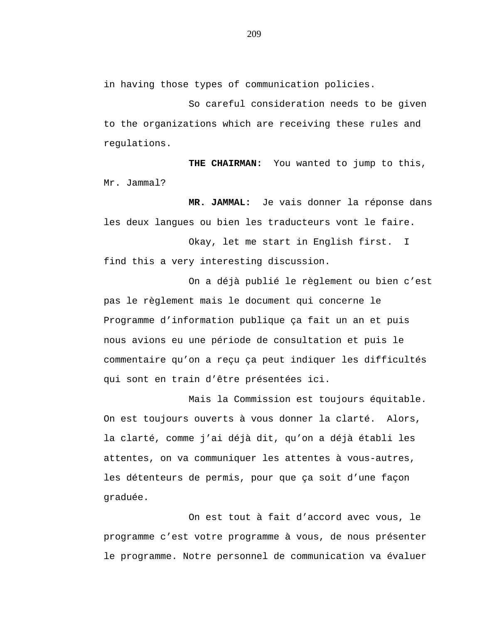in having those types of communication policies.

So careful consideration needs to be given to the organizations which are receiving these rules and regulations.

**THE CHAIRMAN:** You wanted to jump to this, Mr. Jammal?

**MR. JAMMAL:** Je vais donner la réponse dans les deux langues ou bien les traducteurs vont le faire.

Okay, let me start in English first. I find this a very interesting discussion.

On a déjà publié le règlement ou bien c'est pas le règlement mais le document qui concerne le Programme d'information publique ça fait un an et puis nous avions eu une période de consultation et puis le commentaire qu'on a reçu ça peut indiquer les difficultés qui sont en train d'être présentées ici.

Mais la Commission est toujours équitable. On est toujours ouverts à vous donner la clarté. Alors, la clarté, comme j'ai déjà dit, qu'on a déjà établi les attentes, on va communiquer les attentes à vous-autres, les détenteurs de permis, pour que ça soit d'une façon graduée.

On est tout à fait d'accord avec vous, le programme c'est votre programme à vous, de nous présenter le programme. Notre personnel de communication va évaluer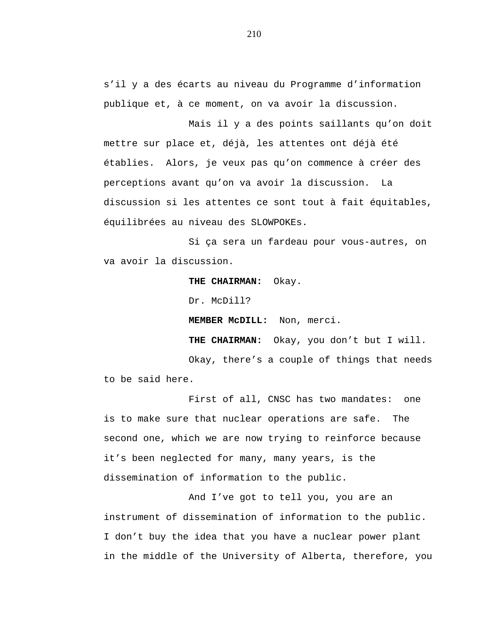s'il y a des écarts au niveau du Programme d'information publique et, à ce moment, on va avoir la discussion.

Mais il y a des points saillants qu'on doit mettre sur place et, déjà, les attentes ont déjà été établies. Alors, je veux pas qu'on commence à créer des perceptions avant qu'on va avoir la discussion. La discussion si les attentes ce sont tout à fait équitables, équilibrées au niveau des SLOWPOKEs.

Si ça sera un fardeau pour vous-autres, on va avoir la discussion.

**THE CHAIRMAN:** Okay.

Dr. McDill?

**MEMBER McDILL:** Non, merci.

**THE CHAIRMAN:** Okay, you don't but I will.

Okay, there's a couple of things that needs to be said here.

First of all, CNSC has two mandates: one is to make sure that nuclear operations are safe. The second one, which we are now trying to reinforce because it's been neglected for many, many years, is the dissemination of information to the public.

And I've got to tell you, you are an instrument of dissemination of information to the public. I don't buy the idea that you have a nuclear power plant in the middle of the University of Alberta, therefore, you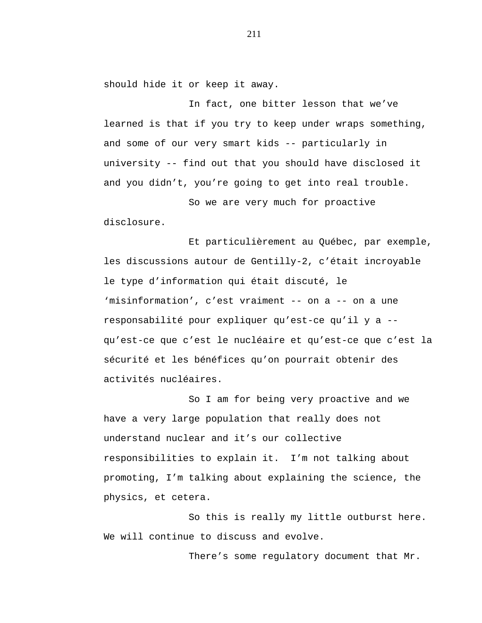should hide it or keep it away.

In fact, one bitter lesson that we've learned is that if you try to keep under wraps something, and some of our very smart kids -- particularly in university -- find out that you should have disclosed it and you didn't, you're going to get into real trouble.

So we are very much for proactive disclosure.

Et particulièrement au Québec, par exemple, les discussions autour de Gentilly-2, c'était incroyable le type d'information qui était discuté, le 'misinformation', c'est vraiment -- on a -- on a une responsabilité pour expliquer qu'est-ce qu'il y a - qu'est-ce que c'est le nucléaire et qu'est-ce que c'est la sécurité et les bénéfices qu'on pourrait obtenir des activités nucléaires.

So I am for being very proactive and we have a very large population that really does not understand nuclear and it's our collective responsibilities to explain it. I'm not talking about promoting, I'm talking about explaining the science, the physics, et cetera.

So this is really my little outburst here. We will continue to discuss and evolve.

There's some regulatory document that Mr.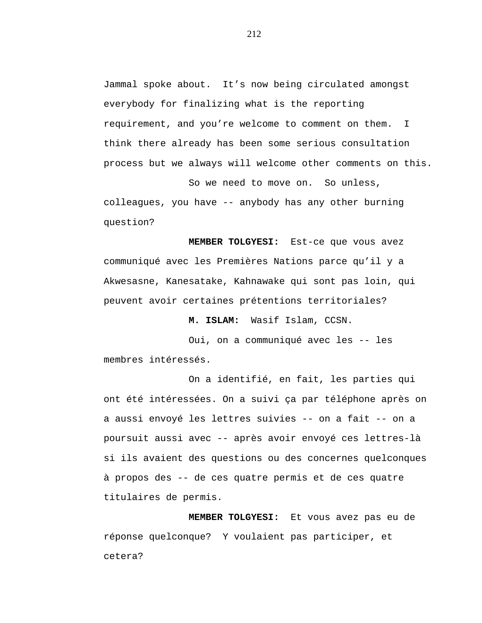Jammal spoke about. It's now being circulated amongst everybody for finalizing what is the reporting requirement, and you're welcome to comment on them. I think there already has been some serious consultation process but we always will welcome other comments on this.

So we need to move on. So unless, colleagues, you have -- anybody has any other burning question?

**MEMBER TOLGYESI:** Est-ce que vous avez communiqué avec les Premières Nations parce qu'il y a Akwesasne, Kanesatake, Kahnawake qui sont pas loin, qui peuvent avoir certaines prétentions territoriales?

**M. ISLAM:** Wasif Islam, CCSN.

Oui, on a communiqué avec les -- les membres intéressés.

On a identifié, en fait, les parties qui ont été intéressées. On a suivi ça par téléphone après on a aussi envoyé les lettres suivies -- on a fait -- on a poursuit aussi avec -- après avoir envoyé ces lettres-là si ils avaient des questions ou des concernes quelconques à propos des -- de ces quatre permis et de ces quatre titulaires de permis.

**MEMBER TOLGYESI:** Et vous avez pas eu de réponse quelconque? Y voulaient pas participer, et cetera?